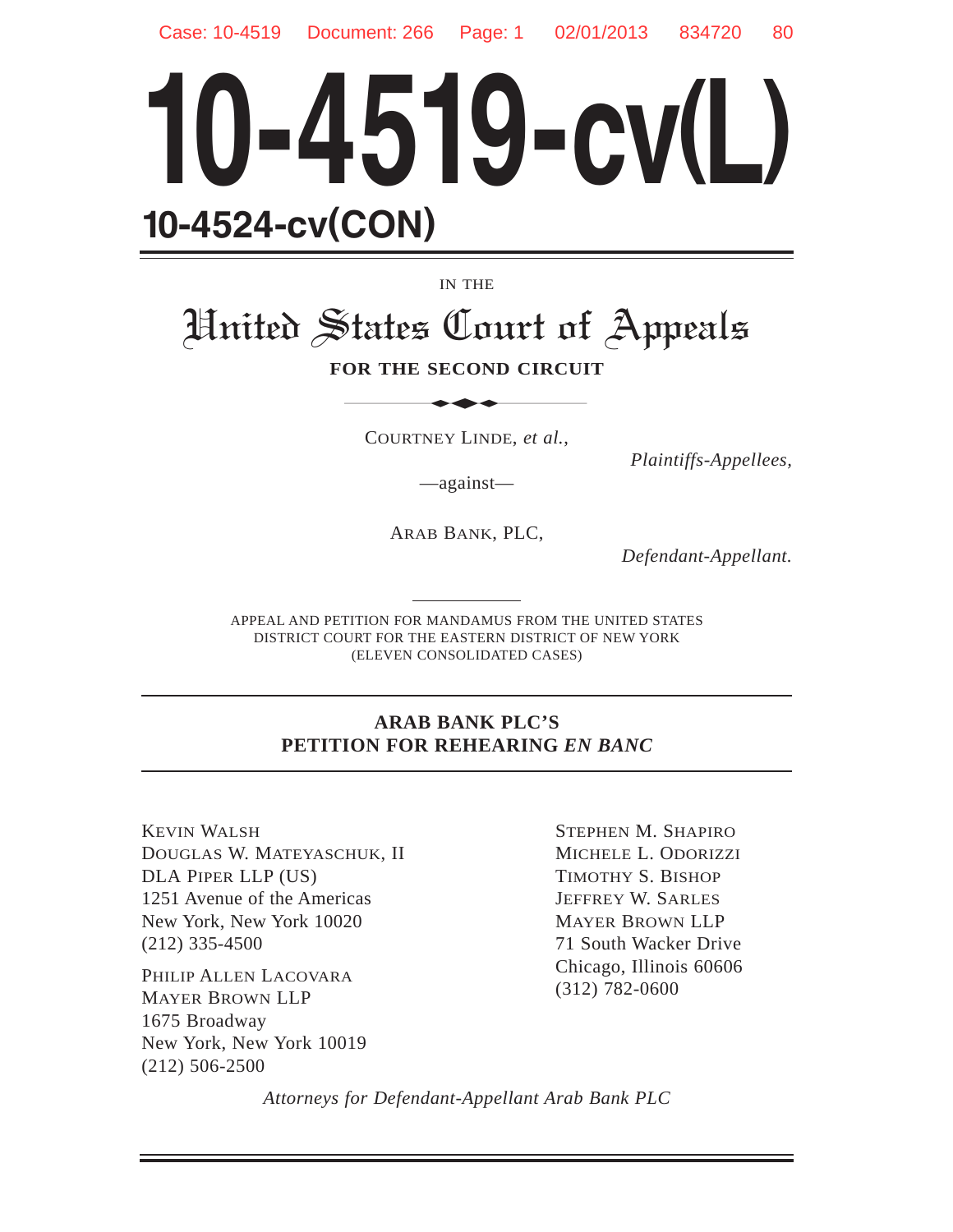

IN THE

# United States Court of Appeals IN THE<br>
STATES Court of

#### **FOR THE SECOND CIRCUIT**

COURTNEY LINDE, *et al.*,

*Plaintiffs-Appellees,*

—against—

ARAB BANK, PLC,

*Defendant-Appellant.*

APPEAL AND PETITION FOR MANDAMUS FROM THE UNITED STATES DISTRICT COURT FOR THE EASTERN DISTRICT OF NEW YORK (ELEVEN CONSOLIDATED CASES)

#### **ARAB BANK PLC'S PETITION FOR REHEARING** *EN BANC*

KEVIN WALSH DOUGLAS W. MATEYASCHUK, II DLA PIPER LLP (US) 1251 Avenue of the Americas New York, New York 10020 (212) 335-4500

PHILIP ALLEN LACOVARA MAYER BROWN LLP 1675 Broadway New York, New York 10019 (212) 506-2500

STEPHEN M. SHAPIRO MICHELE L. ODORIZZI TIMOTHY S. BISHOP JEFFREY W. SARLES MAYER BROWN LLP 71 South Wacker Drive Chicago, Illinois 60606 (312) 782-0600

*Attorneys for Defendant-Appellant Arab Bank PLC*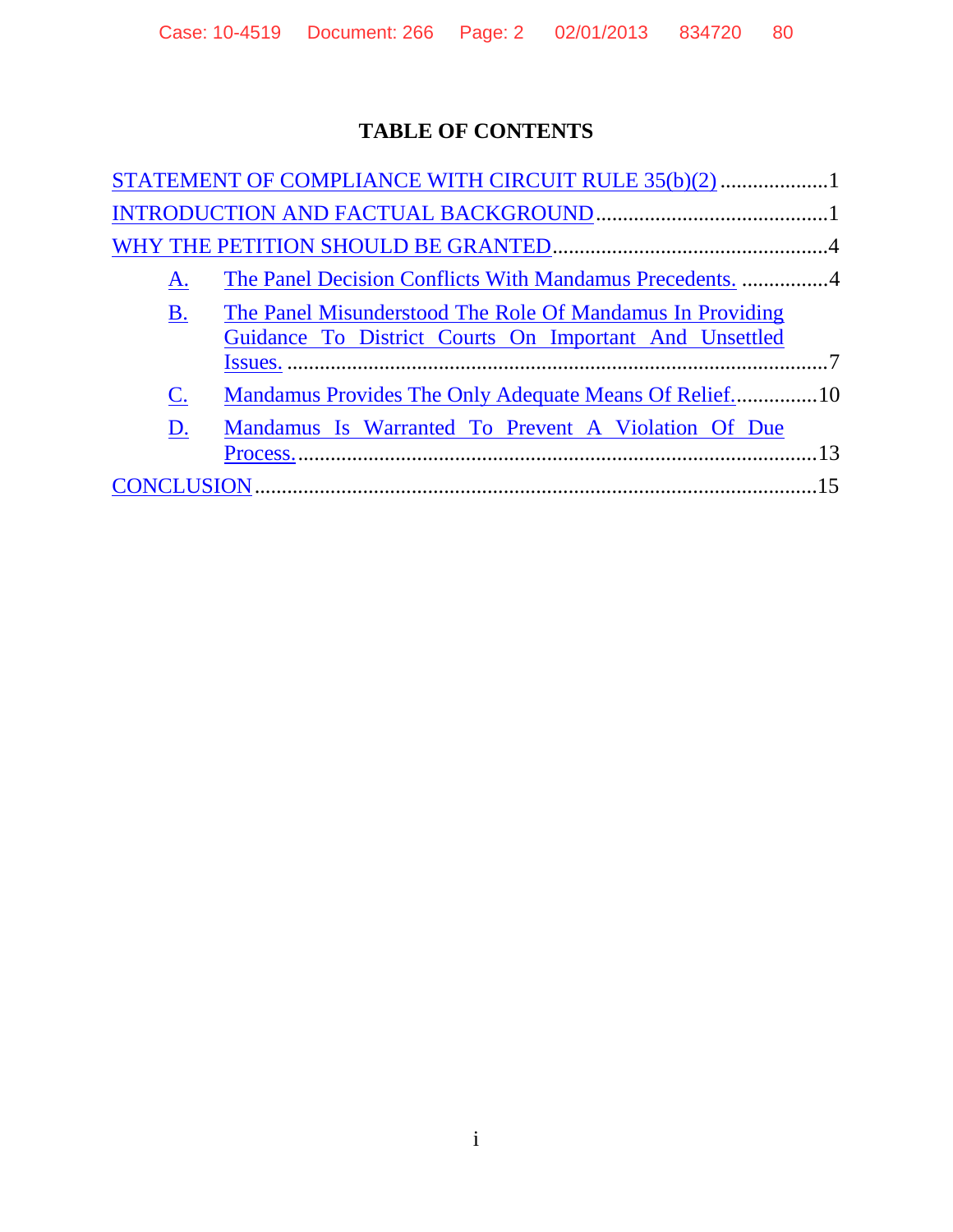### **TABLE OF CONTENTS**

| STATEMENT OF COMPLIANCE WITH CIRCUIT RULE 35(b)(2)                                                                               |  |
|----------------------------------------------------------------------------------------------------------------------------------|--|
|                                                                                                                                  |  |
|                                                                                                                                  |  |
| A.                                                                                                                               |  |
| The Panel Misunderstood The Role Of Mandamus In Providing<br><b>B.</b><br>Guidance To District Courts On Important And Unsettled |  |
| $\mathbf{C}$ .                                                                                                                   |  |
| Mandamus Is Warranted To Prevent A Violation Of Due<br>D.                                                                        |  |
|                                                                                                                                  |  |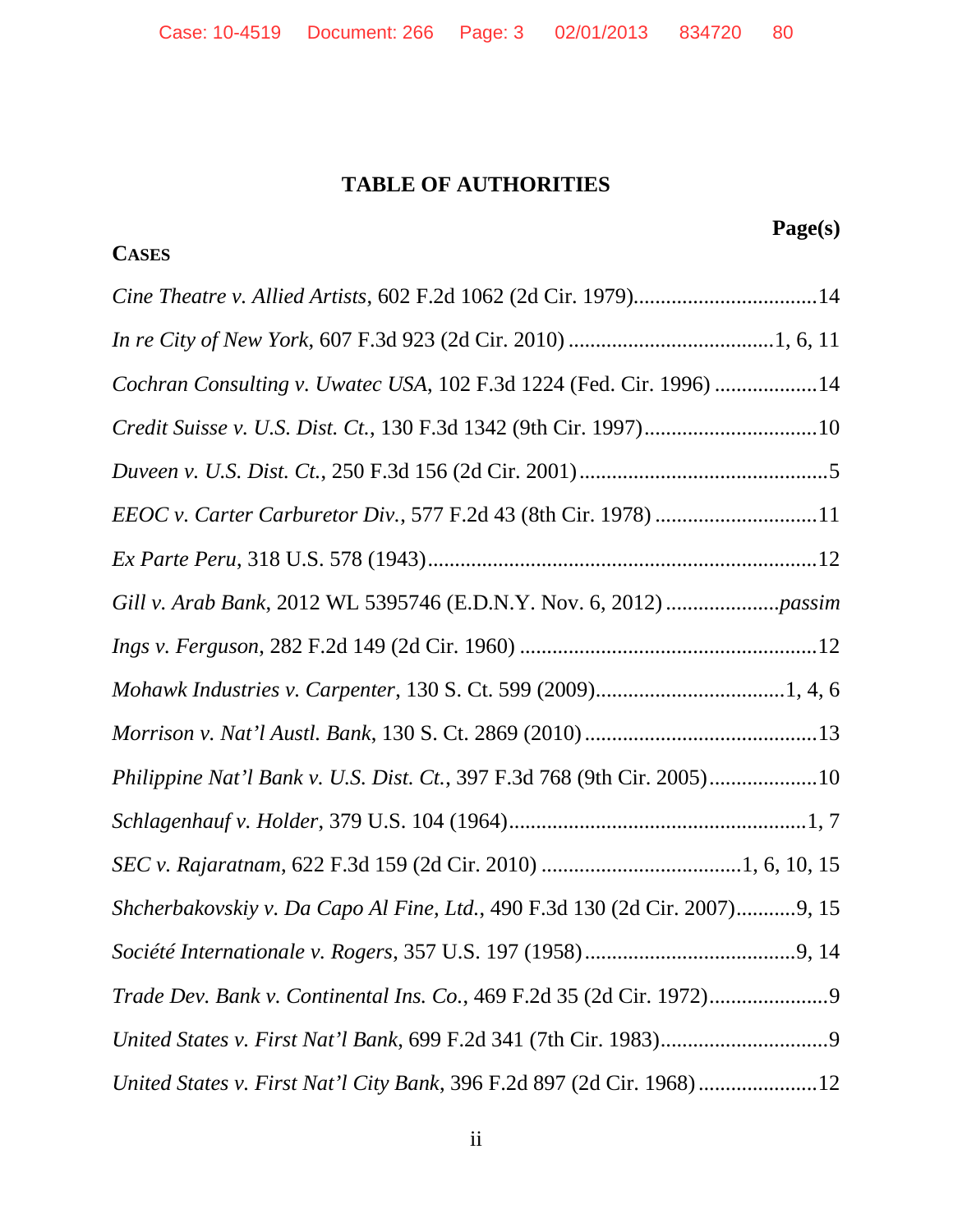#### **TABLE OF AUTHORITIES**

## **Page(s) CASES** *Cine Theatre v. Allied Artists*, 602 F.2d 1062 (2d Cir. 1979)..................................14 *In re City of New York*, 607 F.3d 923 (2d Cir. 2010) ......................................1, 6, 11 *Cochran Consulting v. Uwatec USA*, 102 F.3d 1224 (Fed. Cir. 1996) ...................14 *Credit Suisse v. U.S. Dist. Ct.*, 130 F.3d 1342 (9th Cir. 1997)................................10 *Duveen v. U.S. Dist. Ct.*, 250 F.3d 156 (2d Cir. 2001)..............................................5 *EEOC v. Carter Carburetor Div.*, 577 F.2d 43 (8th Cir. 1978) ..............................11 *Ex Parte Peru*, 318 U.S. 578 (1943)........................................................................12 *Gill v. Arab Bank*, 2012 WL 5395746 (E.D.N.Y. Nov. 6, 2012) .....................*passim Ings v. Ferguson*, 282 F.2d 149 (2d Cir. 1960) .......................................................12 *Mohawk Industries v. Carpenter*, 130 S. Ct. 599 (2009)...................................1, 4, 6 *Morrison v. Nat'l Austl. Bank*, 130 S. Ct. 2869 (2010) ...........................................13 *Philippine Nat'l Bank v. U.S. Dist. Ct.*, 397 F.3d 768 (9th Cir. 2005)....................10 *Schlagenhauf v. Holder*, 379 U.S. 104 (1964).......................................................1, 7 *SEC v. Rajaratnam*, 622 F.3d 159 (2d Cir. 2010) .....................................1, 6, 10, 15 *Shcherbakovskiy v. Da Capo Al Fine, Ltd.*, 490 F.3d 130 (2d Cir. 2007)...........9, 15 *Société Internationale v. Rogers*, 357 U.S. 197 (1958).......................................9, 14 *Trade Dev. Bank v. Continental Ins. Co.*, 469 F.2d 35 (2d Cir. 1972)......................9 *United States v. First Nat'l Bank*, 699 F.2d 341 (7th Cir. 1983)...............................9 *United States v. First Nat'l City Bank*, 396 F.2d 897 (2d Cir. 1968) ......................12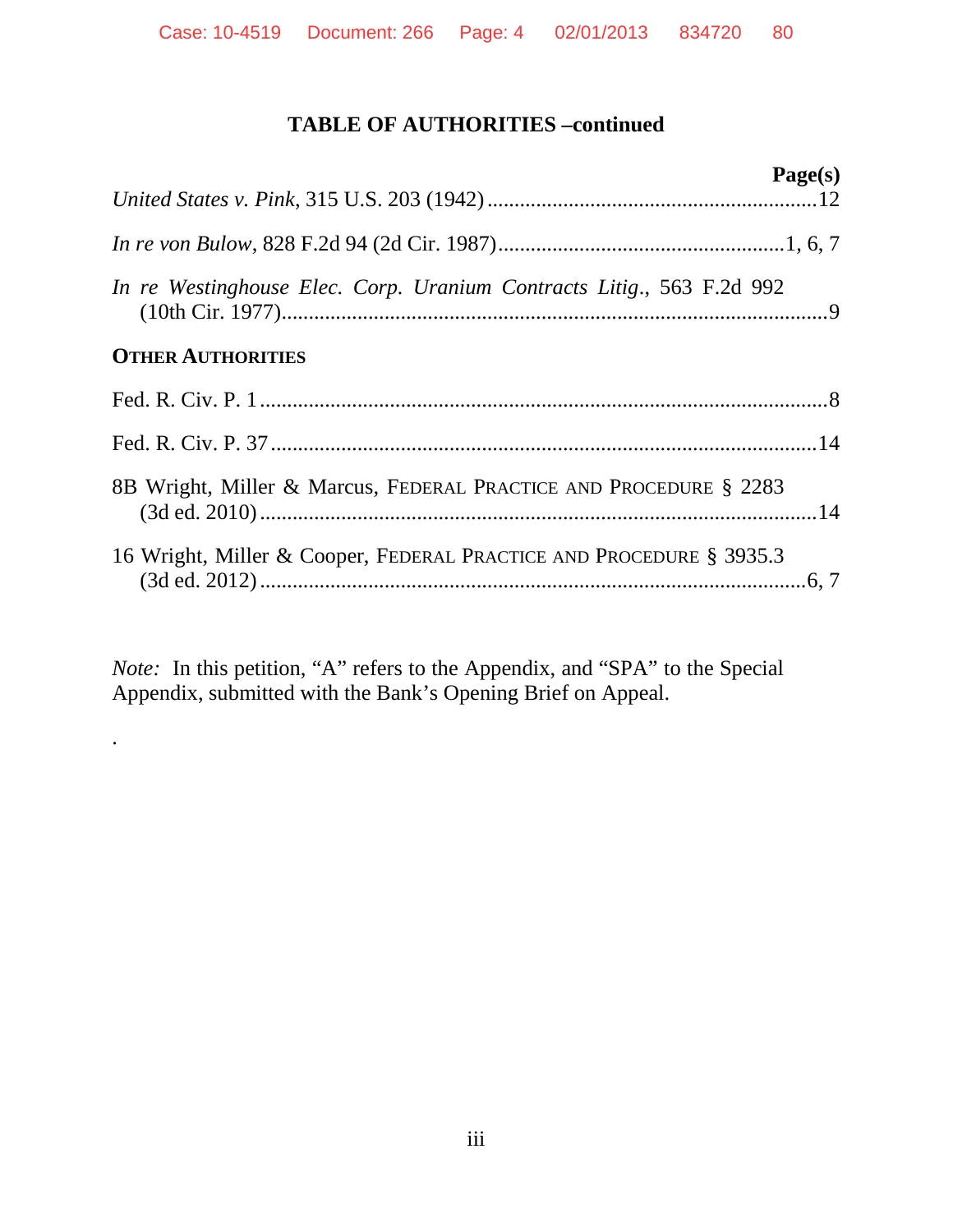#### **TABLE OF AUTHORITIES –continued**

|                                                                       | Page(s) |
|-----------------------------------------------------------------------|---------|
|                                                                       |         |
| In re Westinghouse Elec. Corp. Uranium Contracts Litig., 563 F.2d 992 |         |
| <b>OTHER AUTHORITIES</b>                                              |         |
|                                                                       |         |
|                                                                       |         |
| 8B Wright, Miller & Marcus, FEDERAL PRACTICE AND PROCEDURE § 2283     |         |
| 16 Wright, Miller & Cooper, FEDERAL PRACTICE AND PROCEDURE § 3935.3   |         |

*Note:* In this petition, "A" refers to the Appendix, and "SPA" to the Special Appendix, submitted with the Bank's Opening Brief on Appeal.

.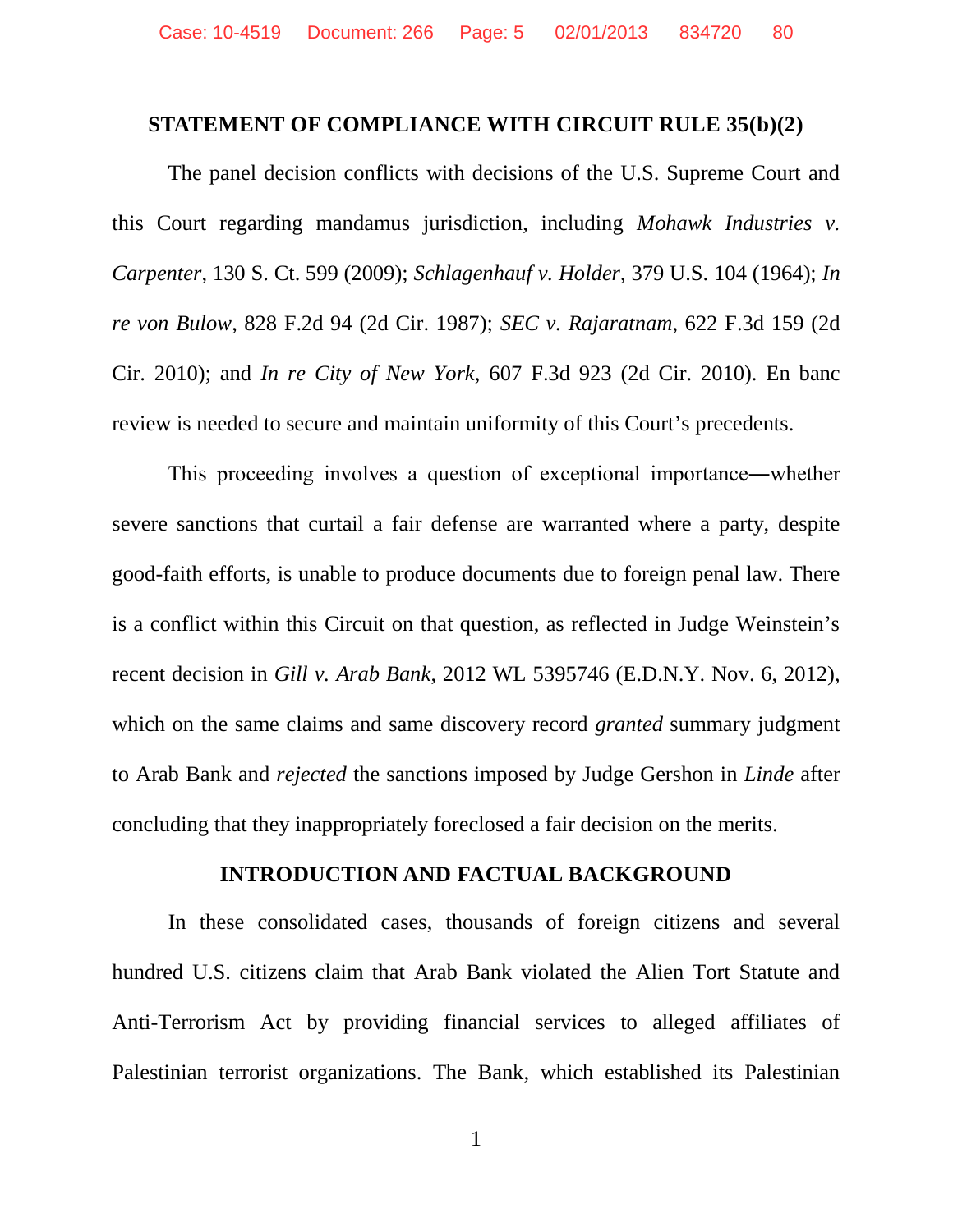#### <span id="page-4-0"></span>**STATEMENT OF COMPLIANCE WITH CIRCUIT RULE 35(b)(2)**

The panel decision conflicts with decisions of the U.S. Supreme Court and this Court regarding mandamus jurisdiction, including *Mohawk Industries v. Carpenter*, 130 S. Ct. 599 (2009); *Schlagenhauf v. Holder*, 379 U.S. 104 (1964); *In re von Bulow*, 828 F.2d 94 (2d Cir. 1987); *SEC v. Rajaratnam*, 622 F.3d 159 (2d Cir. 2010); and *In re City of New York*, 607 F.3d 923 (2d Cir. 2010). En banc review is needed to secure and maintain uniformity of this Court's precedents.

This proceeding involves a question of exceptional importance―whether severe sanctions that curtail a fair defense are warranted where a party, despite good-faith efforts, is unable to produce documents due to foreign penal law. There is a conflict within this Circuit on that question, as reflected in Judge Weinstein's recent decision in *Gill v. Arab Bank*, 2012 WL 5395746 (E.D.N.Y. Nov. 6, 2012), which on the same claims and same discovery record *granted* summary judgment to Arab Bank and *rejected* the sanctions imposed by Judge Gershon in *Linde* after concluding that they inappropriately foreclosed a fair decision on the merits.

#### <span id="page-4-1"></span>**INTRODUCTION AND FACTUAL BACKGROUND**

In these consolidated cases, thousands of foreign citizens and several hundred U.S. citizens claim that Arab Bank violated the Alien Tort Statute and Anti-Terrorism Act by providing financial services to alleged affiliates of Palestinian terrorist organizations. The Bank, which established its Palestinian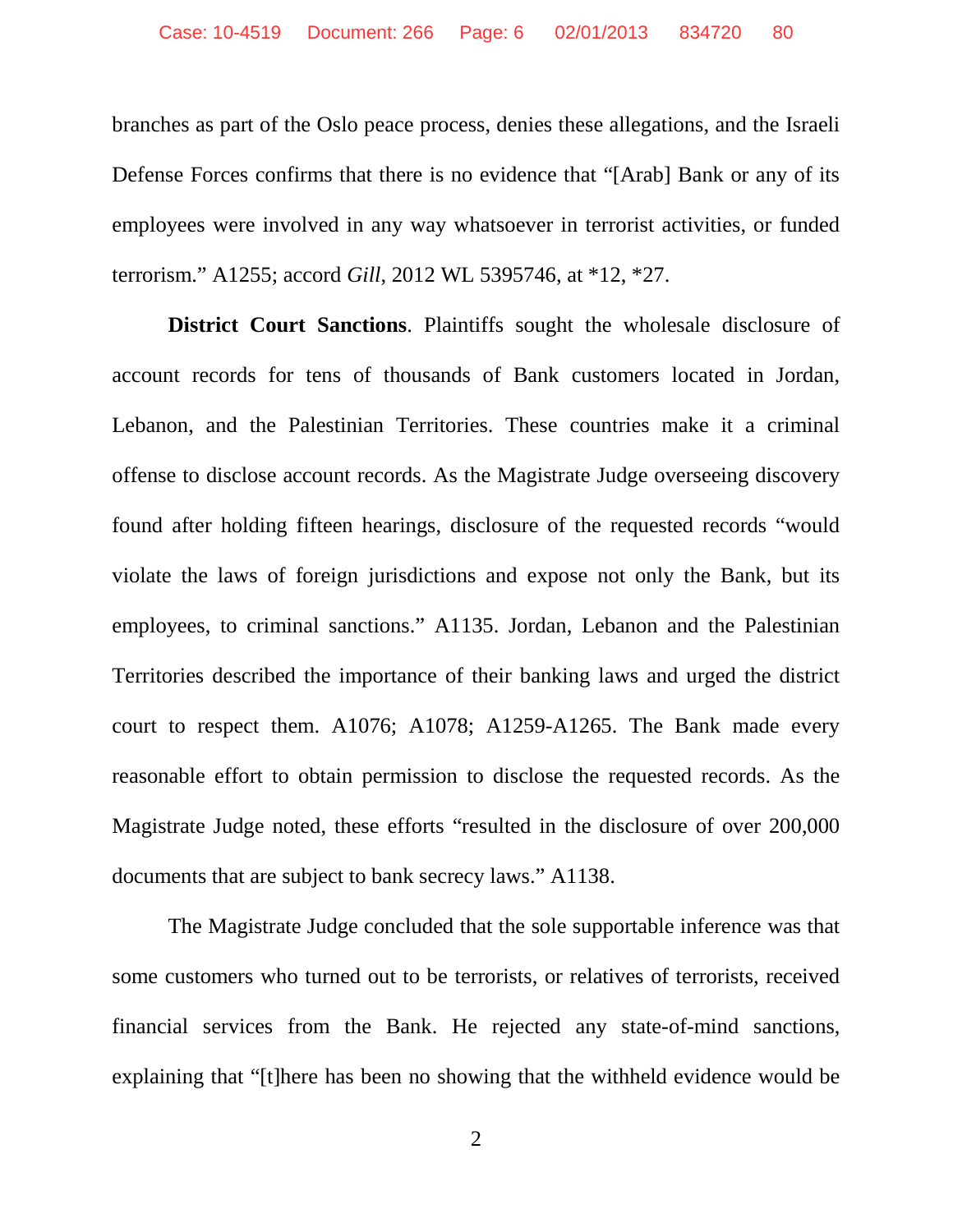branches as part of the Oslo peace process, denies these allegations, and the Israeli Defense Forces confirms that there is no evidence that "[Arab] Bank or any of its employees were involved in any way whatsoever in terrorist activities, or funded terrorism." A1255; accord *Gill*, 2012 WL 5395746, at \*12, \*27.

**District Court Sanctions**. Plaintiffs sought the wholesale disclosure of account records for tens of thousands of Bank customers located in Jordan, Lebanon, and the Palestinian Territories. These countries make it a criminal offense to disclose account records. As the Magistrate Judge overseeing discovery found after holding fifteen hearings, disclosure of the requested records "would violate the laws of foreign jurisdictions and expose not only the Bank, but its employees, to criminal sanctions." A1135. Jordan, Lebanon and the Palestinian Territories described the importance of their banking laws and urged the district court to respect them. A1076; A1078; A1259-A1265. The Bank made every reasonable effort to obtain permission to disclose the requested records. As the Magistrate Judge noted, these efforts "resulted in the disclosure of over 200,000 documents that are subject to bank secrecy laws." A1138.

The Magistrate Judge concluded that the sole supportable inference was that some customers who turned out to be terrorists, or relatives of terrorists, received financial services from the Bank. He rejected any state-of-mind sanctions, explaining that "[t]here has been no showing that the withheld evidence would be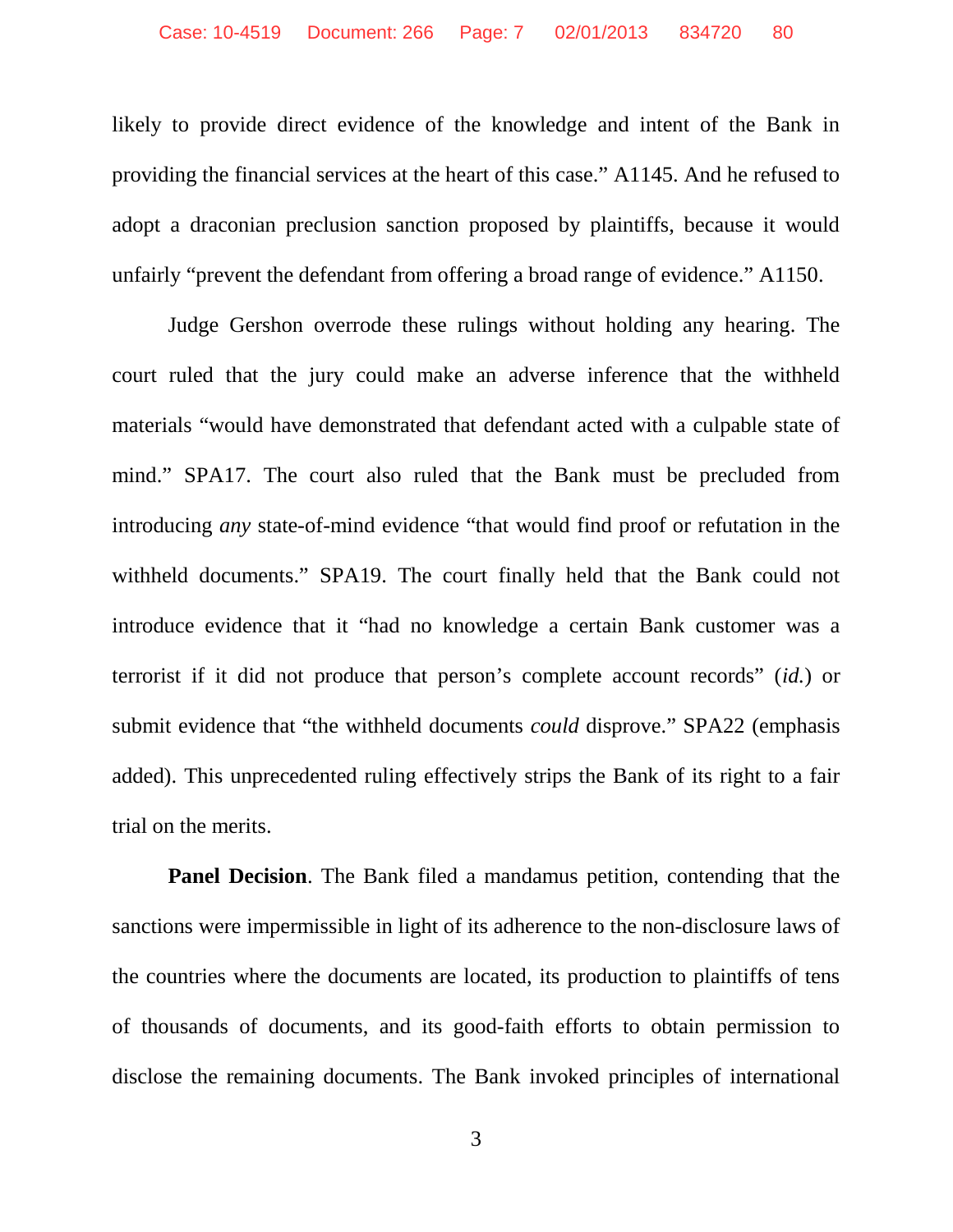likely to provide direct evidence of the knowledge and intent of the Bank in providing the financial services at the heart of this case." A1145. And he refused to adopt a draconian preclusion sanction proposed by plaintiffs, because it would unfairly "prevent the defendant from offering a broad range of evidence." A1150.

Judge Gershon overrode these rulings without holding any hearing. The court ruled that the jury could make an adverse inference that the withheld materials "would have demonstrated that defendant acted with a culpable state of mind." SPA17. The court also ruled that the Bank must be precluded from introducing *any* state-of-mind evidence "that would find proof or refutation in the withheld documents." SPA19. The court finally held that the Bank could not introduce evidence that it "had no knowledge a certain Bank customer was a terrorist if it did not produce that person's complete account records" (*id.*) or submit evidence that "the withheld documents *could* disprove." SPA22 (emphasis added). This unprecedented ruling effectively strips the Bank of its right to a fair trial on the merits.

**Panel Decision.** The Bank filed a mandamus petition, contending that the sanctions were impermissible in light of its adherence to the non-disclosure laws of the countries where the documents are located, its production to plaintiffs of tens of thousands of documents, and its good-faith efforts to obtain permission to disclose the remaining documents. The Bank invoked principles of international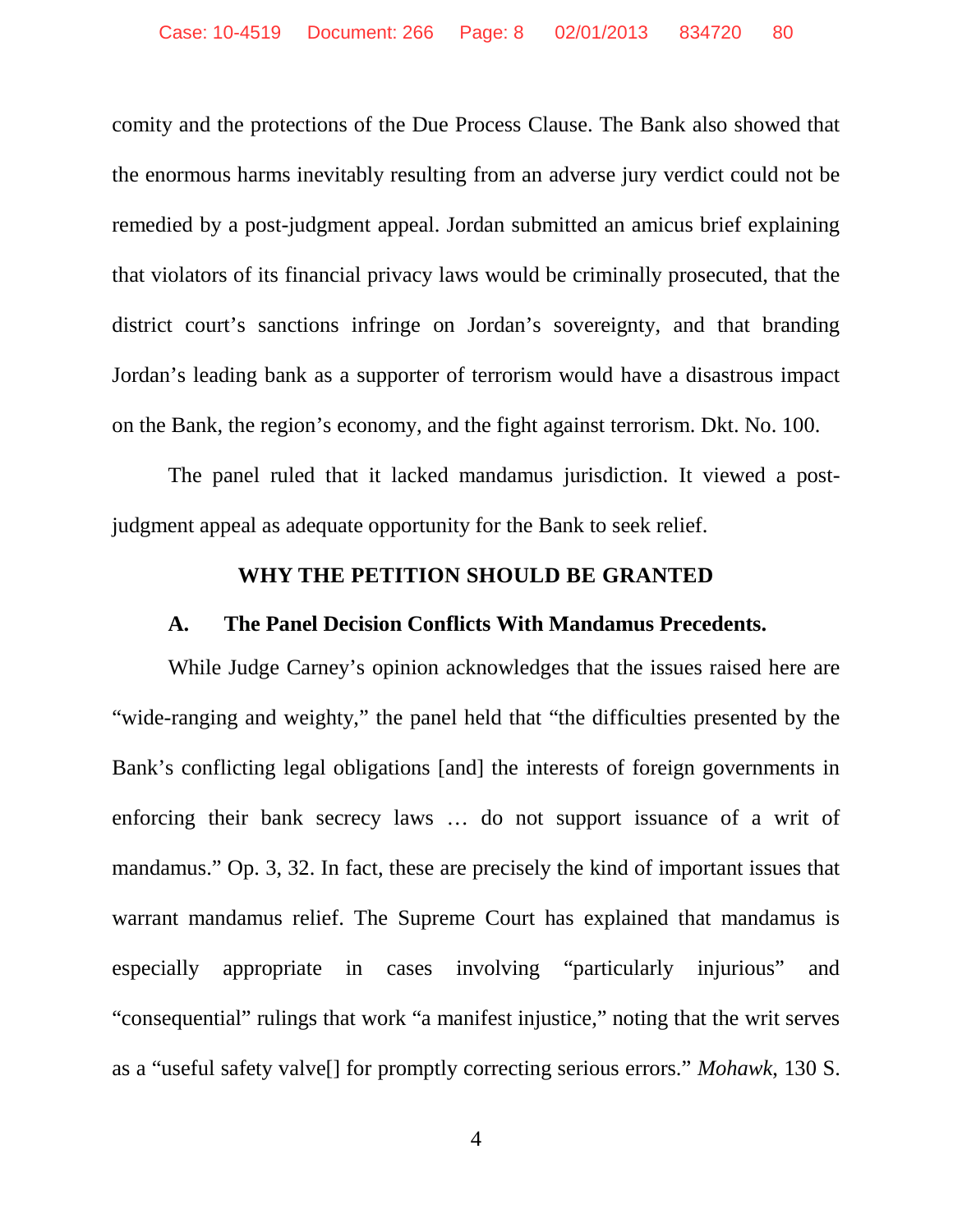comity and the protections of the Due Process Clause. The Bank also showed that the enormous harms inevitably resulting from an adverse jury verdict could not be remedied by a post-judgment appeal. Jordan submitted an amicus brief explaining that violators of its financial privacy laws would be criminally prosecuted, that the district court's sanctions infringe on Jordan's sovereignty, and that branding Jordan's leading bank as a supporter of terrorism would have a disastrous impact on the Bank, the region's economy, and the fight against terrorism. Dkt. No. 100.

The panel ruled that it lacked mandamus jurisdiction. It viewed a postjudgment appeal as adequate opportunity for the Bank to seek relief.

#### <span id="page-7-1"></span><span id="page-7-0"></span>**WHY THE PETITION SHOULD BE GRANTED**

#### **A. The Panel Decision Conflicts With Mandamus Precedents.**

While Judge Carney's opinion acknowledges that the issues raised here are "wide-ranging and weighty," the panel held that "the difficulties presented by the Bank's conflicting legal obligations [and] the interests of foreign governments in enforcing their bank secrecy laws … do not support issuance of a writ of mandamus." Op. 3, 32. In fact, these are precisely the kind of important issues that warrant mandamus relief. The Supreme Court has explained that mandamus is especially appropriate in cases involving "particularly injurious" and "consequential" rulings that work "a manifest injustice," noting that the writ serves as a "useful safety valve[] for promptly correcting serious errors." *Mohawk*, 130 S.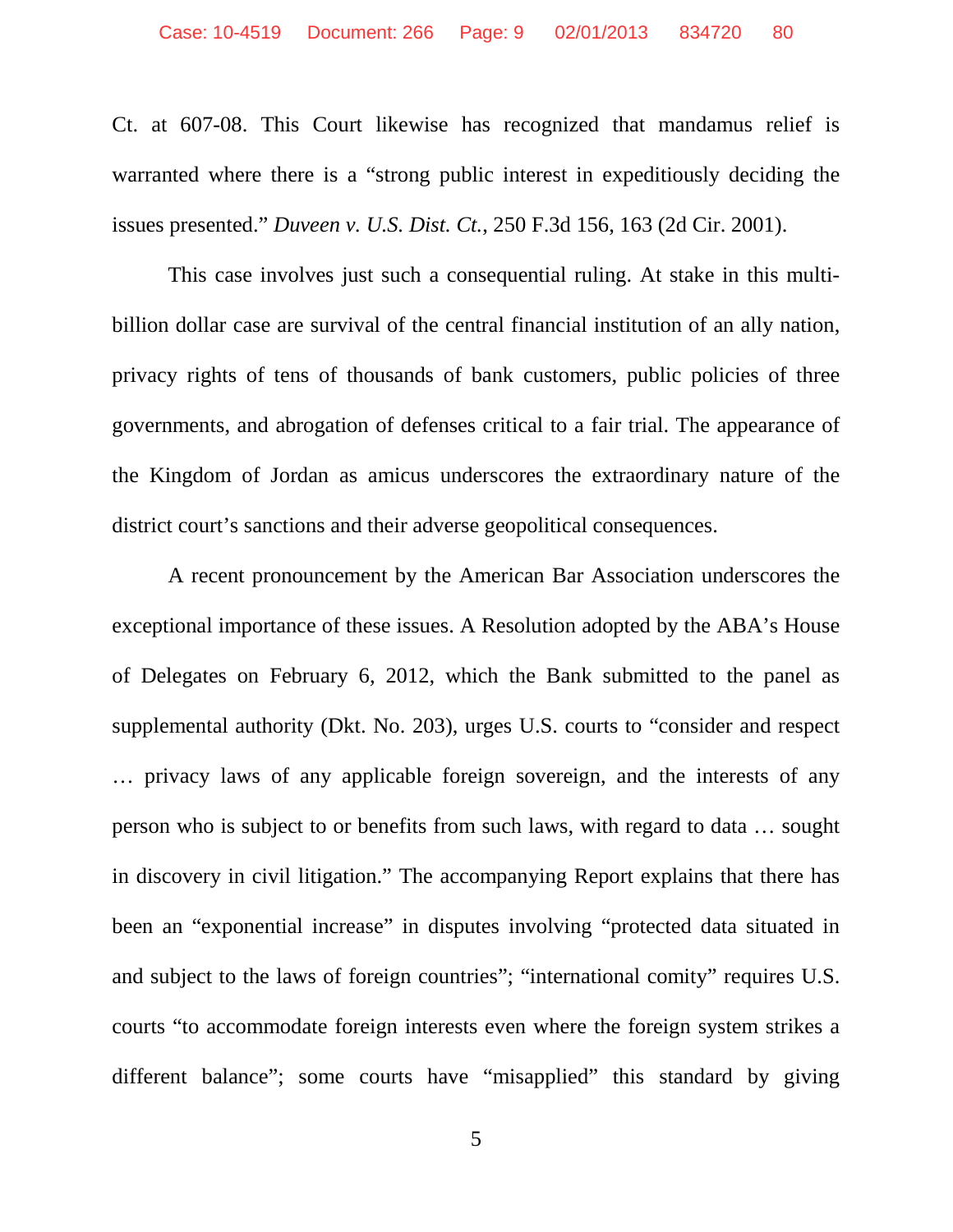Ct. at 607-08. This Court likewise has recognized that mandamus relief is warranted where there is a "strong public interest in expeditiously deciding the issues presented." *Duveen v. U.S. Dist. Ct.*, 250 F.3d 156, 163 (2d Cir. 2001).

This case involves just such a consequential ruling. At stake in this multibillion dollar case are survival of the central financial institution of an ally nation, privacy rights of tens of thousands of bank customers, public policies of three governments, and abrogation of defenses critical to a fair trial. The appearance of the Kingdom of Jordan as amicus underscores the extraordinary nature of the district court's sanctions and their adverse geopolitical consequences.

A recent pronouncement by the American Bar Association underscores the exceptional importance of these issues. A Resolution adopted by the ABA's House of Delegates on February 6, 2012, which the Bank submitted to the panel as supplemental authority (Dkt. No. 203), urges U.S. courts to "consider and respect … privacy laws of any applicable foreign sovereign, and the interests of any person who is subject to or benefits from such laws, with regard to data … sought in discovery in civil litigation." The accompanying Report explains that there has been an "exponential increase" in disputes involving "protected data situated in and subject to the laws of foreign countries"; "international comity" requires U.S. courts "to accommodate foreign interests even where the foreign system strikes a different balance"; some courts have "misapplied" this standard by giving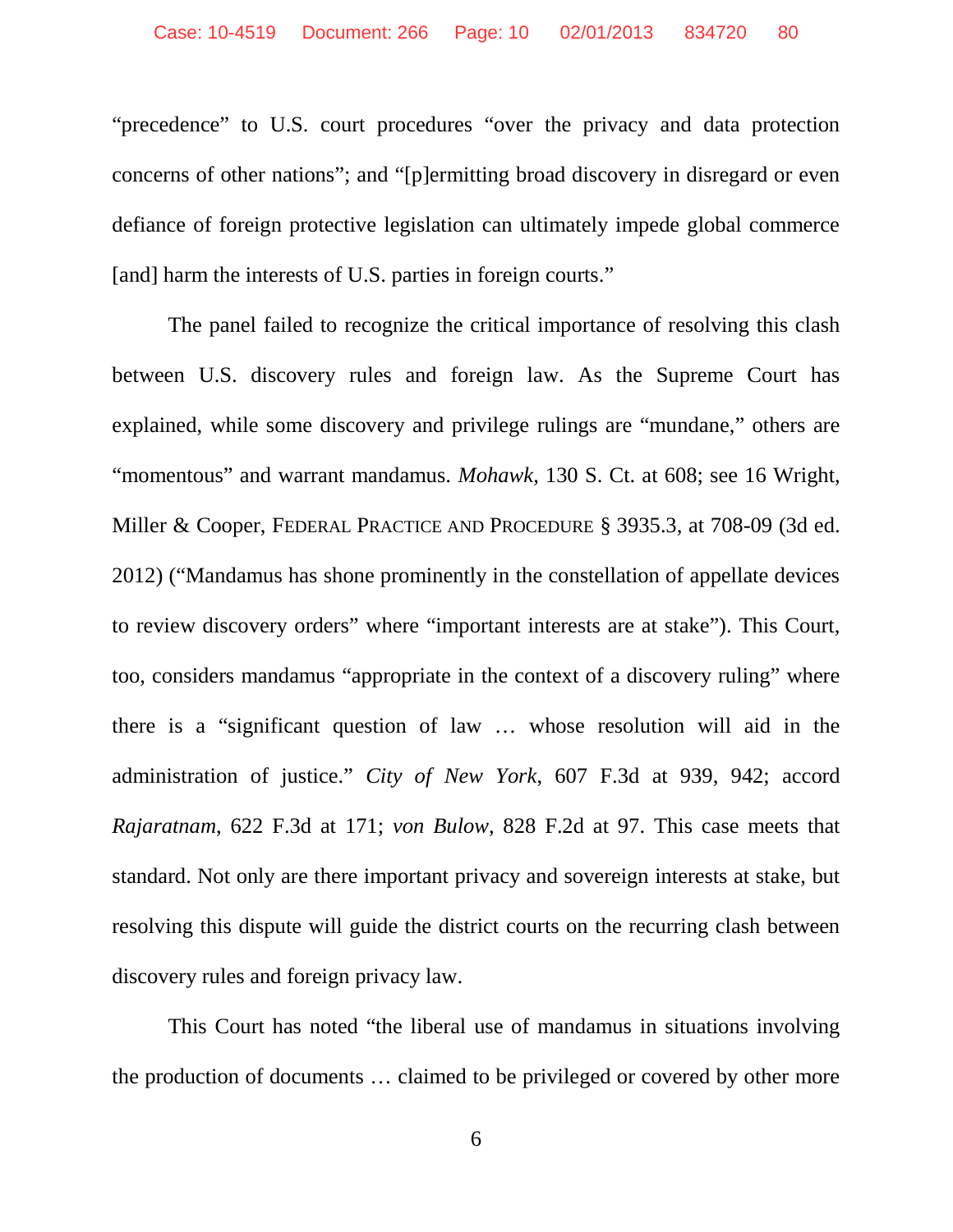"precedence" to U.S. court procedures "over the privacy and data protection concerns of other nations"; and "[p]ermitting broad discovery in disregard or even defiance of foreign protective legislation can ultimately impede global commerce [and] harm the interests of U.S. parties in foreign courts."

The panel failed to recognize the critical importance of resolving this clash between U.S. discovery rules and foreign law. As the Supreme Court has explained, while some discovery and privilege rulings are "mundane," others are "momentous" and warrant mandamus. *Mohawk*, 130 S. Ct. at 608; see 16 Wright, Miller & Cooper, FEDERAL PRACTICE AND PROCEDURE § 3935.3, at 708-09 (3d ed. 2012) ("Mandamus has shone prominently in the constellation of appellate devices to review discovery orders" where "important interests are at stake"). This Court, too, considers mandamus "appropriate in the context of a discovery ruling" where there is a "significant question of law … whose resolution will aid in the administration of justice." *City of New York*, 607 F.3d at 939, 942; accord *Rajaratnam*, 622 F.3d at 171; *von Bulow*, 828 F.2d at 97. This case meets that standard. Not only are there important privacy and sovereign interests at stake, but resolving this dispute will guide the district courts on the recurring clash between discovery rules and foreign privacy law.

This Court has noted "the liberal use of mandamus in situations involving the production of documents … claimed to be privileged or covered by other more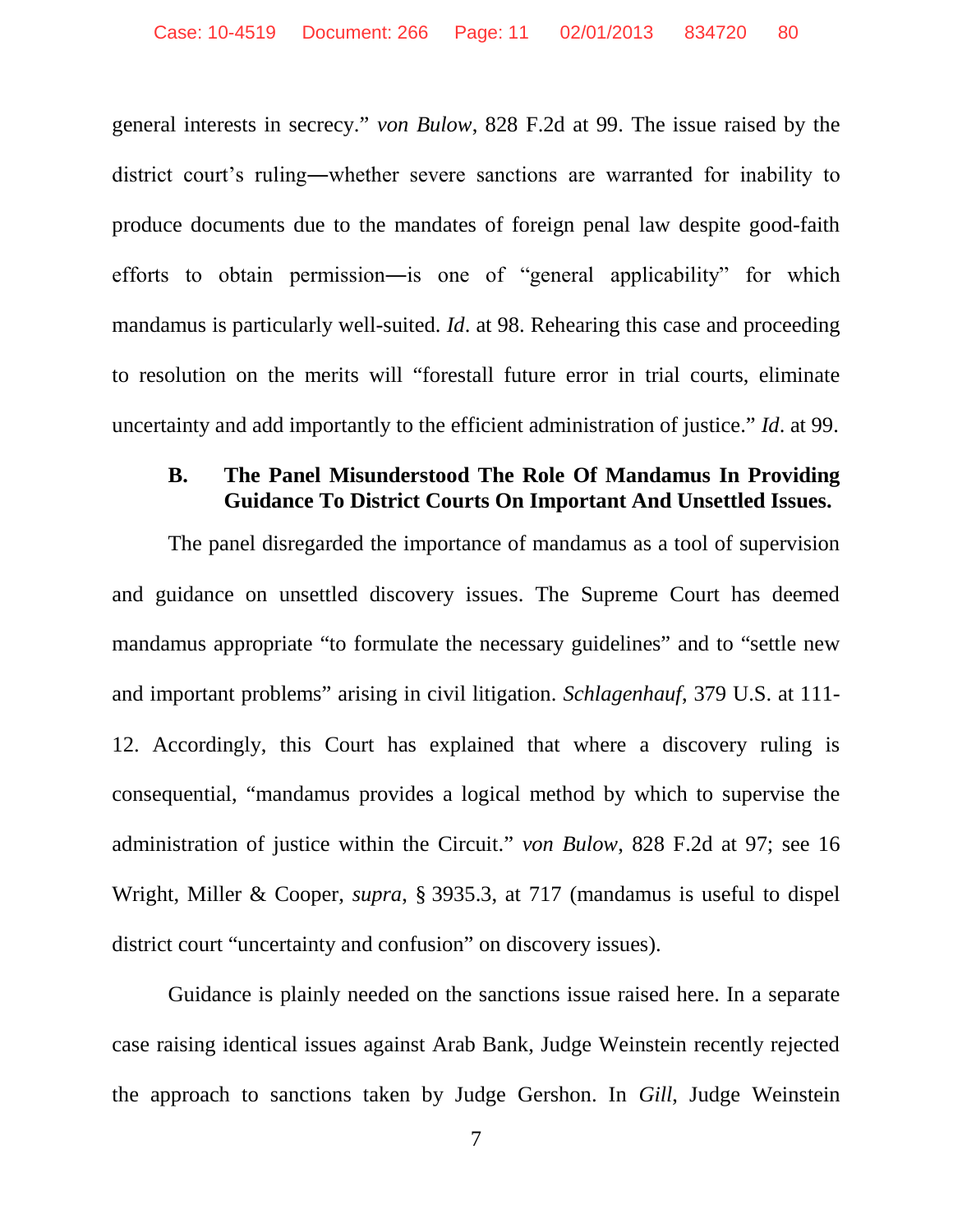general interests in secrecy." *von Bulow*, 828 F.2d at 99. The issue raised by the district court's ruling―whether severe sanctions are warranted for inability to produce documents due to the mandates of foreign penal law despite good-faith efforts to obtain permission―is one of "general applicability" for which mandamus is particularly well-suited. *Id*. at 98. Rehearing this case and proceeding to resolution on the merits will "forestall future error in trial courts, eliminate uncertainty and add importantly to the efficient administration of justice." *Id*. at 99.

#### <span id="page-10-0"></span>**B. The Panel Misunderstood The Role Of Mandamus In Providing Guidance To District Courts On Important And Unsettled Issues.**

The panel disregarded the importance of mandamus as a tool of supervision and guidance on unsettled discovery issues. The Supreme Court has deemed mandamus appropriate "to formulate the necessary guidelines" and to "settle new and important problems" arising in civil litigation. *Schlagenhauf*, 379 U.S. at 111- 12. Accordingly, this Court has explained that where a discovery ruling is consequential, "mandamus provides a logical method by which to supervise the administration of justice within the Circuit." *von Bulow*, 828 F.2d at 97; see 16 Wright, Miller & Cooper, *supra*, § 3935.3, at 717 (mandamus is useful to dispel district court "uncertainty and confusion" on discovery issues).

Guidance is plainly needed on the sanctions issue raised here. In a separate case raising identical issues against Arab Bank, Judge Weinstein recently rejected the approach to sanctions taken by Judge Gershon. In *Gill*, Judge Weinstein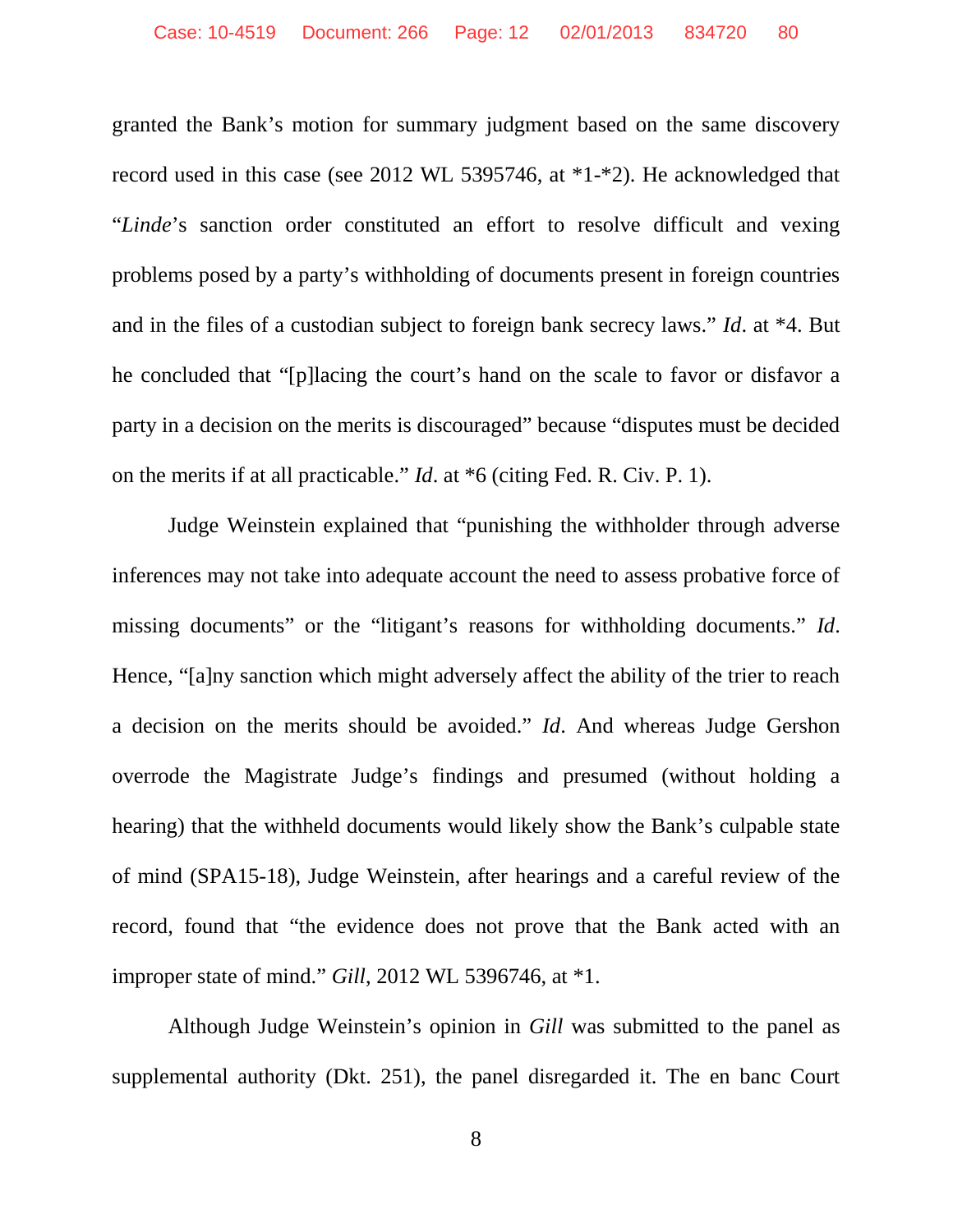granted the Bank's motion for summary judgment based on the same discovery record used in this case (see 2012 WL 5395746, at \*1-\*2). He acknowledged that "*Linde*'s sanction order constituted an effort to resolve difficult and vexing problems posed by a party's withholding of documents present in foreign countries and in the files of a custodian subject to foreign bank secrecy laws." *Id*. at \*4. But he concluded that "[p]lacing the court's hand on the scale to favor or disfavor a party in a decision on the merits is discouraged" because "disputes must be decided on the merits if at all practicable." *Id*. at \*6 (citing Fed. R. Civ. P. 1).

Judge Weinstein explained that "punishing the withholder through adverse inferences may not take into adequate account the need to assess probative force of missing documents" or the "litigant's reasons for withholding documents." *Id*. Hence, "[a]ny sanction which might adversely affect the ability of the trier to reach a decision on the merits should be avoided." *Id*. And whereas Judge Gershon overrode the Magistrate Judge's findings and presumed (without holding a hearing) that the withheld documents would likely show the Bank's culpable state of mind (SPA15-18), Judge Weinstein, after hearings and a careful review of the record, found that "the evidence does not prove that the Bank acted with an improper state of mind." *Gill*, 2012 WL 5396746, at \*1.

Although Judge Weinstein's opinion in *Gill* was submitted to the panel as supplemental authority (Dkt. 251), the panel disregarded it. The en banc Court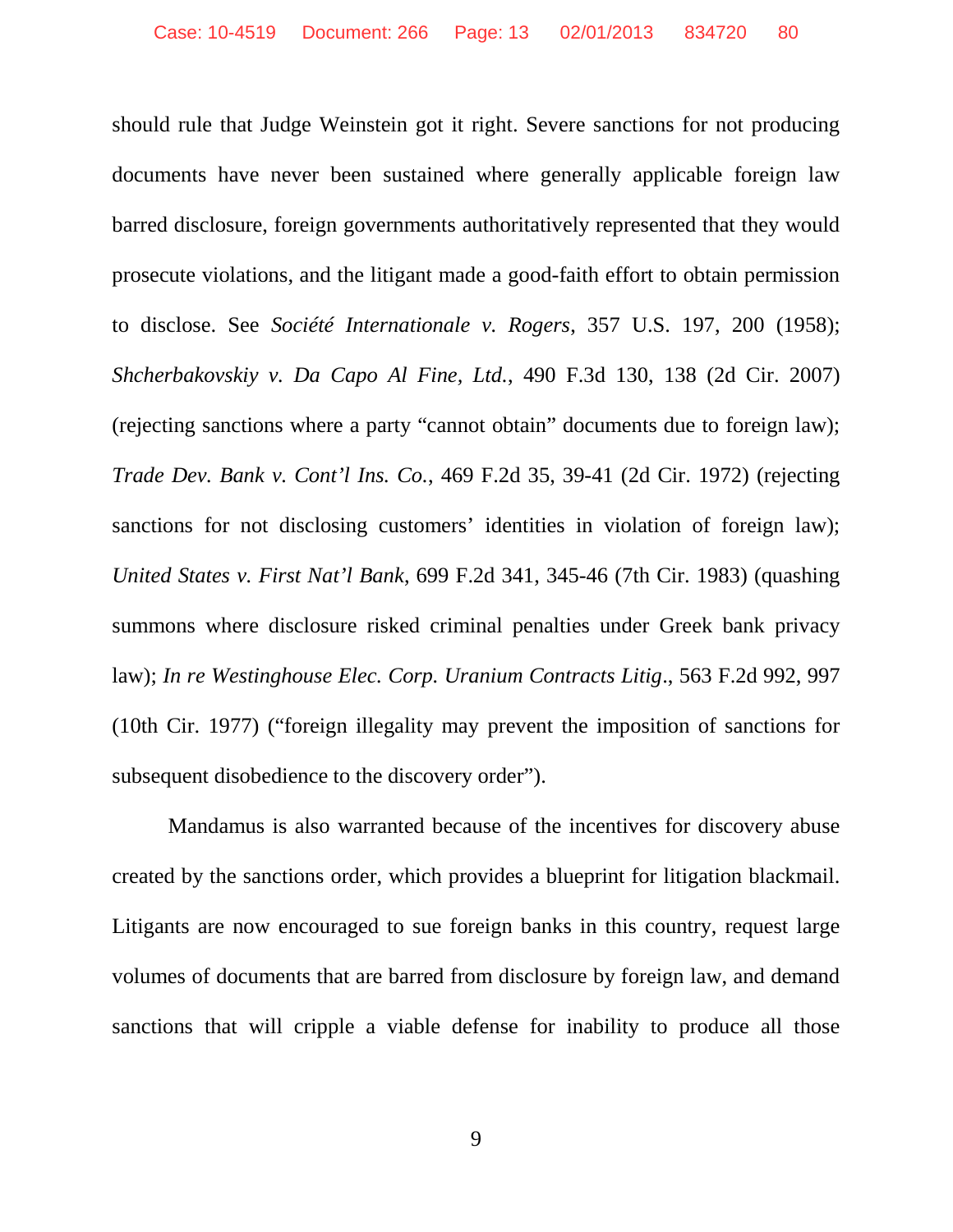should rule that Judge Weinstein got it right. Severe sanctions for not producing documents have never been sustained where generally applicable foreign law barred disclosure, foreign governments authoritatively represented that they would prosecute violations, and the litigant made a good-faith effort to obtain permission to disclose. See *Société Internationale v. Rogers*, 357 U.S. 197, 200 (1958); *Shcherbakovskiy v. Da Capo Al Fine, Ltd.*, 490 F.3d 130, 138 (2d Cir. 2007) (rejecting sanctions where a party "cannot obtain" documents due to foreign law); *Trade Dev. Bank v. Cont'l Ins. Co.*, 469 F.2d 35, 39-41 (2d Cir. 1972) (rejecting sanctions for not disclosing customers' identities in violation of foreign law); *United States v. First Nat'l Bank*, 699 F.2d 341, 345-46 (7th Cir. 1983) (quashing summons where disclosure risked criminal penalties under Greek bank privacy law); *In re Westinghouse Elec. Corp. Uranium Contracts Litig*., 563 F.2d 992, 997 (10th Cir. 1977) ("foreign illegality may prevent the imposition of sanctions for subsequent disobedience to the discovery order").

Mandamus is also warranted because of the incentives for discovery abuse created by the sanctions order, which provides a blueprint for litigation blackmail. Litigants are now encouraged to sue foreign banks in this country, request large volumes of documents that are barred from disclosure by foreign law, and demand sanctions that will cripple a viable defense for inability to produce all those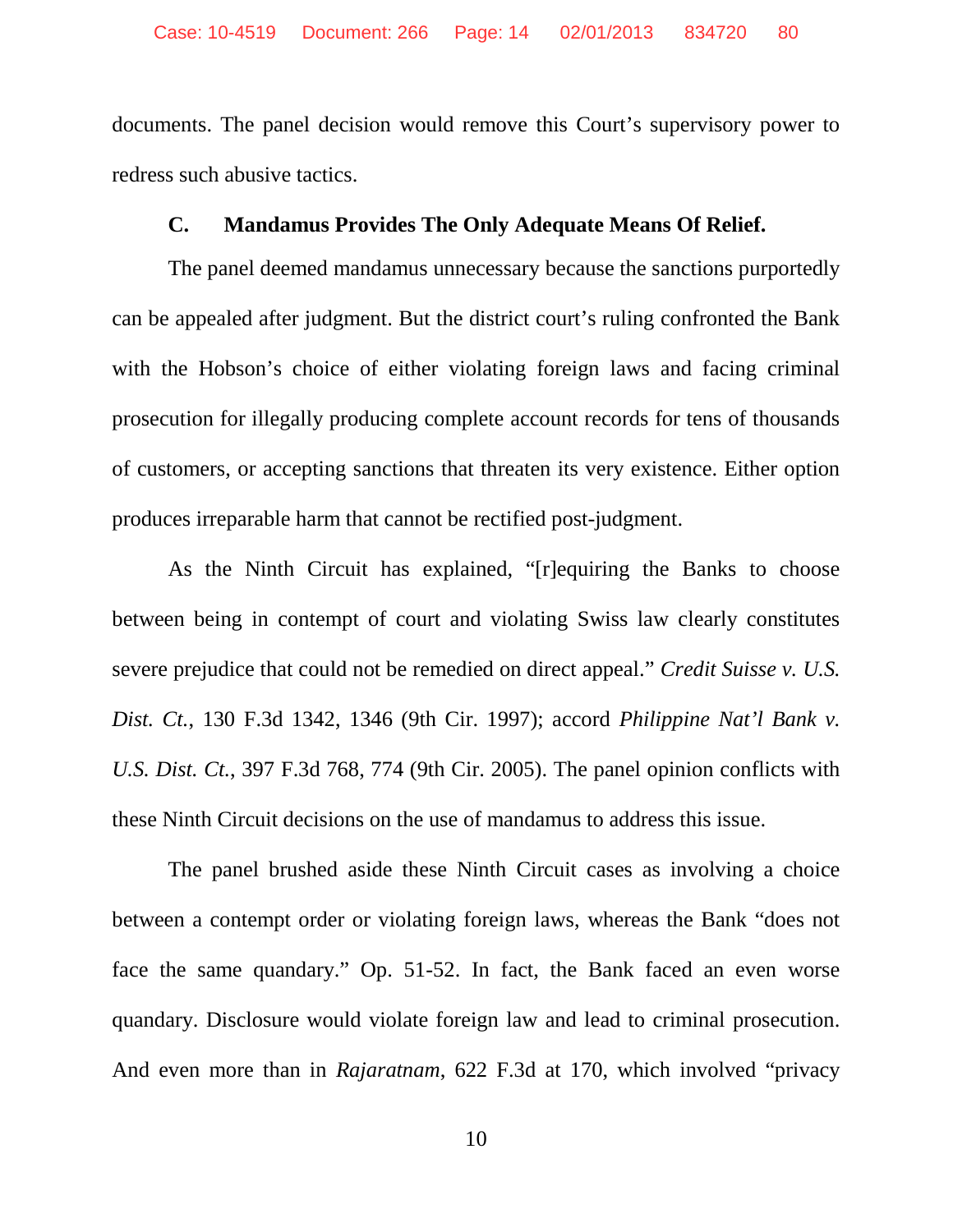documents. The panel decision would remove this Court's supervisory power to redress such abusive tactics.

#### <span id="page-13-0"></span>**C. Mandamus Provides The Only Adequate Means Of Relief.**

The panel deemed mandamus unnecessary because the sanctions purportedly can be appealed after judgment. But the district court's ruling confronted the Bank with the Hobson's choice of either violating foreign laws and facing criminal prosecution for illegally producing complete account records for tens of thousands of customers, or accepting sanctions that threaten its very existence. Either option produces irreparable harm that cannot be rectified post-judgment.

As the Ninth Circuit has explained, "[r]equiring the Banks to choose between being in contempt of court and violating Swiss law clearly constitutes severe prejudice that could not be remedied on direct appeal." *Credit Suisse v. U.S. Dist. Ct.*, 130 F.3d 1342, 1346 (9th Cir. 1997); accord *Philippine Nat'l Bank v. U.S. Dist. Ct.*, 397 F.3d 768, 774 (9th Cir. 2005). The panel opinion conflicts with these Ninth Circuit decisions on the use of mandamus to address this issue.

The panel brushed aside these Ninth Circuit cases as involving a choice between a contempt order or violating foreign laws, whereas the Bank "does not face the same quandary." Op. 51-52. In fact, the Bank faced an even worse quandary. Disclosure would violate foreign law and lead to criminal prosecution. And even more than in *Rajaratnam*, 622 F.3d at 170, which involved "privacy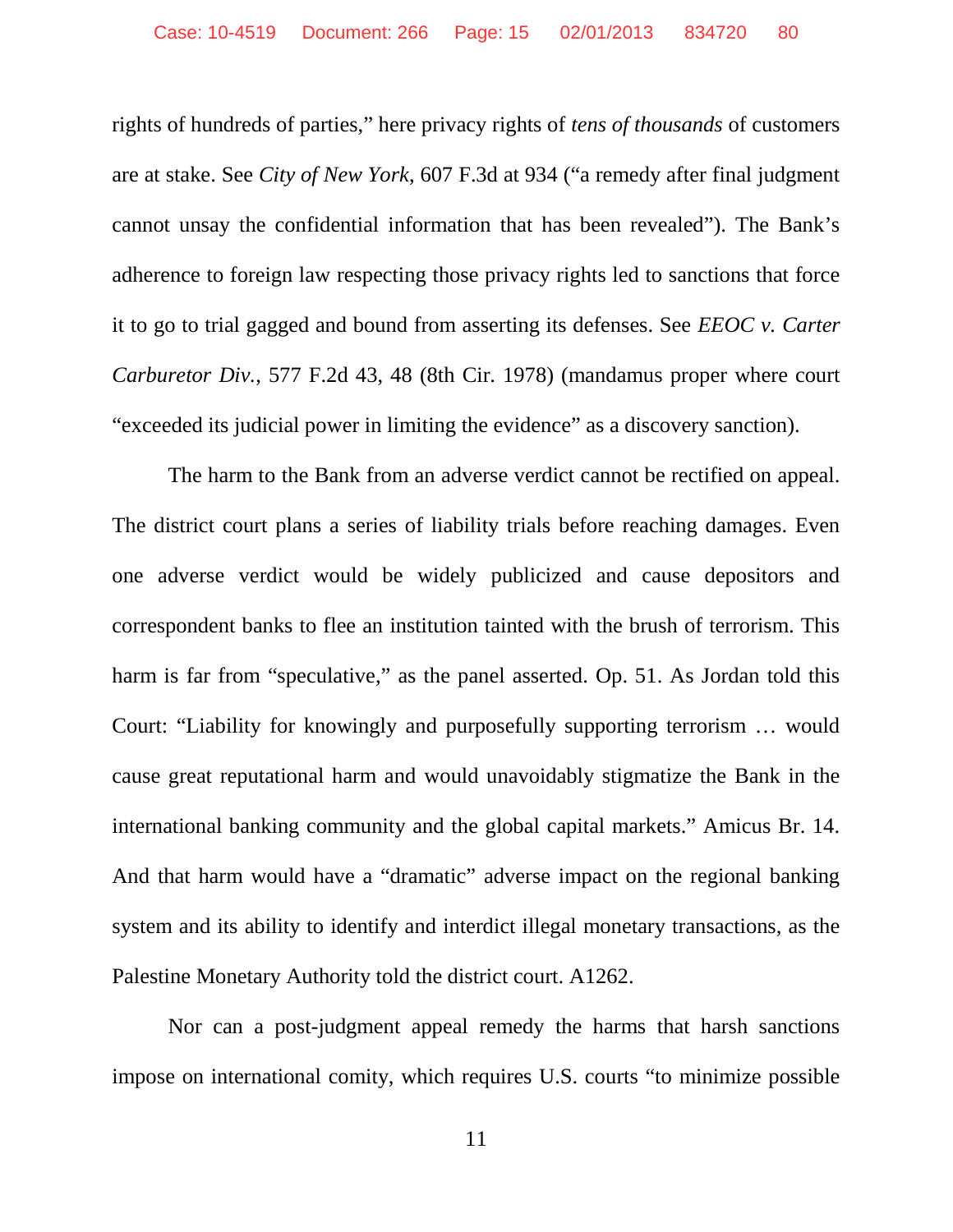rights of hundreds of parties," here privacy rights of *tens of thousands* of customers are at stake. See *City of New York*, 607 F.3d at 934 ("a remedy after final judgment cannot unsay the confidential information that has been revealed"). The Bank's adherence to foreign law respecting those privacy rights led to sanctions that force it to go to trial gagged and bound from asserting its defenses. See *EEOC v. Carter Carburetor Div.*, 577 F.2d 43, 48 (8th Cir. 1978) (mandamus proper where court "exceeded its judicial power in limiting the evidence" as a discovery sanction).

The harm to the Bank from an adverse verdict cannot be rectified on appeal. The district court plans a series of liability trials before reaching damages. Even one adverse verdict would be widely publicized and cause depositors and correspondent banks to flee an institution tainted with the brush of terrorism. This harm is far from "speculative," as the panel asserted. Op. 51. As Jordan told this Court: "Liability for knowingly and purposefully supporting terrorism … would cause great reputational harm and would unavoidably stigmatize the Bank in the international banking community and the global capital markets." Amicus Br. 14. And that harm would have a "dramatic" adverse impact on the regional banking system and its ability to identify and interdict illegal monetary transactions, as the Palestine Monetary Authority told the district court. A1262.

Nor can a post-judgment appeal remedy the harms that harsh sanctions impose on international comity, which requires U.S. courts "to minimize possible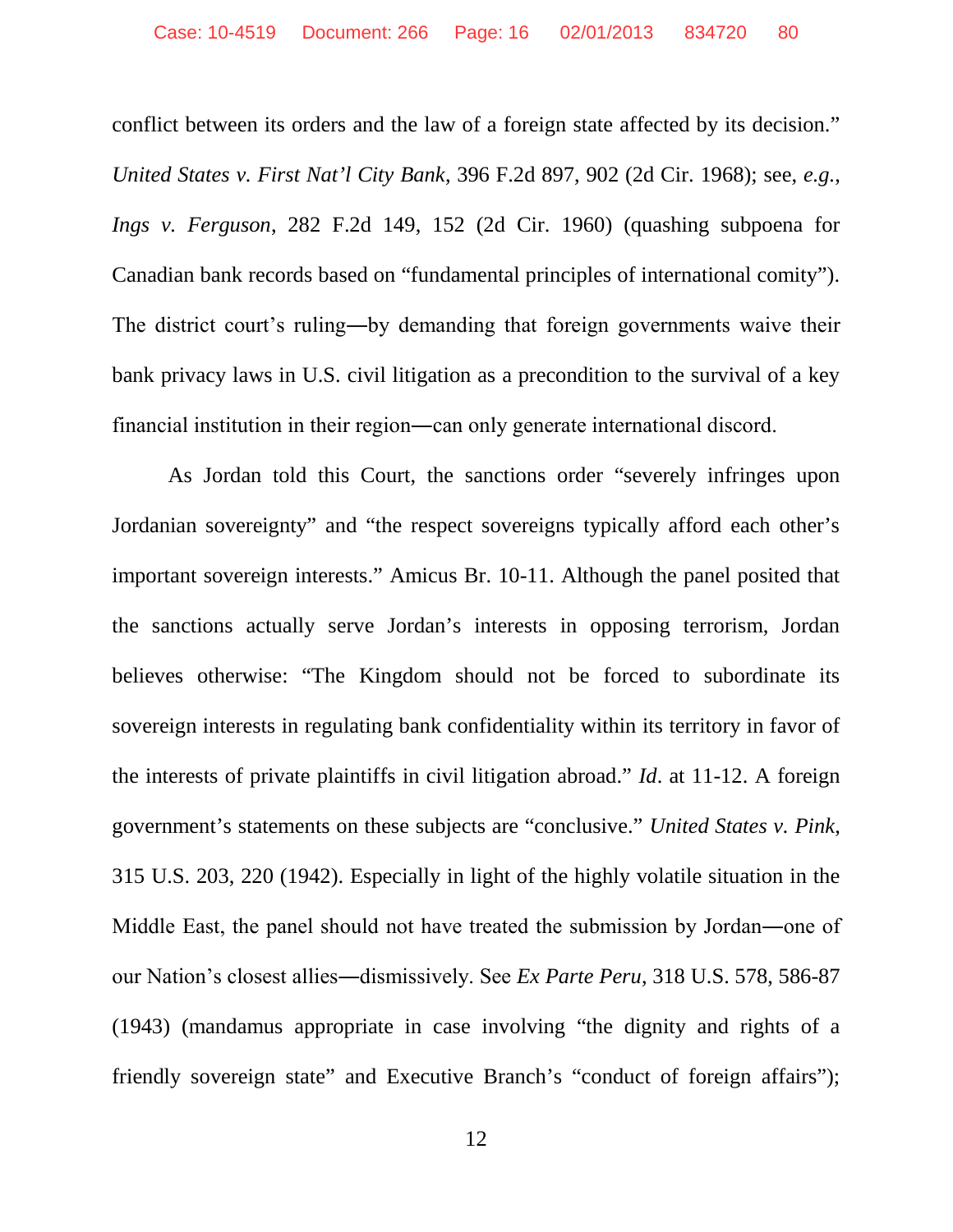conflict between its orders and the law of a foreign state affected by its decision." *United States v. First Nat'l City Bank*, 396 F.2d 897, 902 (2d Cir. 1968); see, *e.g.*, *Ings v. Ferguson*, 282 F.2d 149, 152 (2d Cir. 1960) (quashing subpoena for Canadian bank records based on "fundamental principles of international comity"). The district court's ruling―by demanding that foreign governments waive their bank privacy laws in U.S. civil litigation as a precondition to the survival of a key financial institution in their region―can only generate international discord.

As Jordan told this Court, the sanctions order "severely infringes upon Jordanian sovereignty" and "the respect sovereigns typically afford each other's important sovereign interests." Amicus Br. 10-11. Although the panel posited that the sanctions actually serve Jordan's interests in opposing terrorism, Jordan believes otherwise: "The Kingdom should not be forced to subordinate its sovereign interests in regulating bank confidentiality within its territory in favor of the interests of private plaintiffs in civil litigation abroad." *Id*. at 11-12. A foreign government's statements on these subjects are "conclusive." *United States v. Pink*, 315 U.S. 203, 220 (1942). Especially in light of the highly volatile situation in the Middle East, the panel should not have treated the submission by Jordan―one of our Nation's closest allies―dismissively. See *Ex Parte Peru*, 318 U.S. 578, 586-87 (1943) (mandamus appropriate in case involving "the dignity and rights of a friendly sovereign state" and Executive Branch's "conduct of foreign affairs");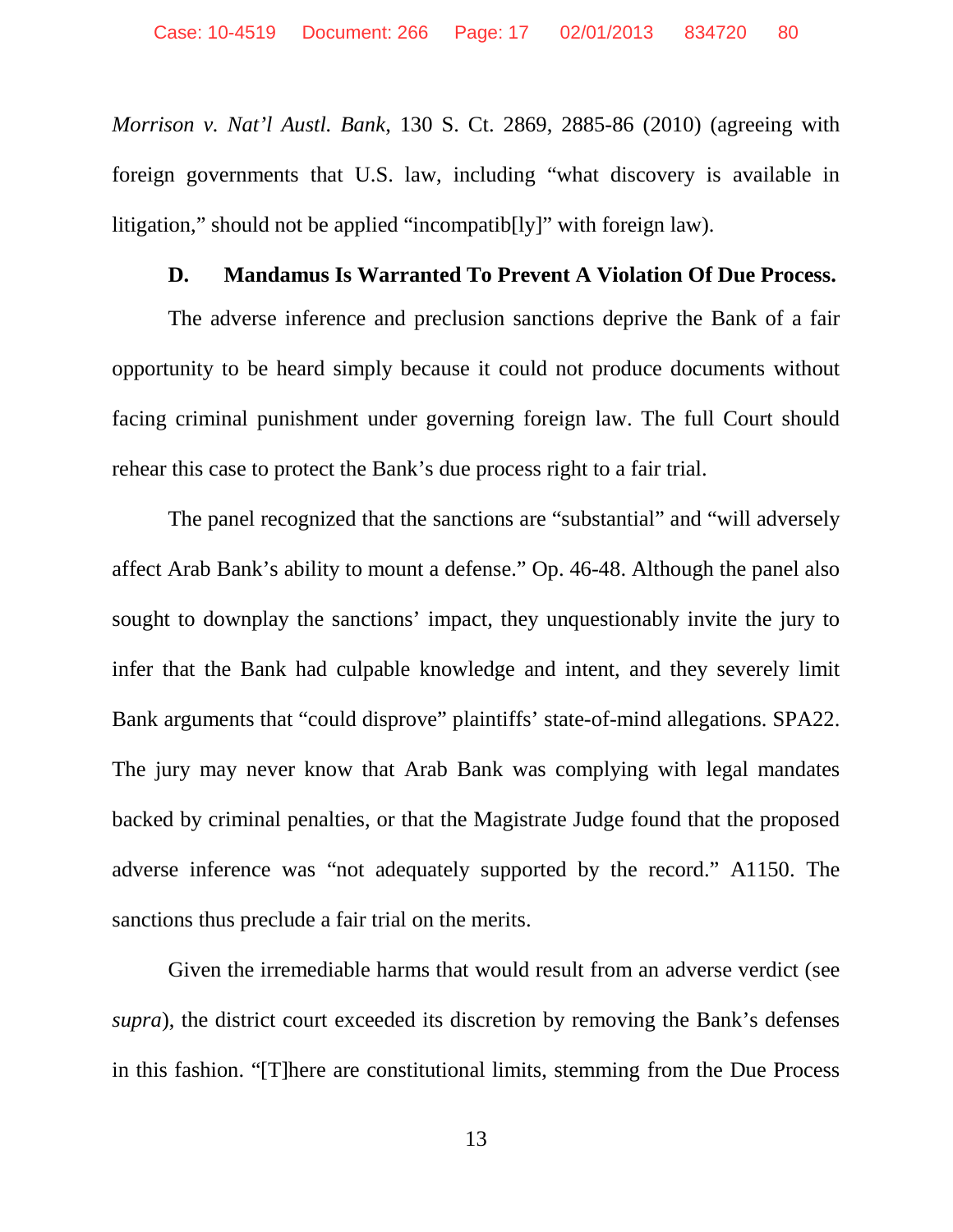*Morrison v. Nat'l Austl. Bank*, 130 S. Ct. 2869, 2885-86 (2010) (agreeing with foreign governments that U.S. law, including "what discovery is available in litigation," should not be applied "incompatib[ly]" with foreign law).

#### <span id="page-16-0"></span>**D. Mandamus Is Warranted To Prevent A Violation Of Due Process.**

The adverse inference and preclusion sanctions deprive the Bank of a fair opportunity to be heard simply because it could not produce documents without facing criminal punishment under governing foreign law. The full Court should rehear this case to protect the Bank's due process right to a fair trial.

The panel recognized that the sanctions are "substantial" and "will adversely affect Arab Bank's ability to mount a defense." Op. 46-48. Although the panel also sought to downplay the sanctions' impact, they unquestionably invite the jury to infer that the Bank had culpable knowledge and intent, and they severely limit Bank arguments that "could disprove" plaintiffs' state-of-mind allegations. SPA22. The jury may never know that Arab Bank was complying with legal mandates backed by criminal penalties, or that the Magistrate Judge found that the proposed adverse inference was "not adequately supported by the record." A1150. The sanctions thus preclude a fair trial on the merits.

Given the irremediable harms that would result from an adverse verdict (see *supra*), the district court exceeded its discretion by removing the Bank's defenses in this fashion. "[T]here are constitutional limits, stemming from the Due Process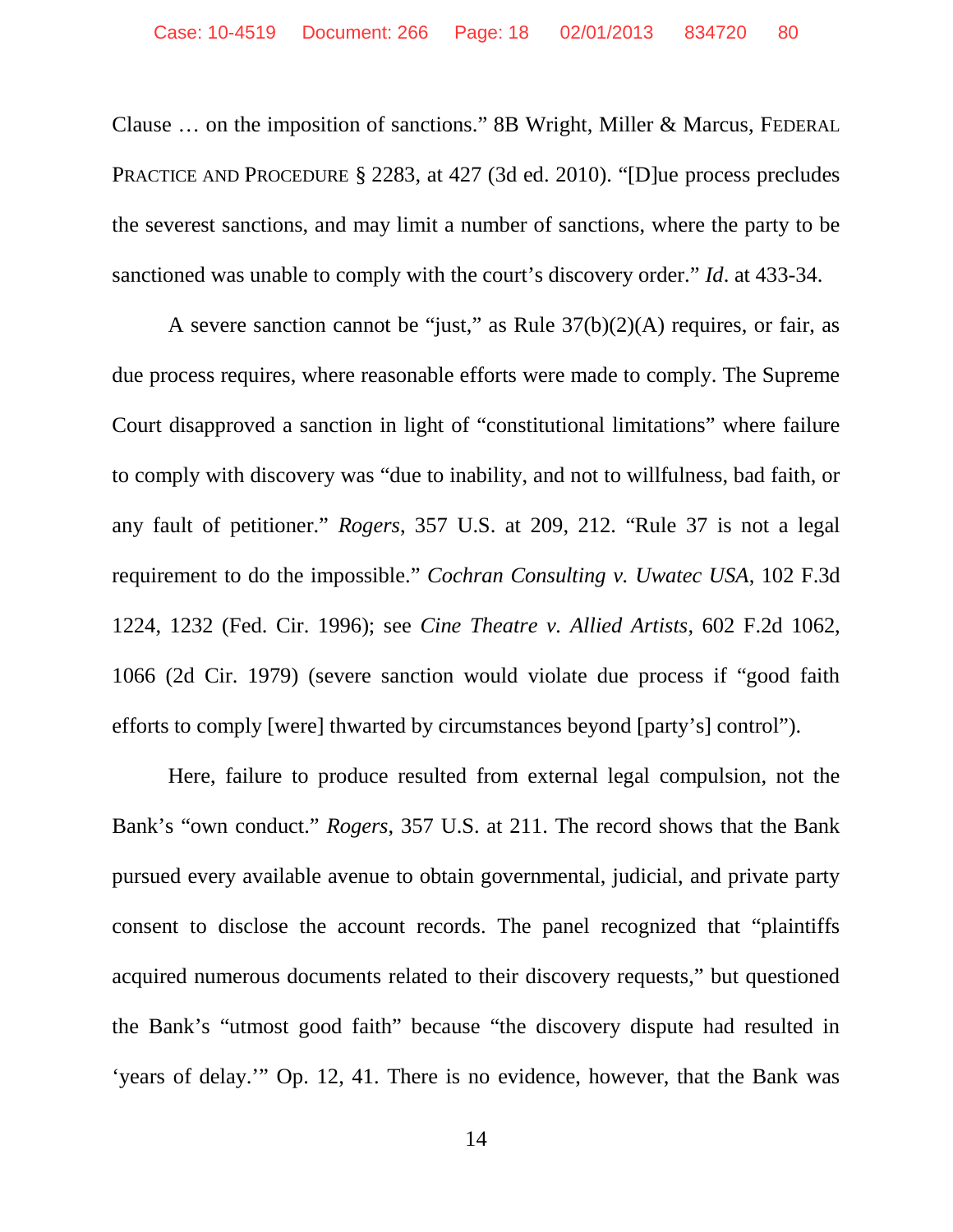Clause … on the imposition of sanctions." 8B Wright, Miller & Marcus, FEDERAL PRACTICE AND PROCEDURE § 2283, at 427 (3d ed. 2010). "[D]ue process precludes the severest sanctions, and may limit a number of sanctions, where the party to be sanctioned was unable to comply with the court's discovery order." *Id*. at 433-34.

A severe sanction cannot be "just," as Rule  $37(b)(2)(A)$  requires, or fair, as due process requires, where reasonable efforts were made to comply. The Supreme Court disapproved a sanction in light of "constitutional limitations" where failure to comply with discovery was "due to inability, and not to willfulness, bad faith, or any fault of petitioner." *Rogers*, 357 U.S. at 209, 212. "Rule 37 is not a legal requirement to do the impossible." *Cochran Consulting v. Uwatec USA*, 102 F.3d 1224, 1232 (Fed. Cir. 1996); see *Cine Theatre v. Allied Artists*, 602 F.2d 1062, 1066 (2d Cir. 1979) (severe sanction would violate due process if "good faith efforts to comply [were] thwarted by circumstances beyond [party's] control").

Here, failure to produce resulted from external legal compulsion, not the Bank's "own conduct." *Rogers*, 357 U.S. at 211. The record shows that the Bank pursued every available avenue to obtain governmental, judicial, and private party consent to disclose the account records. The panel recognized that "plaintiffs acquired numerous documents related to their discovery requests," but questioned the Bank's "utmost good faith" because "the discovery dispute had resulted in 'years of delay.'" Op. 12, 41. There is no evidence, however, that the Bank was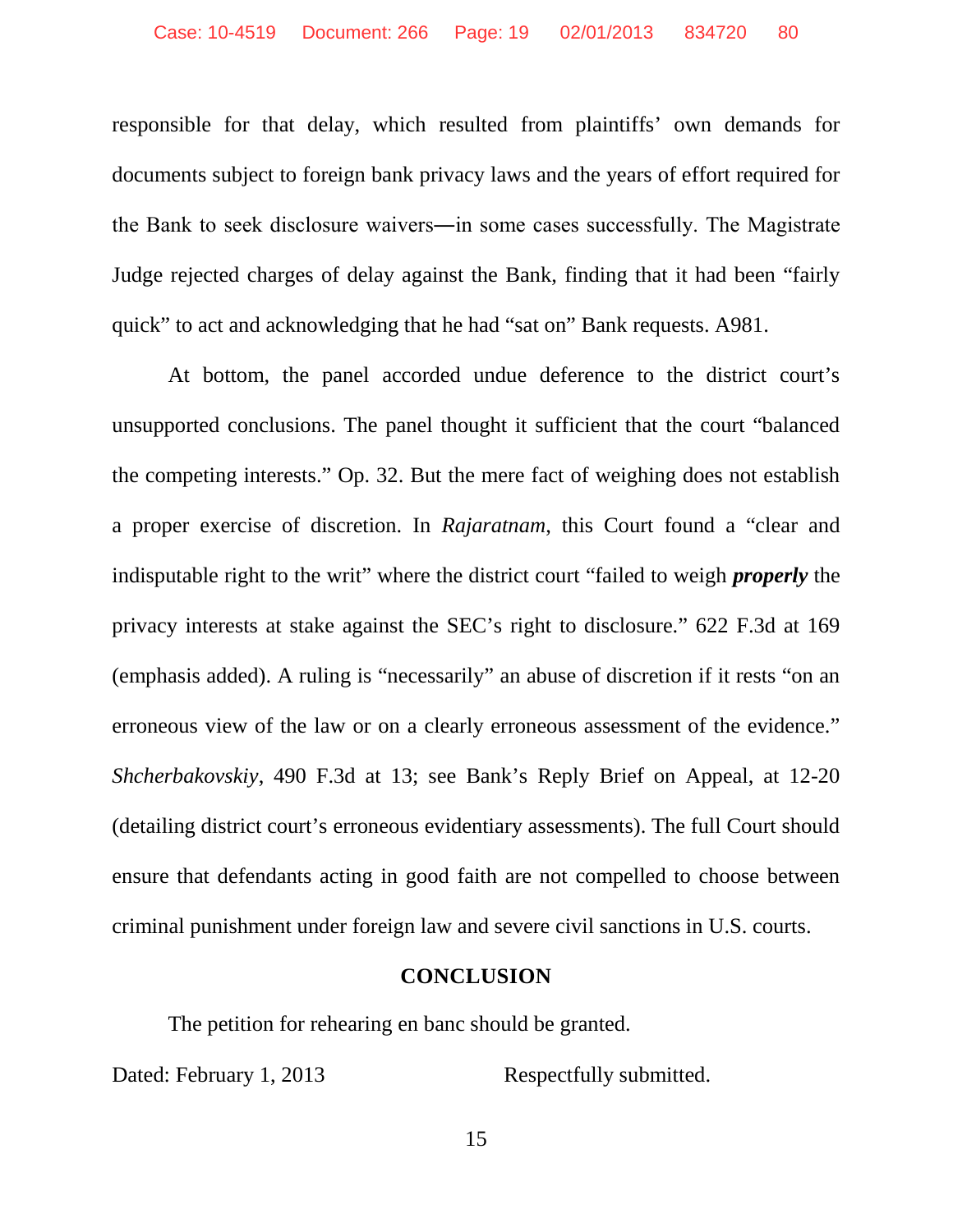responsible for that delay, which resulted from plaintiffs' own demands for documents subject to foreign bank privacy laws and the years of effort required for the Bank to seek disclosure waivers―in some cases successfully. The Magistrate Judge rejected charges of delay against the Bank, finding that it had been "fairly quick" to act and acknowledging that he had "sat on" Bank requests. A981.

At bottom, the panel accorded undue deference to the district court's unsupported conclusions. The panel thought it sufficient that the court "balanced the competing interests." Op. 32. But the mere fact of weighing does not establish a proper exercise of discretion. In *Rajaratnam*, this Court found a "clear and indisputable right to the writ" where the district court "failed to weigh *properly* the privacy interests at stake against the SEC's right to disclosure." 622 F.3d at 169 (emphasis added). A ruling is "necessarily" an abuse of discretion if it rests "on an erroneous view of the law or on a clearly erroneous assessment of the evidence." *Shcherbakovskiy*, 490 F.3d at 13; see Bank's Reply Brief on Appeal, at 12-20 (detailing district court's erroneous evidentiary assessments). The full Court should ensure that defendants acting in good faith are not compelled to choose between criminal punishment under foreign law and severe civil sanctions in U.S. courts.

#### <span id="page-18-0"></span>**CONCLUSION**

The petition for rehearing en banc should be granted.

Dated: February 1, 2013 Respectfully submitted.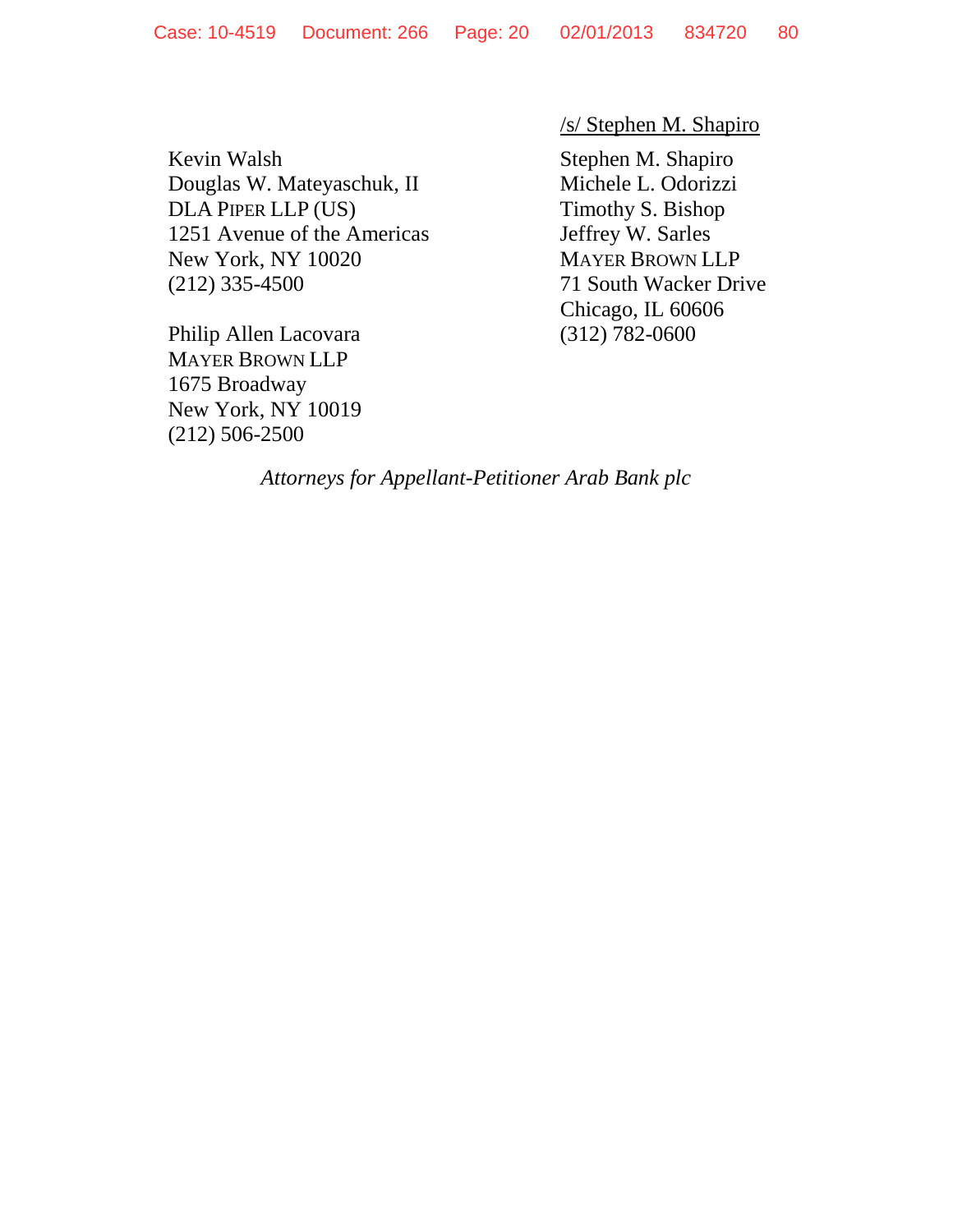Kevin Walsh Stephen M. Shapiro Douglas W. Mateyaschuk, II Michele L. Odorizzi DLA PIPER LLP (US) Timothy S. Bishop 1251 Avenue of the Americas Jeffrey W. Sarles New York, NY 10020 MAYER BROWN LLP (212) 335-4500 71 South Wacker Drive

Philip Allen Lacovara (312) 782-0600 MAYER BROWN LLP 1675 Broadway New York, NY 10019 (212) 506-2500

/s/ Stephen M. Shapiro

Chicago, IL 60606

*Attorneys for Appellant-Petitioner Arab Bank plc*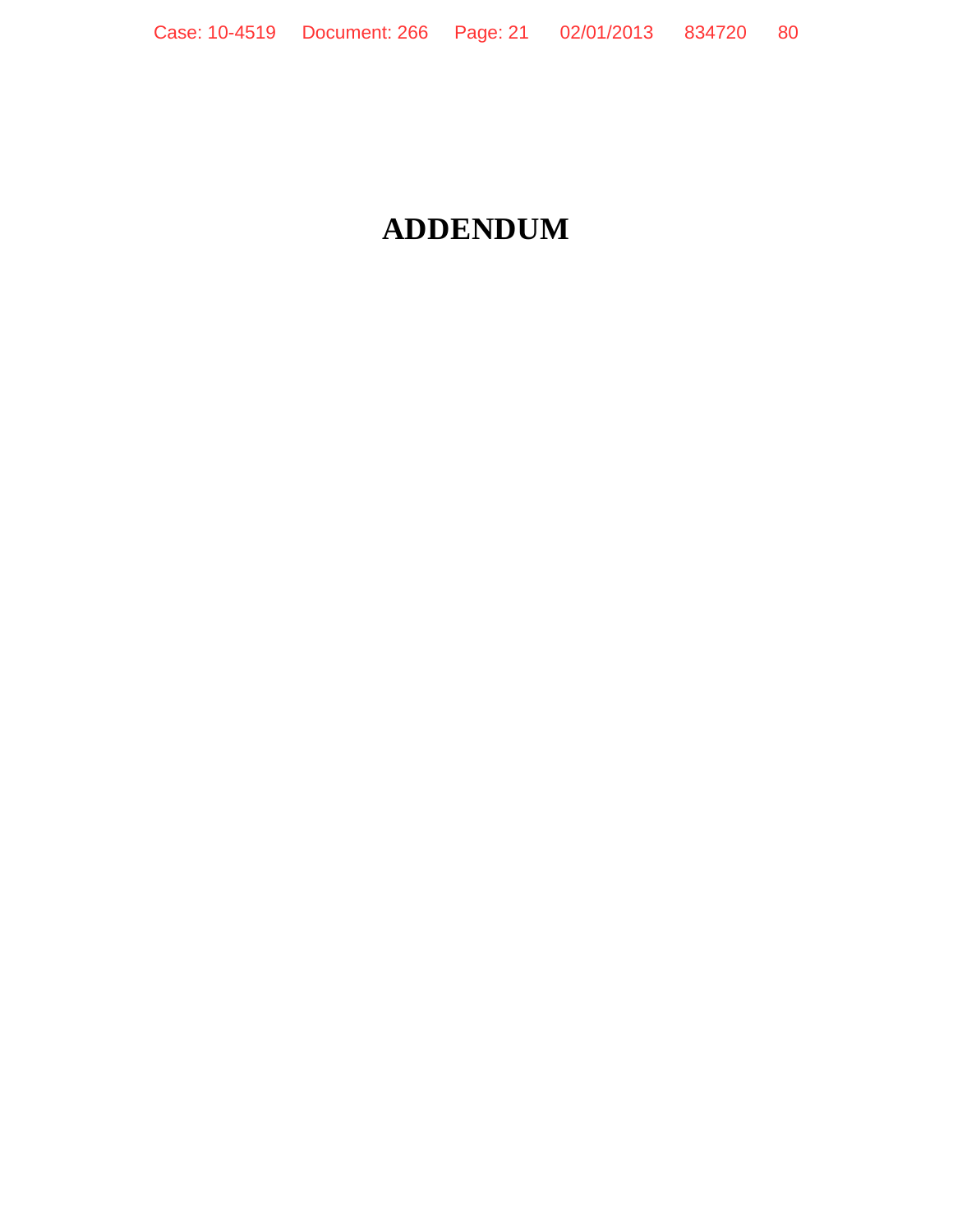## **ADDENDUM**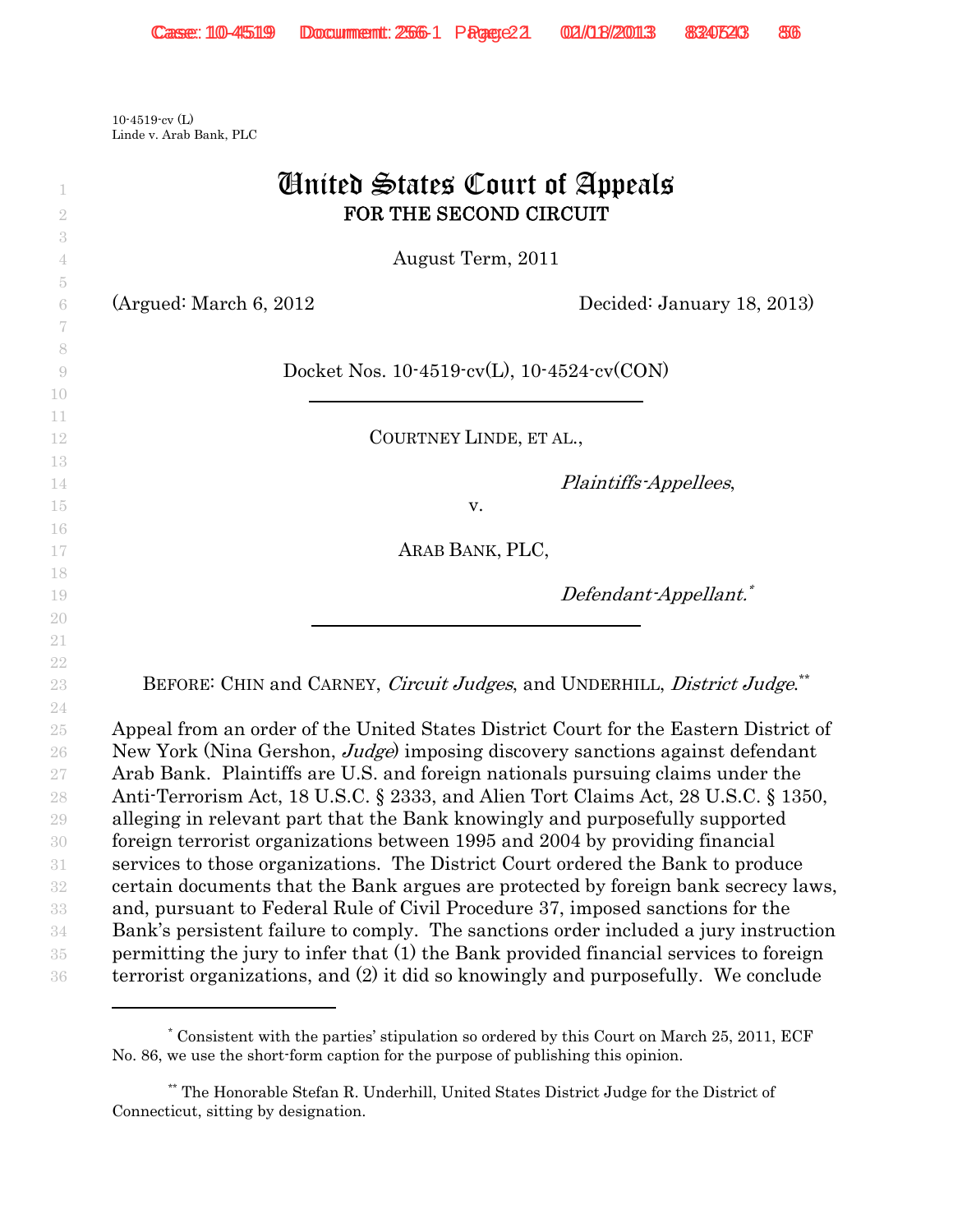10-4519-cv (L) Linde v. Arab Bank, PLC

|                         | <b><i>Cinited States Court of Appeals</i></b><br>FOR THE SECOND CIRCUIT                                                                                                       |
|-------------------------|-------------------------------------------------------------------------------------------------------------------------------------------------------------------------------|
|                         | August Term, 2011                                                                                                                                                             |
| (Argued: March 6, 2012) | Decided: January 18, 2013)                                                                                                                                                    |
|                         | Docket Nos. $10-4519$ cv(L), $10-4524$ cv(CON)                                                                                                                                |
|                         | COURTNEY LINDE, ET AL.,                                                                                                                                                       |
|                         | Plaintiffs-Appellees,                                                                                                                                                         |
|                         | V.                                                                                                                                                                            |
|                         | ARAB BANK, PLC,                                                                                                                                                               |
|                         | Defendant-Appellant. <sup>*</sup>                                                                                                                                             |
|                         |                                                                                                                                                                               |
|                         | BEFORE: CHIN and CARNEY, Circuit Judges, and UNDERHILL, District Judge.                                                                                                       |
|                         |                                                                                                                                                                               |
|                         | Appeal from an order of the United States District Court for the Eastern District of<br>New York (Nina Gershon, <i>Judge</i> ) imposing discovery sanctions against defendant |
|                         | Arab Bank. Plaintiffs are U.S. and foreign nationals pursuing claims under the                                                                                                |
|                         | Anti-Terrorism Act, 18 U.S.C. § 2333, and Alien Tort Claims Act, 28 U.S.C. § 1350,                                                                                            |
|                         | alleging in relevant part that the Bank knowingly and purposefully supported                                                                                                  |
|                         | foreign terrorist organizations between 1995 and 2004 by providing financial                                                                                                  |
|                         | services to those organizations. The District Court ordered the Bank to produce                                                                                               |
|                         | certain documents that the Bank argues are protected by foreign bank secrecy laws,                                                                                            |
|                         | and, pursuant to Federal Rule of Civil Procedure 37, imposed sanctions for the                                                                                                |
|                         | Bank's persistent failure to comply. The sanctions order included a jury instruction<br>permitting the jury to infer that (1) the Bank provided financial services to foreign |
|                         | terrorist organizations, and (2) it did so knowingly and purposefully. We conclude                                                                                            |

<sup>\*</sup> Consistent with the parties' stipulation so ordered by this Court on March 25, 2011, ECF No. 86, we use the short-form caption for the purpose of publishing this opinion.

<sup>\*\*</sup> The Honorable Stefan R. Underhill, United States District Judge for the District of Connecticut, sitting by designation.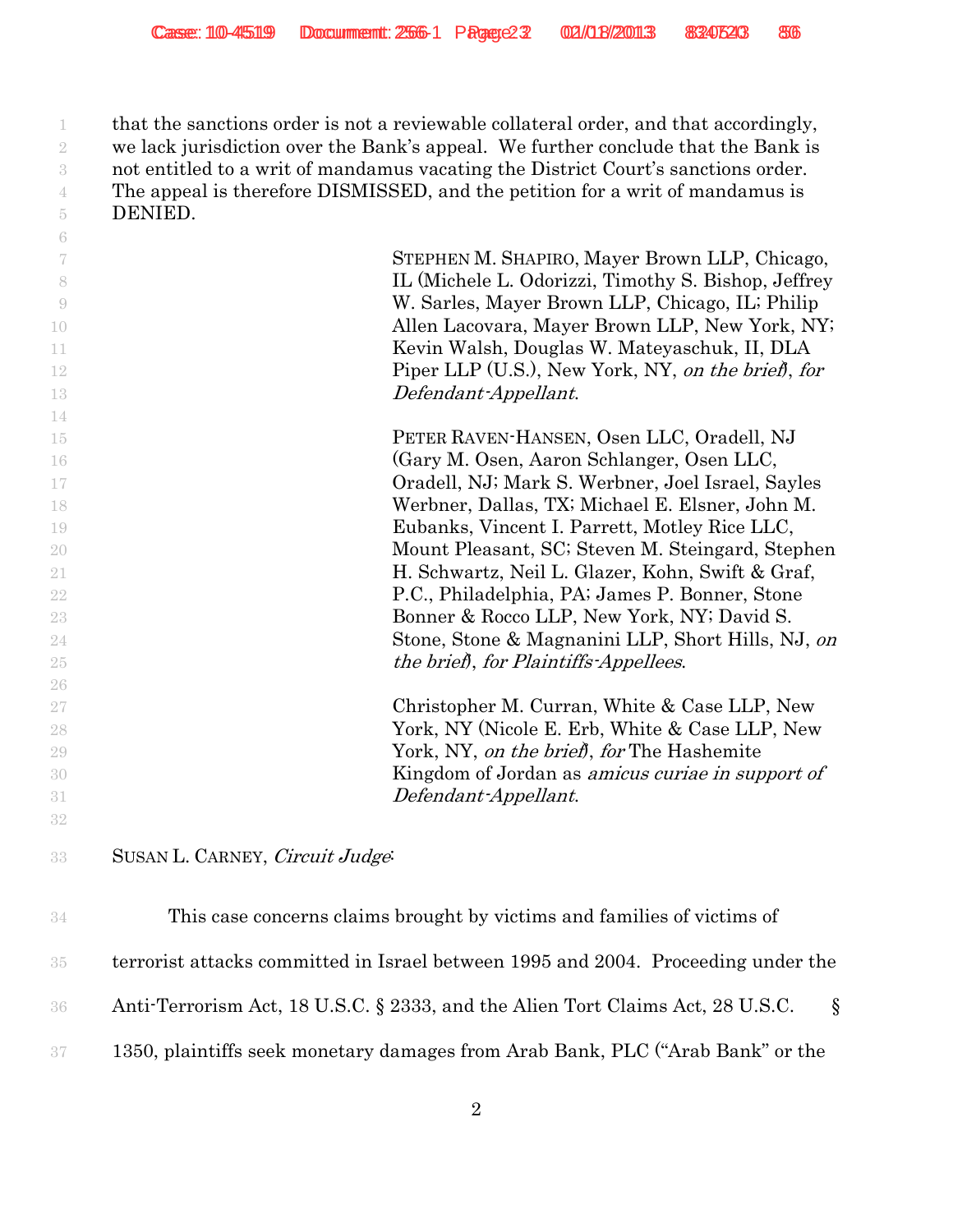that the sanctions order is not a reviewable collateral order, and that accordingly, we lack jurisdiction over the Bank's appeal. We further conclude that the Bank is not entitled to a writ of mandamus vacating the District Court's sanctions order. The appeal is therefore DISMISSED, and the petition for a writ of mandamus is DENIED.

| -6                       |                                                         |
|--------------------------|---------------------------------------------------------|
| $\overline{\mathcal{U}}$ | STEPHEN M. SHAPIRO, Mayer Brown LLP, Chicago,           |
| 8                        | IL (Michele L. Odorizzi, Timothy S. Bishop, Jeffrey     |
| -9                       | W. Sarles, Mayer Brown LLP, Chicago, IL; Philip         |
| 10                       | Allen Lacovara, Mayer Brown LLP, New York, NY;          |
| 11                       | Kevin Walsh, Douglas W. Mateyaschuk, II, DLA            |
| 12                       | Piper LLP (U.S.), New York, NY, on the brief, for       |
| 13                       | Defendant-Appellant.                                    |
| 14                       |                                                         |
| 15                       | PETER RAVEN-HANSEN, Osen LLC, Oradell, NJ               |
| 16                       | (Gary M. Osen, Aaron Schlanger, Osen LLC,               |
| $17\,$                   | Oradell, NJ; Mark S. Werbner, Joel Israel, Sayles       |
| 18                       | Werbner, Dallas, TX; Michael E. Elsner, John M.         |
| 19                       | Eubanks, Vincent I. Parrett, Motley Rice LLC,           |
| 20                       | Mount Pleasant, SC; Steven M. Steingard, Stephen        |
| 21                       | H. Schwartz, Neil L. Glazer, Kohn, Swift & Graf,        |
| 22                       | P.C., Philadelphia, PA; James P. Bonner, Stone          |
| 23                       | Bonner & Rocco LLP, New York, NY; David S.              |
| 24                       | Stone, Stone & Magnanini LLP, Short Hills, NJ, on       |
| $25\,$                   | the brief, for Plaintiffs-Appellees.                    |
| 26                       |                                                         |
| 27                       | Christopher M. Curran, White & Case LLP, New            |
| 28                       | York, NY (Nicole E. Erb, White & Case LLP, New          |
| 29                       | York, NY, on the brief, for The Hashemite               |
| 30                       | Kingdom of Jordan as <i>amicus curiae in support of</i> |
| 31                       | Defendant-Appellant.                                    |
| 32                       |                                                         |
|                          |                                                         |
| 33                       | SUSAN L. CARNEY, Circuit Judge:                         |

| 34              | This case concerns claims brought by victims and families of victims of                    |
|-----------------|--------------------------------------------------------------------------------------------|
| 35 <sub>1</sub> | terrorist attacks committed in Israel between 1995 and 2004. Proceeding under the          |
| 36 <sup>°</sup> | Anti-Terrorism Act, 18 U.S.C. § 2333, and the Alien Tort Claims Act, 28 U.S.C.<br>$\delta$ |
| 37              | 1350, plaintiffs seek monetary damages from Arab Bank, PLC ("Arab Bank" or the             |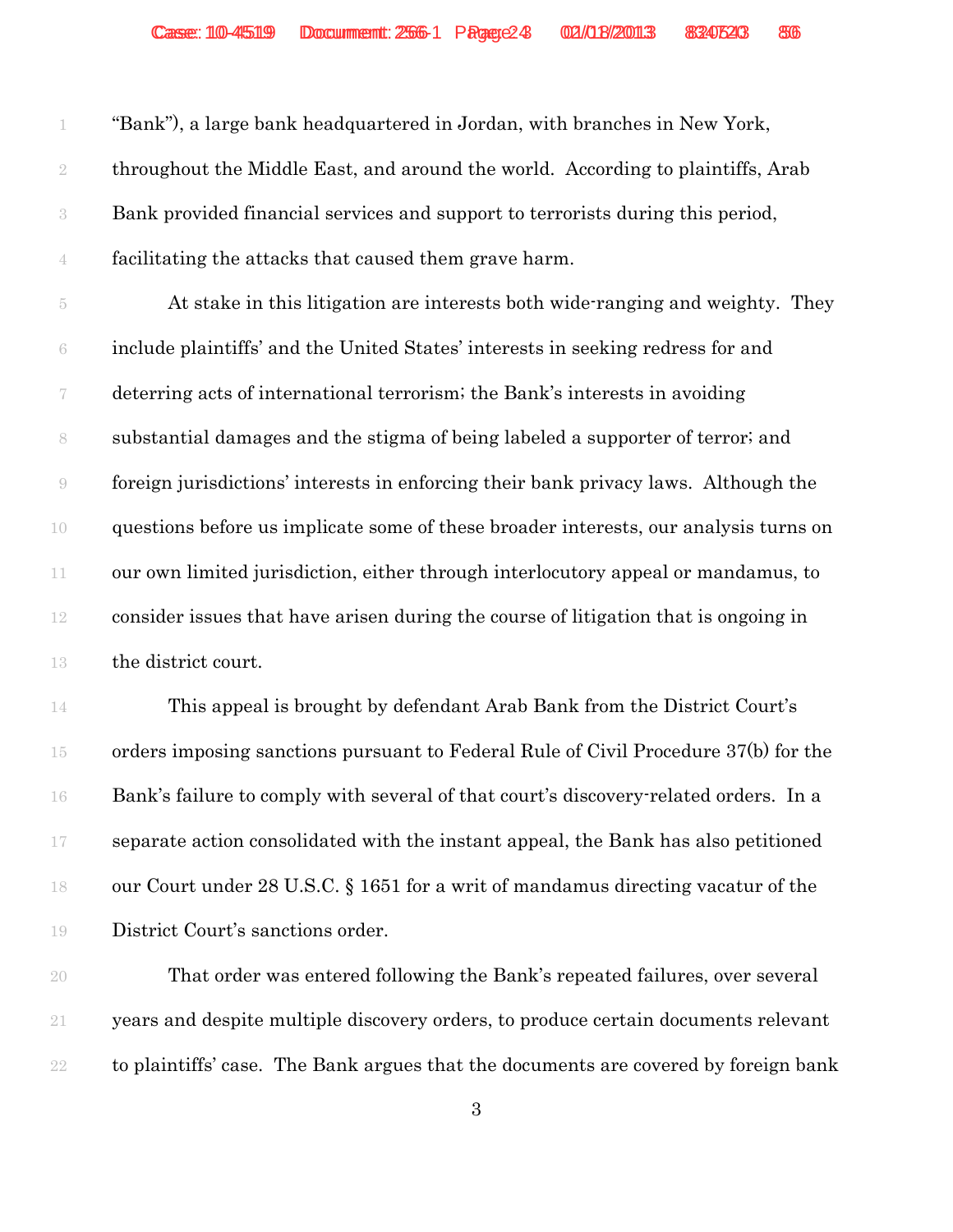| 1                        | "Bank"), a large bank headquartered in Jordan, with branches in New York,            |
|--------------------------|--------------------------------------------------------------------------------------|
| $\sqrt{2}$               | throughout the Middle East, and around the world. According to plaintiffs, Arab      |
| $\sqrt{3}$               | Bank provided financial services and support to terrorists during this period,       |
| $\mathbf 4$              | facilitating the attacks that caused them grave harm.                                |
| $\tilde{\text{5}}$       | At stake in this litigation are interests both wide-ranging and weighty. They        |
| $\rm 6$                  | include plaintiffs' and the United States' interests in seeking redress for and      |
| $\overline{\mathcal{C}}$ | deterring acts of international terrorism; the Bank's interests in avoiding          |
| $\,$ $\,$                | substantial damages and the stigma of being labeled a supporter of terror; and       |
| $\Theta$                 | foreign jurisdictions' interests in enforcing their bank privacy laws. Although the  |
| 10                       | questions before us implicate some of these broader interests, our analysis turns on |
| 11                       | our own limited jurisdiction, either through interlocutory appeal or mandamus, to    |
| $12\,$                   | consider issues that have arisen during the course of litigation that is ongoing in  |
| 13                       | the district court.                                                                  |
| 14                       | This appeal is brought by defendant Arab Bank from the District Court's              |
| 15                       | orders imposing sanctions pursuant to Federal Rule of Civil Procedure 37(b) for the  |
| 16                       | Bank's failure to comply with several of that court's discovery-related orders. In a |
| 17                       | separate action consolidated with the instant appeal, the Bank has also petitioned   |
| 18                       | our Court under 28 U.S.C. § 1651 for a writ of mandamus directing vacatur of the     |
| 19                       | District Court's sanctions order.                                                    |
| 20                       | That order was entered following the Bank's repeated failures, over several          |
| 21                       | years and despite multiple discovery orders, to produce certain documents relevant   |
| $22\,$                   | to plaintiffs' case. The Bank argues that the documents are covered by foreign bank  |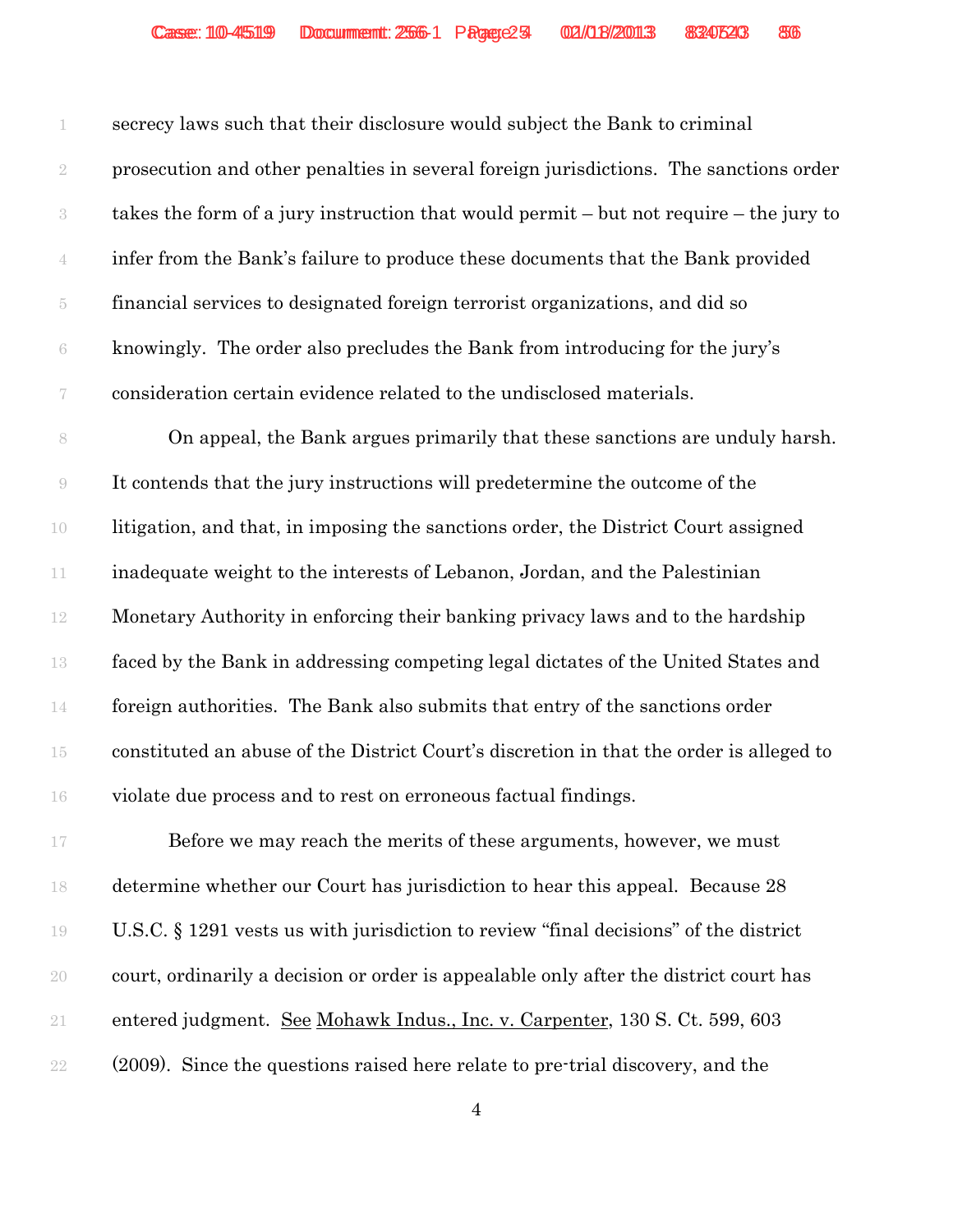secrecy laws such that their disclosure would subject the Bank to criminal prosecution and other penalties in several foreign jurisdictions. The sanctions order takes the form of a jury instruction that would permit – but not require – the jury to infer from the Bank's failure to produce these documents that the Bank provided financial services to designated foreign terrorist organizations, and did so knowingly. The order also precludes the Bank from introducing for the jury's consideration certain evidence related to the undisclosed materials.

8 On appeal, the Bank argues primarily that these sanctions are unduly harsh. It contends that the jury instructions will predetermine the outcome of the litigation, and that, in imposing the sanctions order, the District Court assigned inadequate weight to the interests of Lebanon, Jordan, and the Palestinian Monetary Authority in enforcing their banking privacy laws and to the hardship faced by the Bank in addressing competing legal dictates of the United States and foreign authorities. The Bank also submits that entry of the sanctions order constituted an abuse of the District Court's discretion in that the order is alleged to violate due process and to rest on erroneous factual findings.

**Before we may reach the merits of these arguments, however, we must**  determine whether our Court has jurisdiction to hear this appeal. Because 28 U.S.C. § 1291 vests us with jurisdiction to review "final decisions" of the district court, ordinarily a decision or order is appealable only after the district court has entered judgment. See Mohawk Indus., Inc. v. Carpenter, 130 S. Ct. 599, 603 (2009). Since the questions raised here relate to pre-trial discovery, and the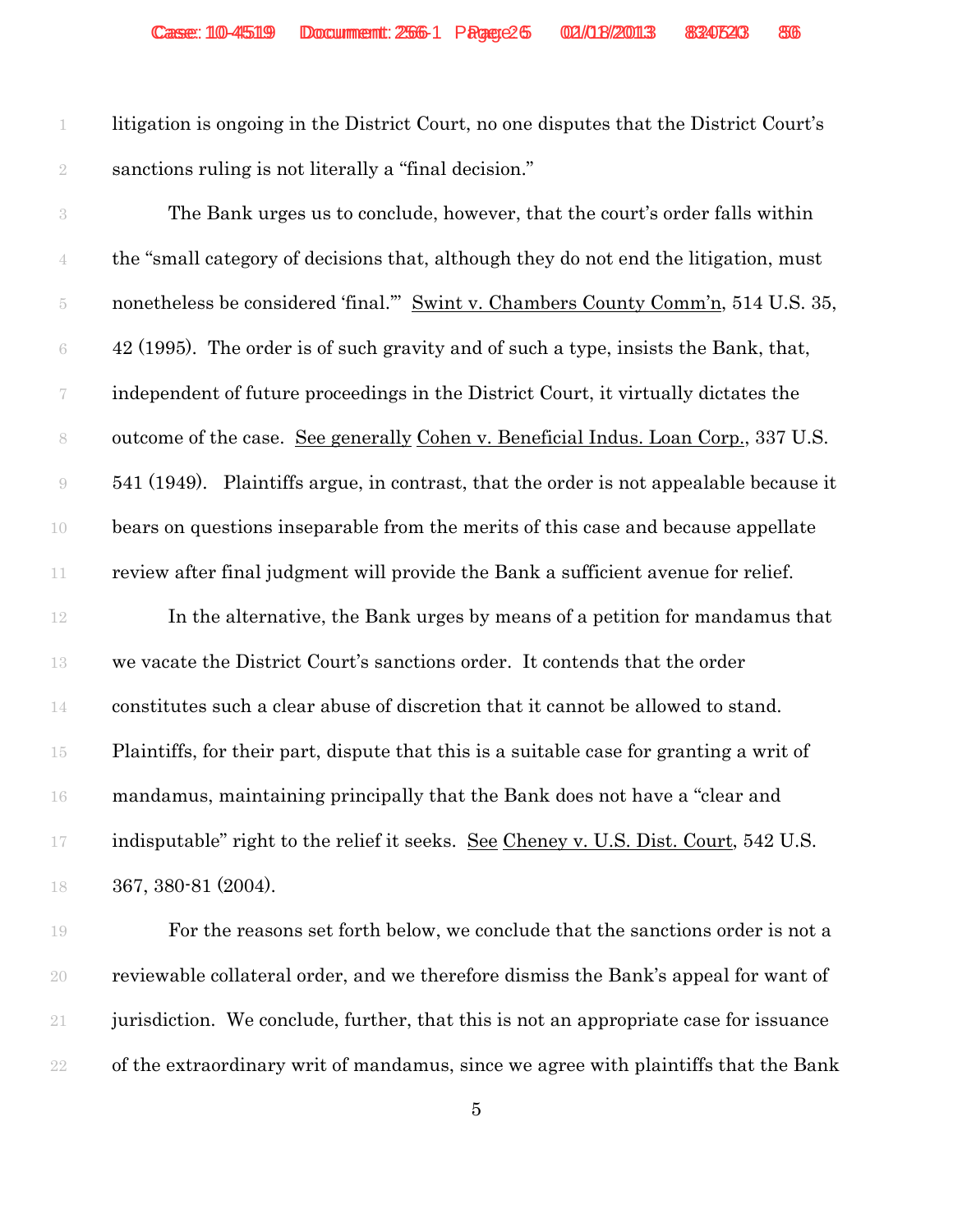litigation is ongoing in the District Court, no one disputes that the District Court's sanctions ruling is not literally a "final decision."

 The Bank urges us to conclude, however, that the court's order falls within the "small category of decisions that, although they do not end the litigation, must 5 nonetheless be considered 'final." Swint v. Chambers County Comm'n, 514 U.S. 35,  $6 \times 42$  (1995). The order is of such gravity and of such a type, insists the Bank, that, independent of future proceedings in the District Court, it virtually dictates the outcome of the case. See generally Cohen v. Beneficial Indus. Loan Corp., 337 U.S. 541 (1949). Plaintiffs argue, in contrast, that the order is not appealable because it bears on questions inseparable from the merits of this case and because appellate review after final judgment will provide the Bank a sufficient avenue for relief.

 In the alternative, the Bank urges by means of a petition for mandamus that we vacate the District Court's sanctions order. It contends that the order constitutes such a clear abuse of discretion that it cannot be allowed to stand. Plaintiffs, for their part, dispute that this is a suitable case for granting a writ of mandamus, maintaining principally that the Bank does not have a "clear and 17 indisputable" right to the relief it seeks. See Cheney v. U.S. Dist. Court, 542 U.S. 367, 380-81 (2004).

 For the reasons set forth below, we conclude that the sanctions order is not a reviewable collateral order, and we therefore dismiss the Bank's appeal for want of jurisdiction. We conclude, further, that this is not an appropriate case for issuance of the extraordinary writ of mandamus, since we agree with plaintiffs that the Bank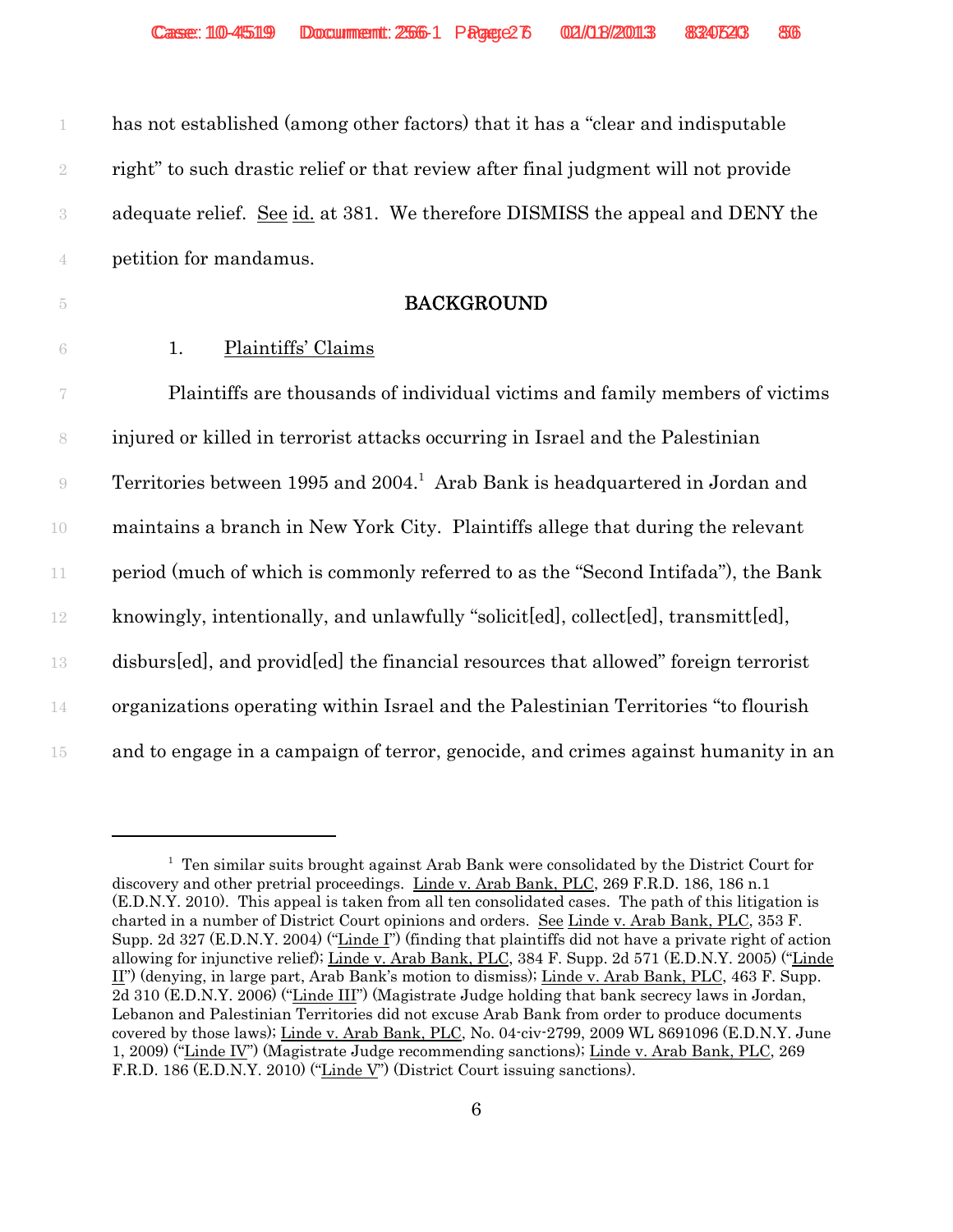| has not established (among other factors) that it has a "clear and indisputable    |
|------------------------------------------------------------------------------------|
| right" to such drastic relief or that review after final judgment will not provide |
| adequate relief. See id. at 381. We therefore DISMISS the appeal and DENY the      |
| petition for mandamus.                                                             |

#### 5 **BACKGROUND**

6 1. Plaintiffs' Claims

 Plaintiffs are thousands of individual victims and family members of victims injured or killed in terrorist attacks occurring in Israel and the Palestinian 9 Territories between 1995 and 2004.<sup>1</sup> Arab Bank is headquartered in Jordan and maintains a branch in New York City. Plaintiffs allege that during the relevant period (much of which is commonly referred to as the "Second Intifada"), the Bank knowingly, intentionally, and unlawfully "solicit[ed], collect[ed], transmitt[ed], disburs[ed], and provid[ed] the financial resources that allowed" foreign terrorist organizations operating within Israel and the Palestinian Territories "to flourish and to engage in a campaign of terror, genocide, and crimes against humanity in an

supp. 2d 327 (E.D.N.T. 2004) ( $\frac{\text{Line } 1}{\text{Line } v}$ , Analysian paintins and not have a private right of action<br>allowing for injunctive relief); <u>Linde v. Arab Bank, PLC</u>, 384 F. Supp. 2d 571 (E.D.N.Y. 2005) ("<u>Linde<br>II</u>") ( <sup>1</sup> Ten similar suits brought against Arab Bank were consolidated by the District Court for discovery and other pretrial proceedings. Linde v. Arab Bank, PLC, 269 F.R.D. 186, 186 n.1 (E.D.N.Y. 2010). This appeal is taken from all ten consolidated cases. The path of this litigation is charted in a number of District Court opinions and orders. See Linde v. Arab Bank, PLC, 353 F. Supp. 2d 327 (E.D.N.Y. 2004) ("Linde I") (finding that plaintiffs did not have a private right of action II") (denying, in large part, Arab Bank's motion to dismiss); Linde v. Arab Bank, PLC, 463 F. Supp. 2d 310 (E.D.N.Y. 2006) ("Linde III") (Magistrate Judge holding that bank secrecy laws in Jordan, Lebanon and Palestinian Territories did not excuse Arab Bank from order to produce documents covered by those laws); Linde v. Arab Bank, PLC, No. 04-civ-2799, 2009 WL 8691096 (E.D.N.Y. June 1, 2009) ("Linde IV") (Magistrate Judge recommending sanctions); Linde v. Arab Bank, PLC, 269 F.R.D. 186 (E.D.N.Y. 2010) ("Linde V") (District Court issuing sanctions).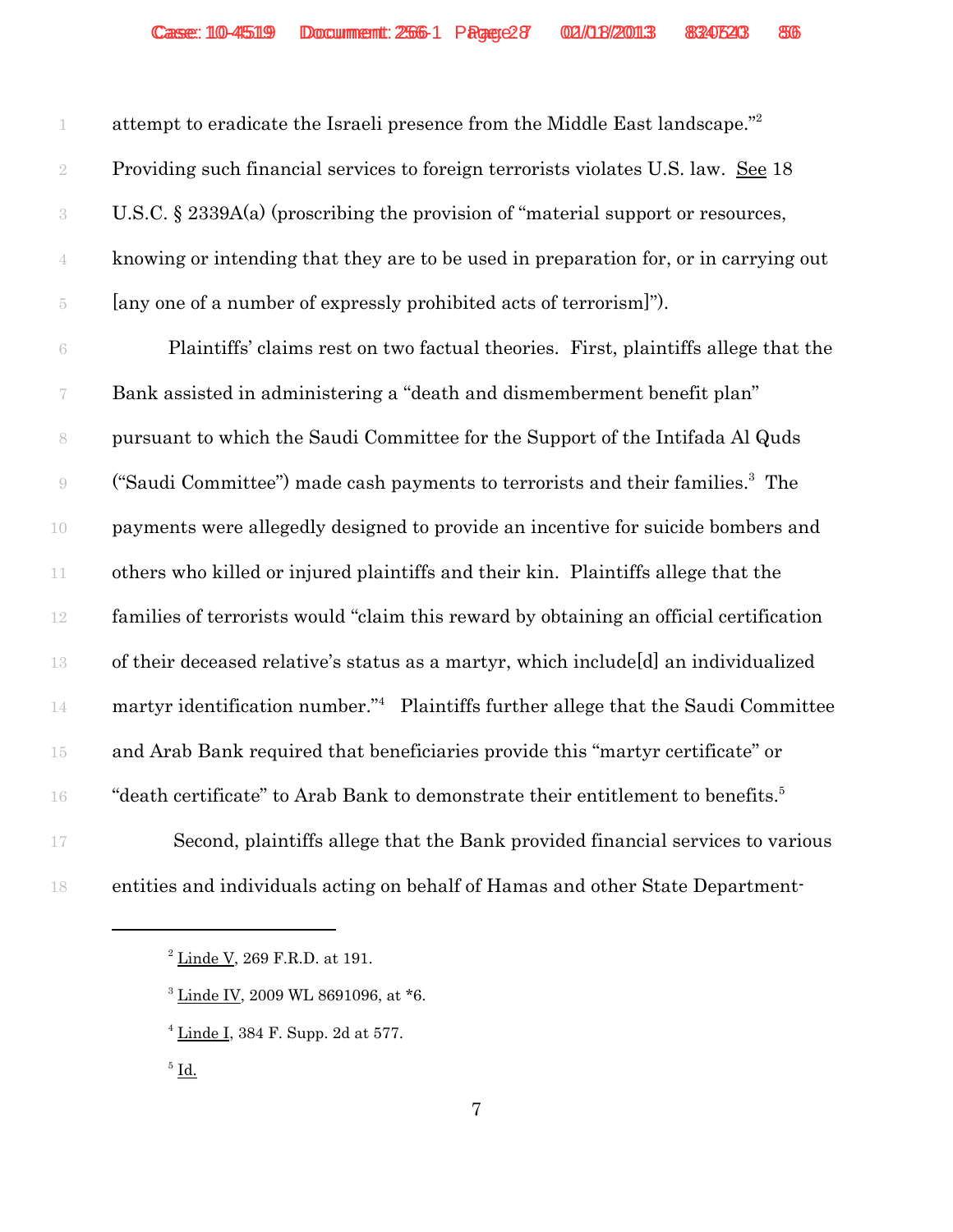1 attempt to eradicate the Israeli presence from the Middle East landscape."<sup>2</sup> Providing such financial services to foreign terrorists violates U.S. law. See 18 U.S.C. § 2339A(a) (proscribing the provision of "material support or resources, knowing or intending that they are to be used in preparation for, or in carrying out [any one of a number of expressly prohibited acts of terrorism]").

 Plaintiffs' claims rest on two factual theories. First, plaintiffs allege that the Bank assisted in administering a "death and dismemberment benefit plan" pursuant to which the Saudi Committee for the Support of the Intifada Al Quds ("Saudi Committee") made cash payments to terrorists and their families.3 9 The payments were allegedly designed to provide an incentive for suicide bombers and others who killed or injured plaintiffs and their kin. Plaintiffs allege that the families of terrorists would "claim this reward by obtaining an official certification of their deceased relative's status as a martyr, which include[d] an individualized 14 martyr identification number." Plaintiffs further allege that the Saudi Committee and Arab Bank required that beneficiaries provide this "martyr certificate" or <sup>16</sup> "death certificate" to Arab Bank to demonstrate their entitlement to benefits.<sup>5</sup> 17 Second, plaintiffs allege that the Bank provided financial services to various entities and individuals acting on behalf of Hamas and other State Department-

 $^2$  <u>Linde V,</u> 269 F.R.D. at 191.

Linde IV, 2009 WL 8691096, at  $*$ 6.

 $4 \underline{\text{Line I}}$ , 384 F. Supp. 2d at 577.

 $^5$   $\underline{\mathrm{Id}}$ .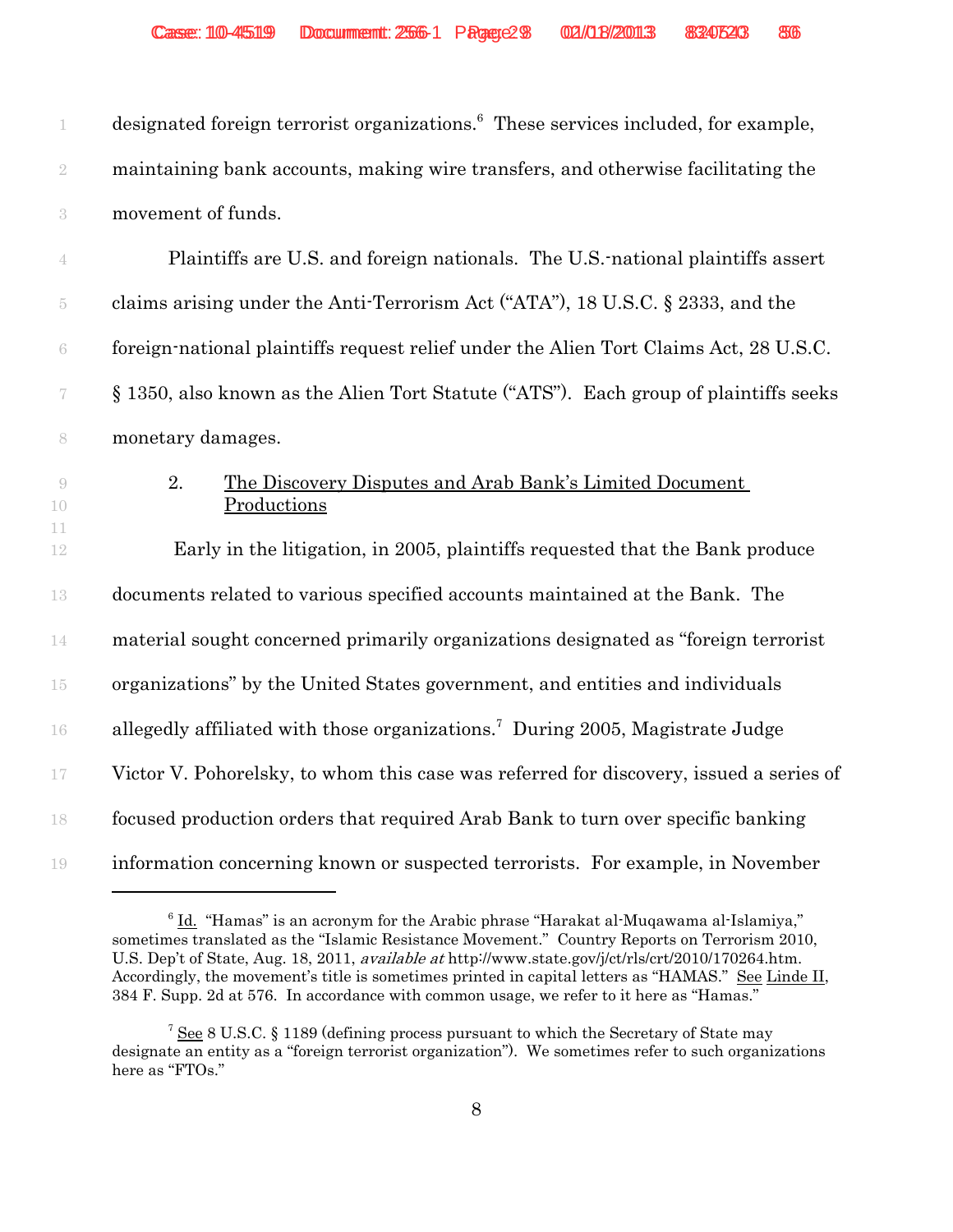| 1                        | designated foreign terrorist organizations. <sup>6</sup> These services included, for example, |
|--------------------------|------------------------------------------------------------------------------------------------|
| $\sqrt{2}$               | maintaining bank accounts, making wire transfers, and otherwise facilitating the               |
| $\sqrt{3}$               | movement of funds.                                                                             |
| 4                        | Plaintiffs are U.S. and foreign nationals. The U.S. national plaintiffs assert                 |
| 5                        | claims arising under the Anti-Terrorism Act ("ATA"), 18 U.S.C. § 2333, and the                 |
| $\rm 6$                  | foreign-national plaintiffs request relief under the Alien Tort Claims Act, 28 U.S.C.          |
| $\overline{\mathcal{C}}$ | § 1350, also known as the Alien Tort Statute ("ATS"). Each group of plaintiffs seeks           |
| 8                        | monetary damages.                                                                              |
| $\overline{9}$<br>10     | 2.<br>The Discovery Disputes and Arab Bank's Limited Document<br>Productions                   |
| 11<br>12                 | Early in the litigation, in 2005, plaintiffs requested that the Bank produce                   |
| 13                       | documents related to various specified accounts maintained at the Bank. The                    |
| 14                       | material sought concerned primarily organizations designated as "foreign terrorist             |
| $15\,$                   | organizations" by the United States government, and entities and individuals                   |
| 16                       | allegedly affiliated with those organizations. <sup>7</sup> During 2005, Magistrate Judge      |
| 17                       | Victor V. Pohorelsky, to whom this case was referred for discovery, issued a series of         |
| 18                       | focused production orders that required Arab Bank to turn over specific banking                |
| 19                       | information concerning known or suspected terrorists. For example, in November                 |

 $6$   $\underline{\text{Id.}}$  "Hamas" is an acronym for the Arabic phrase "Harakat al-Muqawama al-Islamiya," sometimes translated as the "Islamic Resistance Movement." Country Reports on Terrorism 2010, U.S. Dep't of State, Aug. 18, 2011, available at http://www.state.gov/j/ct/rls/crt/2010/170264.htm. Accordingly, the movement's title is sometimes printed in capital letters as "HAMAS." See Linde II, 384 F. Supp. 2d at 576. In accordance with common usage, we refer to it here as "Hamas."

<sup>&</sup>lt;sup>7</sup> See 8 U.S.C. § 1189 (defining process pursuant to which the Secretary of State may designate an entity as a "foreign terrorist organization"). We sometimes refer to such organizations here as "FTOs."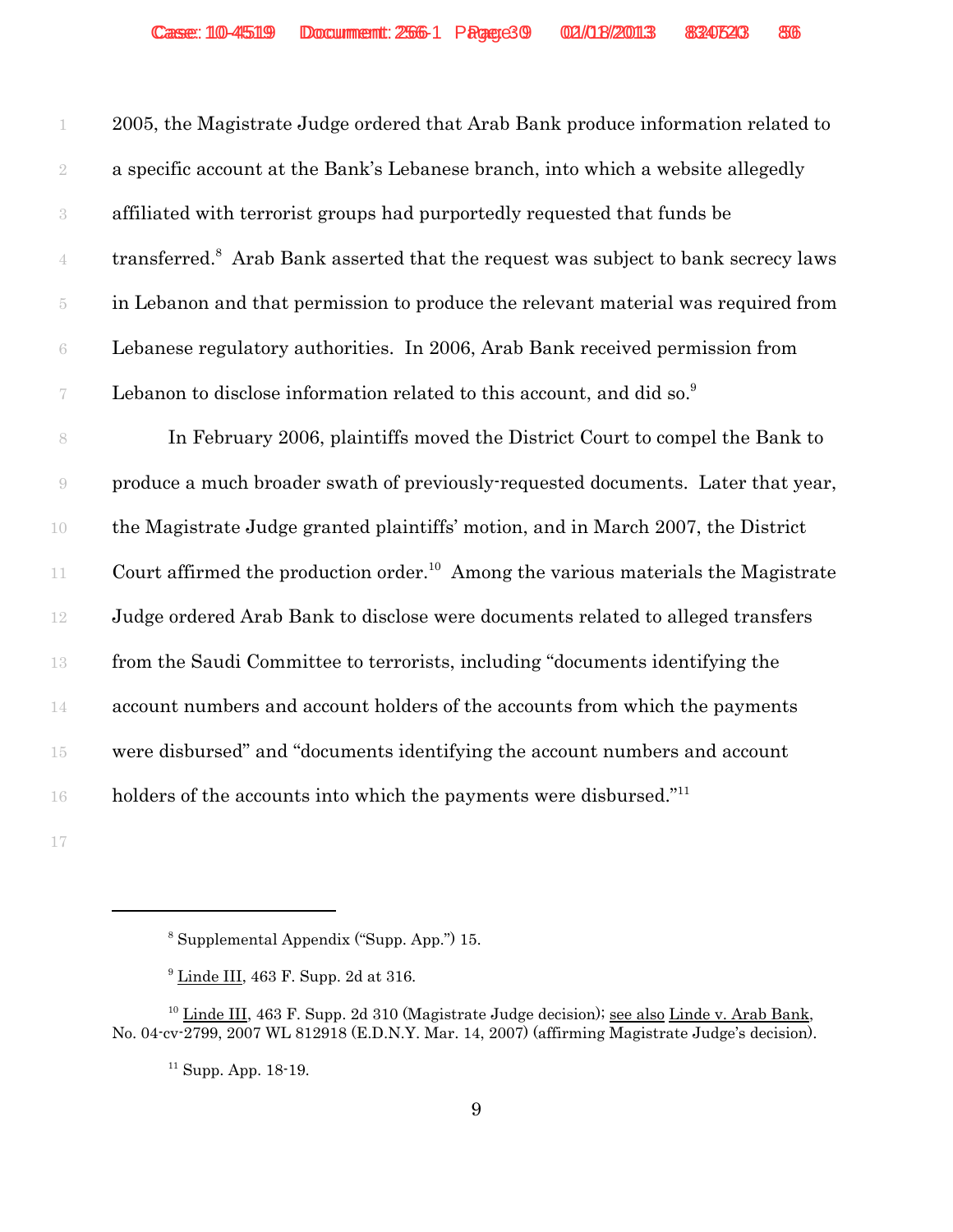|                          | 2005, the Magistrate Judge ordered that Arab Bank produce information related to               |
|--------------------------|------------------------------------------------------------------------------------------------|
| $\sqrt{2}$               | a specific account at the Bank's Lebanese branch, into which a website allegedly               |
| $\,3$                    | affiliated with terrorist groups had purportedly requested that funds be                       |
| $\overline{4}$           | transferred. <sup>8</sup> Arab Bank asserted that the request was subject to bank secrecy laws |
| $\tilde{\text{5}}$       | in Lebanon and that permission to produce the relevant material was required from              |
| $\rm 6$                  | Lebanese regulatory authorities. In 2006, Arab Bank received permission from                   |
| $\overline{\mathcal{C}}$ | Lebanon to disclose information related to this account, and did so. <sup>9</sup>              |
| $\,$ $\,$                | In February 2006, plaintiffs moved the District Court to compel the Bank to                    |
| 9                        | produce a much broader swath of previously-requested documents. Later that year,               |
| 10                       | the Magistrate Judge granted plaintiffs' motion, and in March 2007, the District               |
| 11                       | Court affirmed the production order. <sup>10</sup> Among the various materials the Magistrate  |
| 12                       | Judge ordered Arab Bank to disclose were documents related to alleged transfers                |
| 13                       | from the Saudi Committee to terrorists, including "documents identifying the                   |
| 14                       | account numbers and account holders of the accounts from which the payments                    |
| $15\,$                   | were disbursed" and "documents identifying the account numbers and account                     |
| 16                       | holders of the accounts into which the payments were disbursed." <sup>11</sup>                 |
|                          |                                                                                                |

Supplemental Appendix ("Supp. App.") 15.

 $9 \underline{\text{Line III}}$ , 463 F. Supp. 2d at 316.

 Linde III, 463 F. Supp. 2d 310 (Magistrate Judge decision); see also Linde v. Arab Bank, No. 04-cv-2799, 2007 WL 812918 (E.D.N.Y. Mar. 14, 2007) (affirming Magistrate Judge's decision).

Supp. App. 18-19.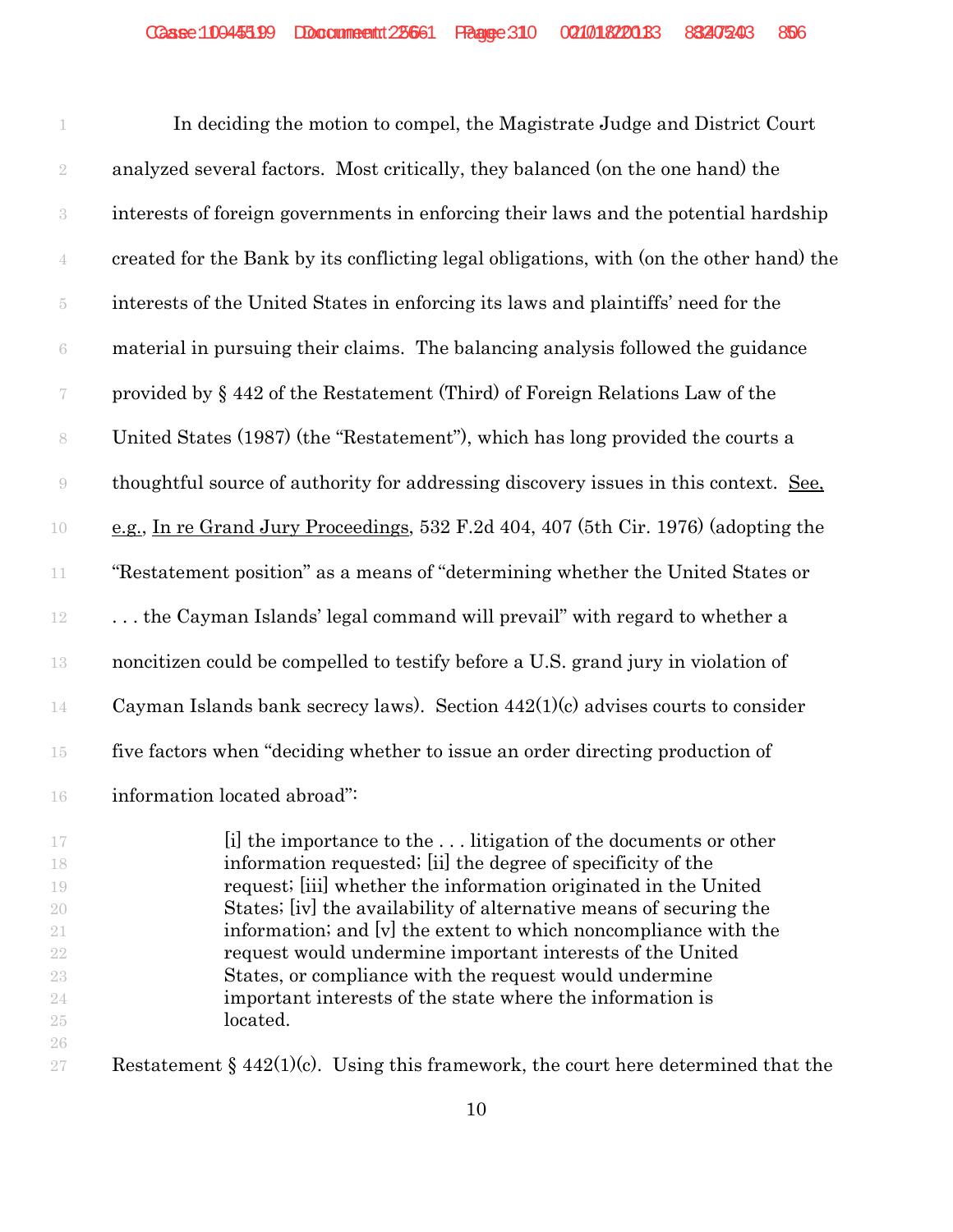1 In deciding the motion to compel, the Magistrate Judge and District Court analyzed several factors. Most critically, they balanced (on the one hand) the interests of foreign governments in enforcing their laws and the potential hardship created for the Bank by its conflicting legal obligations, with (on the other hand) the interests of the United States in enforcing its laws and plaintiffs' need for the material in pursuing their claims. The balancing analysis followed the guidance provided by § 442 of the Restatement (Third) of Foreign Relations Law of the United States (1987) (the "Restatement"), which has long provided the courts a thoughtful source of authority for addressing discovery issues in this context. See, e.g., In re Grand Jury Proceedings, 532 F.2d 404, 407 (5th Cir. 1976) (adopting the "Restatement position" as a means of "determining whether the United States or . . . the Cayman Islands' legal command will prevail" with regard to whether a noncitizen could be compelled to testify before a U.S. grand jury in violation of Cayman Islands bank secrecy laws). Section 442(1)(c) advises courts to consider five factors when "deciding whether to issue an order directing production of 16 information located abroad":

 [i] the importance to the . . . litigation of the documents or other information requested; [ii] the degree of specificity of the request; [iii] whether the information originated in the United States; [iv] the availability of alternative means of securing the 21 information; and  $\vert v \vert$  the extent to which noncompliance with the request would undermine important interests of the United States, or compliance with the request would undermine important interests of the state where the information is located. 

27 Restatement §  $442(1)(c)$ . Using this framework, the court here determined that the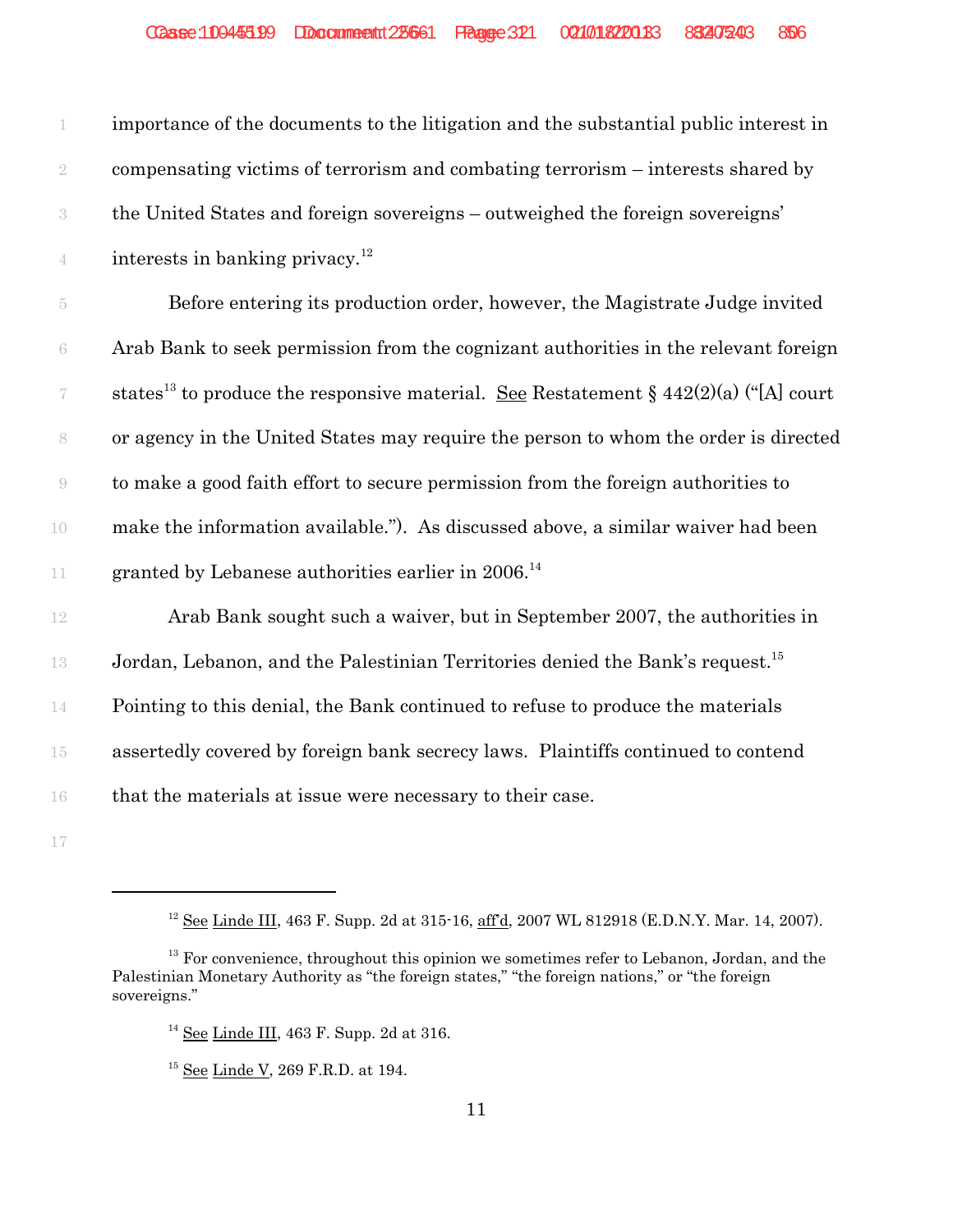| 1                        | importance of the documents to the litigation and the substantial public interest in                    |
|--------------------------|---------------------------------------------------------------------------------------------------------|
| $\sqrt{2}$               | compensating victims of terrorism and combating terrorism – interests shared by                         |
| $\sqrt{3}$               | the United States and foreign sovereigns – outweighed the foreign sovereigns'                           |
| $\overline{4}$           | interests in banking privacy. <sup>12</sup>                                                             |
| $\overline{5}$           | Before entering its production order, however, the Magistrate Judge invited                             |
| $\rm 6$                  | Arab Bank to seek permission from the cognizant authorities in the relevant foreign                     |
| $\overline{\mathcal{C}}$ | states <sup>13</sup> to produce the responsive material. <u>See</u> Restatement § 442(2)(a) ("[A] court |
| 8                        | or agency in the United States may require the person to whom the order is directed                     |
| $\bigcirc$               | to make a good faith effort to secure permission from the foreign authorities to                        |
| 10                       | make the information available."). As discussed above, a similar waiver had been                        |
| 11                       | granted by Lebanese authorities earlier in 2006. <sup>14</sup>                                          |
| 12                       | Arab Bank sought such a waiver, but in September 2007, the authorities in                               |
| 13                       | Jordan, Lebanon, and the Palestinian Territories denied the Bank's request. <sup>15</sup>               |
| $14\,$                   | Pointing to this denial, the Bank continued to refuse to produce the materials                          |
| $15\,$                   | assertedly covered by foreign bank secrecy laws. Plaintiffs continued to contend                        |
| $16\,$                   | that the materials at issue were necessary to their case.                                               |
| $17\,$                   |                                                                                                         |

See Linde III, 463 F. Supp. 2d at 315-16,  $\frac{aff}{d}$ , 2007 WL 812918 (E.D.N.Y. Mar. 14, 2007).

 For convenience, throughout this opinion we sometimes refer to Lebanon, Jordan, and the Palestinian Monetary Authority as "the foreign states," "the foreign nations," or "the foreign sovereigns."

See Linde III, 463 F. Supp. 2d at 316.

<sup>&</sup>lt;sup>15</sup> <u>See Linde V</u>, 269 F.R.D. at 194.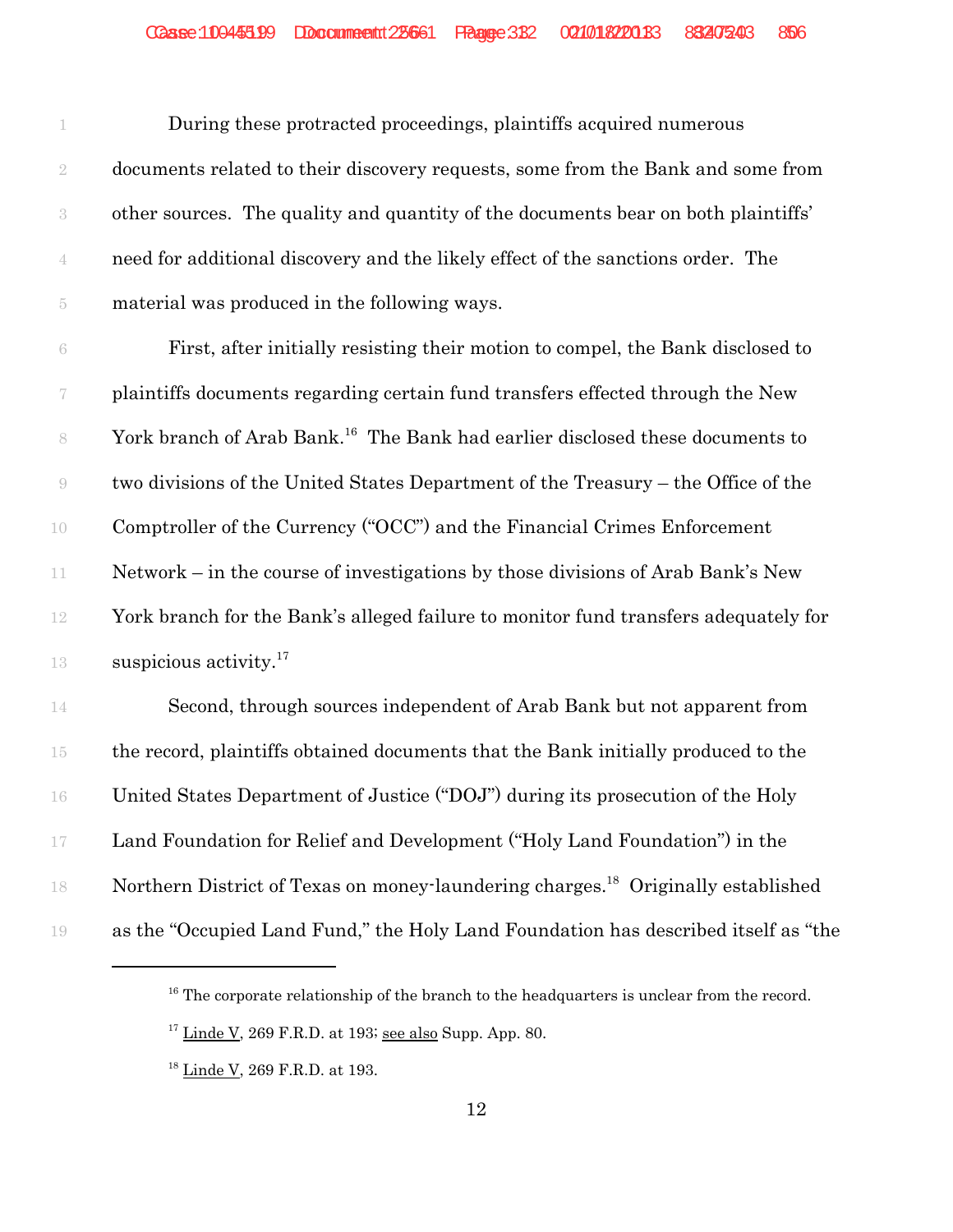|                | During these protracted proceedings, plaintiffs acquired numerous                 |
|----------------|-----------------------------------------------------------------------------------|
| $\overline{2}$ | documents related to their discovery requests, some from the Bank and some from   |
|                | other sources. The quality and quantity of the documents bear on both plaintiffs' |
|                | need for additional discovery and the likely effect of the sanctions order. The   |
| 5.             | material was produced in the following ways.                                      |

 First, after initially resisting their motion to compel, the Bank disclosed to plaintiffs documents regarding certain fund transfers effected through the New 8 York branch of Arab Bank.<sup>16</sup> The Bank had earlier disclosed these documents to two divisions of the United States Department of the Treasury – the Office of the Comptroller of the Currency ("OCC") and the Financial Crimes Enforcement Network – in the course of investigations by those divisions of Arab Bank's New York branch for the Bank's alleged failure to monitor fund transfers adequately for 13 suspicious activity.<sup>17</sup>

 Second, through sources independent of Arab Bank but not apparent from the record, plaintiffs obtained documents that the Bank initially produced to the United States Department of Justice ("DOJ") during its prosecution of the Holy Land Foundation for Relief and Development ("Holy Land Foundation") in the 18 Northern District of Texas on money-laundering charges.<sup>18</sup> Originally established as the "Occupied Land Fund," the Holy Land Foundation has described itself as "the

The corporate relationship of the branch to the headquarters is unclear from the record.

Linde V, 269 F.R.D. at 193; see also Supp. App. 80.

<sup>&</sup>lt;sup>18</sup> Linde V, 269 F.R.D. at 193.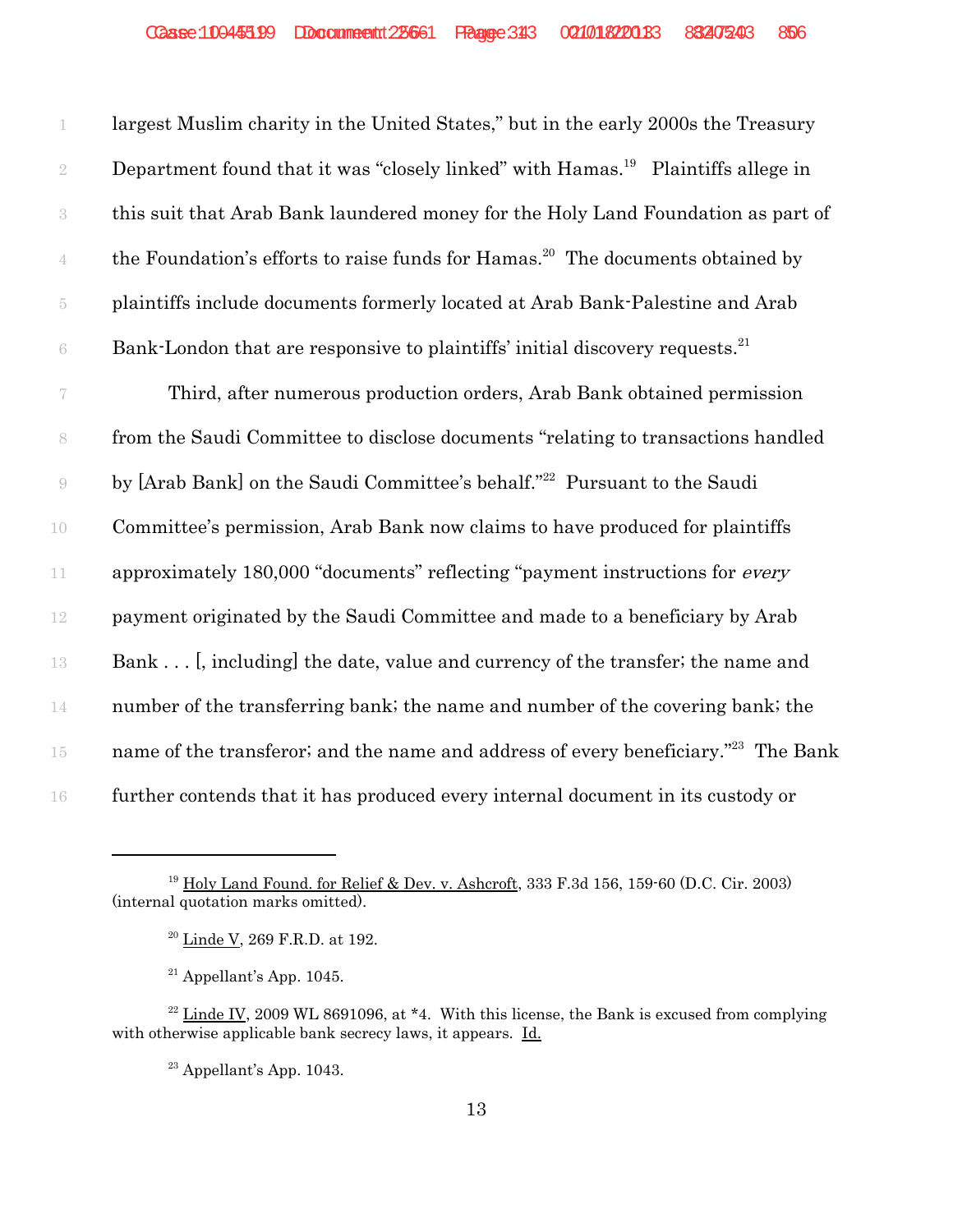largest Muslim charity in the United States," but in the early 2000s the Treasury 2 Department found that it was "closely linked" with Hamas.<sup>19</sup> Plaintiffs allege in this suit that Arab Bank laundered money for the Holy Land Foundation as part of the Foundation's efforts to raise funds for Hamas.<sup>20</sup> The documents obtained by plaintiffs include documents formerly located at Arab Bank-Palestine and Arab Bank-London that are responsive to plaintiffs' initial discovery requests.<sup>21</sup>

 Third, after numerous production orders, Arab Bank obtained permission from the Saudi Committee to disclose documents "relating to transactions handled 9 by [Arab Bank] on the Saudi Committee's behalf."<sup>22</sup> Pursuant to the Saudi Committee's permission, Arab Bank now claims to have produced for plaintiffs 11 approximately 180,000 "documents" reflecting "payment instructions for *every*  payment originated by the Saudi Committee and made to a beneficiary by Arab 13 Bank . . . [, including] the date, value and currency of the transfer; the name and number of the transferring bank; the name and number of the covering bank; the name of the transferor; and the name and address of every beneficiary."<sup>23</sup> The Bank further contends that it has produced every internal document in its custody or

 $23$  Appellant's App. 1043.

<sup>&</sup>lt;sup>19</sup> Holy Land Found, for Relief & Dev. v. Ashcroft, 333 F.3d 156, 159-60 (D.C. Cir. 2003) (internal quotation marks omitted).

<sup>20</sup> Linde V, 269 F.R.D. at 192.

 $21$  Appellant's App. 1045.

 $22$  Linde IV, 2009 WL 8691096, at  $*4$ . With this license, the Bank is excused from complying with otherwise applicable bank secrecy laws, it appears. Id.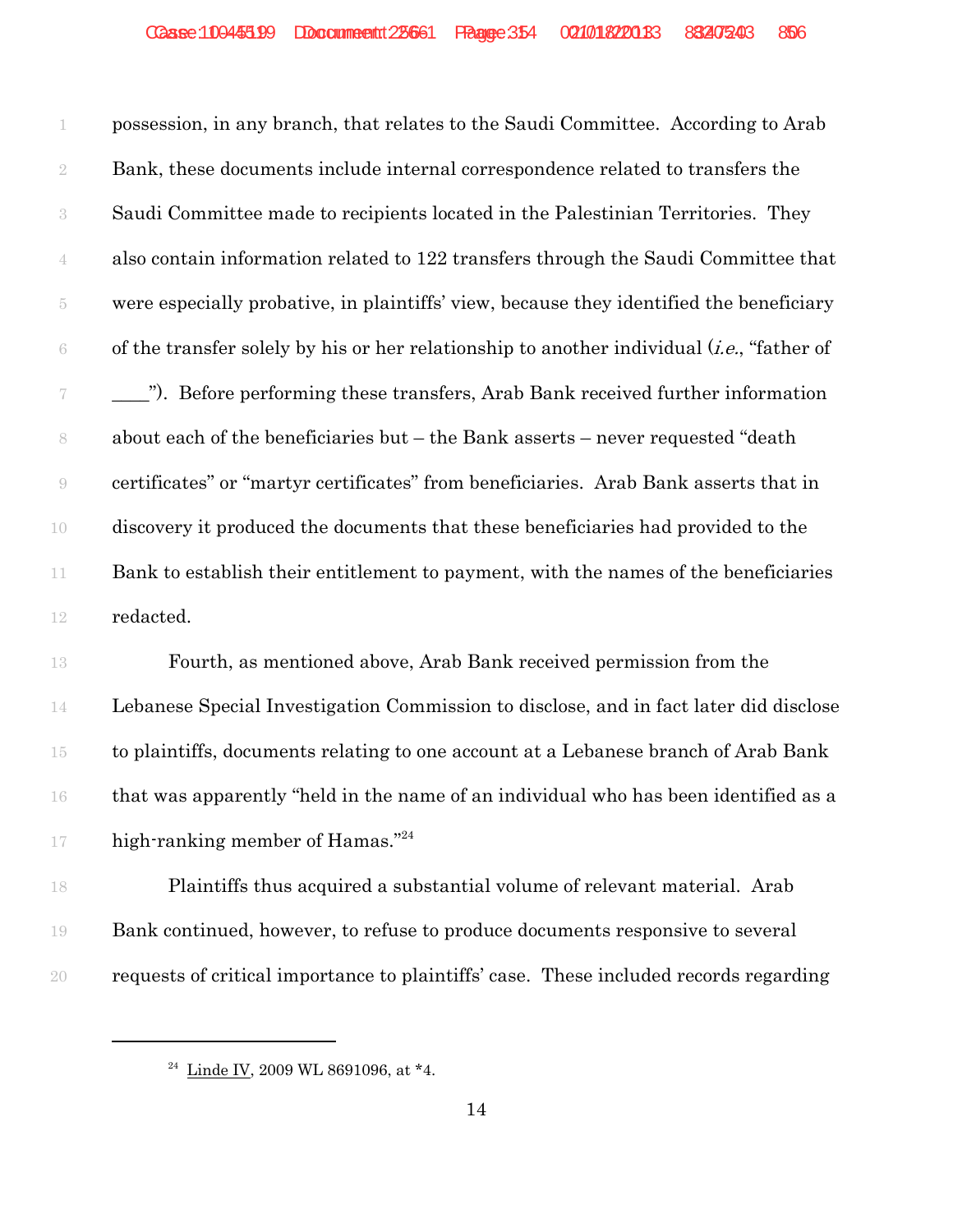possession, in any branch, that relates to the Saudi Committee. According to Arab Bank, these documents include internal correspondence related to transfers the Saudi Committee made to recipients located in the Palestinian Territories. They also contain information related to 122 transfers through the Saudi Committee that were especially probative, in plaintiffs' view, because they identified the beneficiary 6 of the transfer solely by his or her relationship to another individual  $(i.e.,$  "father of \_\_\_\_"). Before performing these transfers, Arab Bank received further information about each of the beneficiaries but – the Bank asserts – never requested "death certificates" or "martyr certificates" from beneficiaries. Arab Bank asserts that in discovery it produced the documents that these beneficiaries had provided to the 11 Bank to establish their entitlement to payment, with the names of the beneficiaries redacted.

 Fourth, as mentioned above, Arab Bank received permission from the Lebanese Special Investigation Commission to disclose, and in fact later did disclose to plaintiffs, documents relating to one account at a Lebanese branch of Arab Bank that was apparently "held in the name of an individual who has been identified as a 17 high-ranking member of Hamas."<sup>24</sup>

 Plaintiffs thus acquired a substantial volume of relevant material. Arab Bank continued, however, to refuse to produce documents responsive to several requests of critical importance to plaintiffs' case. These included records regarding

<sup>&</sup>lt;sup>24</sup> Linde IV, 2009 WL 8691096, at  $*4$ .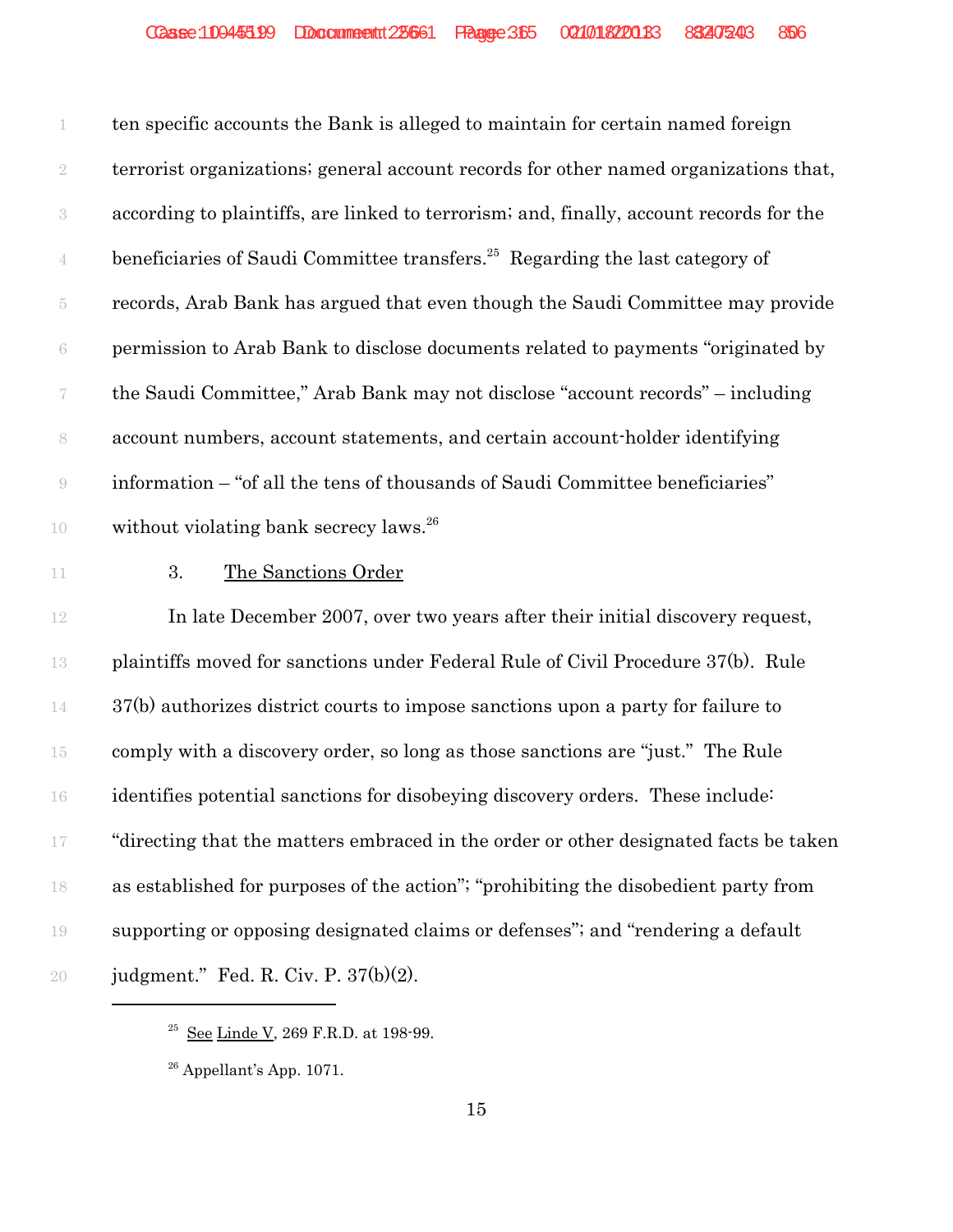ten specific accounts the Bank is alleged to maintain for certain named foreign terrorist organizations; general account records for other named organizations that, according to plaintiffs, are linked to terrorism; and, finally, account records for the  $\frac{4}{4}$  beneficiaries of Saudi Committee transfers.<sup>25</sup> Regarding the last category of records, Arab Bank has argued that even though the Saudi Committee may provide permission to Arab Bank to disclose documents related to payments "originated by the Saudi Committee," Arab Bank may not disclose "account records" – including account numbers, account statements, and certain account-holder identifying information – "of all the tens of thousands of Saudi Committee beneficiaries" 10 without violating bank secrecy laws.<sup>26</sup>

11 3. The Sanctions Order

 In late December 2007, over two years after their initial discovery request, plaintiffs moved for sanctions under Federal Rule of Civil Procedure 37(b). Rule 37(b) authorizes district courts to impose sanctions upon a party for failure to comply with a discovery order, so long as those sanctions are "just." The Rule identifies potential sanctions for disobeying discovery orders. These include: "directing that the matters embraced in the order or other designated facts be taken as established for purposes of the action"; "prohibiting the disobedient party from supporting or opposing designated claims or defenses"; and "rendering a default judgment." Fed. R. Civ. P. 37(b)(2).

 $^{25}$  See Linde V, 269 F.R.D. at 198-99.

Appellant's App. 1071.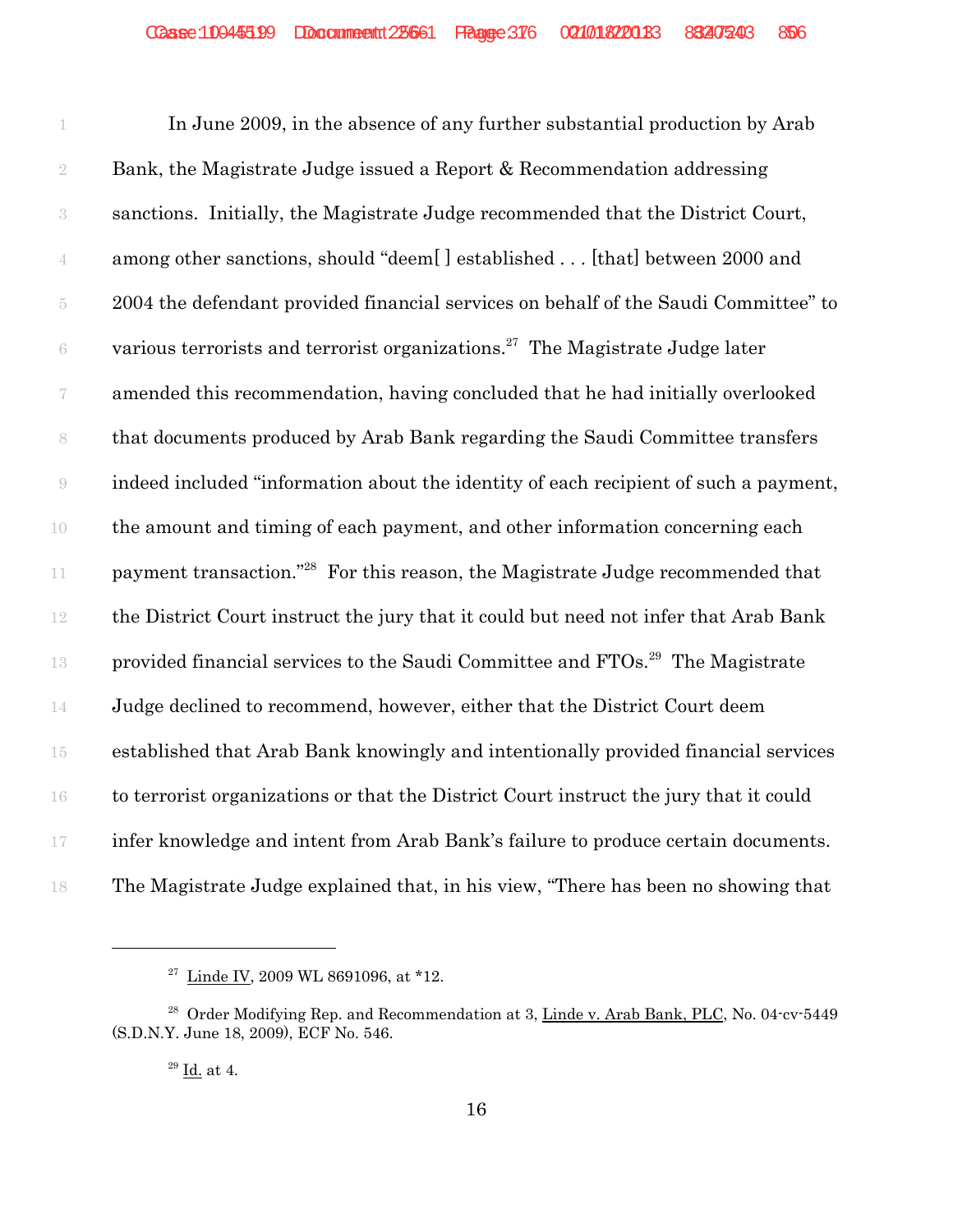In June 2009, in the absence of any further substantial production by Arab Bank, the Magistrate Judge issued a Report & Recommendation addressing sanctions. Initially, the Magistrate Judge recommended that the District Court, among other sanctions, should "deem[ ] established . . . [that] between 2000 and 2004 the defendant provided financial services on behalf of the Saudi Committee" to  $\delta$  various terrorists and terrorist organizations.<sup>27</sup> The Magistrate Judge later amended this recommendation, having concluded that he had initially overlooked that documents produced by Arab Bank regarding the Saudi Committee transfers indeed included "information about the identity of each recipient of such a payment, the amount and timing of each payment, and other information concerning each 11 payment transaction."<sup>28</sup> For this reason, the Magistrate Judge recommended that the District Court instruct the jury that it could but need not infer that Arab Bank 13 provided financial services to the Saudi Committee and  $FTOs.<sup>29</sup>$  The Magistrate Judge declined to recommend, however, either that the District Court deem established that Arab Bank knowingly and intentionally provided financial services to terrorist organizations or that the District Court instruct the jury that it could infer knowledge and intent from Arab Bank's failure to produce certain documents. The Magistrate Judge explained that, in his view, "There has been no showing that

<sup>&</sup>lt;sup>27</sup> Linde IV, 2009 WL 8691096, at \*12.

<sup>&</sup>lt;sup>28</sup> Order Modifying Rep. and Recommendation at 3, Linde v. Arab Bank, PLC, No. 04-cv-5449 (S.D.N.Y. June 18, 2009), ECF No. 546.

Id. at 4.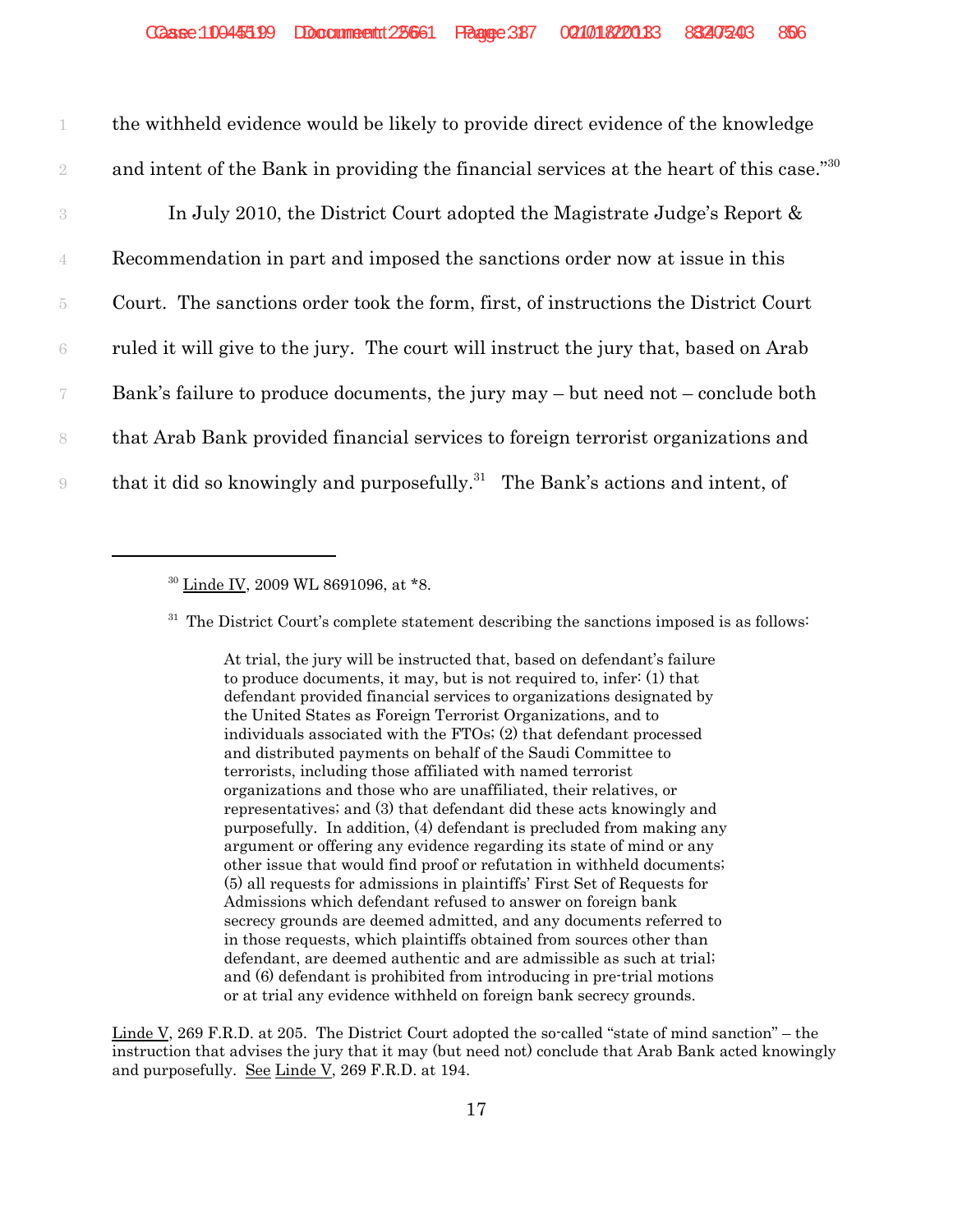1 the withheld evidence would be likely to provide direct evidence of the knowledge 2 and intent of the Bank in providing the financial services at the heart of this case."<sup>30</sup>

 In July 2010, the District Court adopted the Magistrate Judge's Report & Recommendation in part and imposed the sanctions order now at issue in this Court. The sanctions order took the form, first, of instructions the District Court ruled it will give to the jury. The court will instruct the jury that, based on Arab Bank's failure to produce documents, the jury may – but need not – conclude both that Arab Bank provided financial services to foreign terrorist organizations and that it did so knowingly and purposefully.<sup>31</sup> The Bank's actions and intent, of

 $31$  The District Court's complete statement describing the sanctions imposed is as follows:

At trial, the jury will be instructed that, based on defendant's failure to produce documents, it may, but is not required to, infer: (1) that defendant provided financial services to organizations designated by the United States as Foreign Terrorist Organizations, and to individuals associated with the FTOs; (2) that defendant processed and distributed payments on behalf of the Saudi Committee to terrorists, including those affiliated with named terrorist organizations and those who are unaffiliated, their relatives, or representatives; and (3) that defendant did these acts knowingly and purposefully. In addition, (4) defendant is precluded from making any argument or offering any evidence regarding its state of mind or any other issue that would find proof or refutation in withheld documents; (5) all requests for admissions in plaintiffs' First Set of Requests for Admissions which defendant refused to answer on foreign bank secrecy grounds are deemed admitted, and any documents referred to in those requests, which plaintiffs obtained from sources other than defendant, are deemed authentic and are admissible as such at trial; and (6) defendant is prohibited from introducing in pre-trial motions or at trial any evidence withheld on foreign bank secrecy grounds.

Linde V, 269 F.R.D. at 205. The District Court adopted the so-called "state of mind sanction" – the instruction that advises the jury that it may (but need not) conclude that Arab Bank acted knowingly and purposefully. See Linde V, 269 F.R.D. at 194.

<sup>&</sup>lt;sup>30</sup> Linde IV, 2009 WL 8691096, at \*8.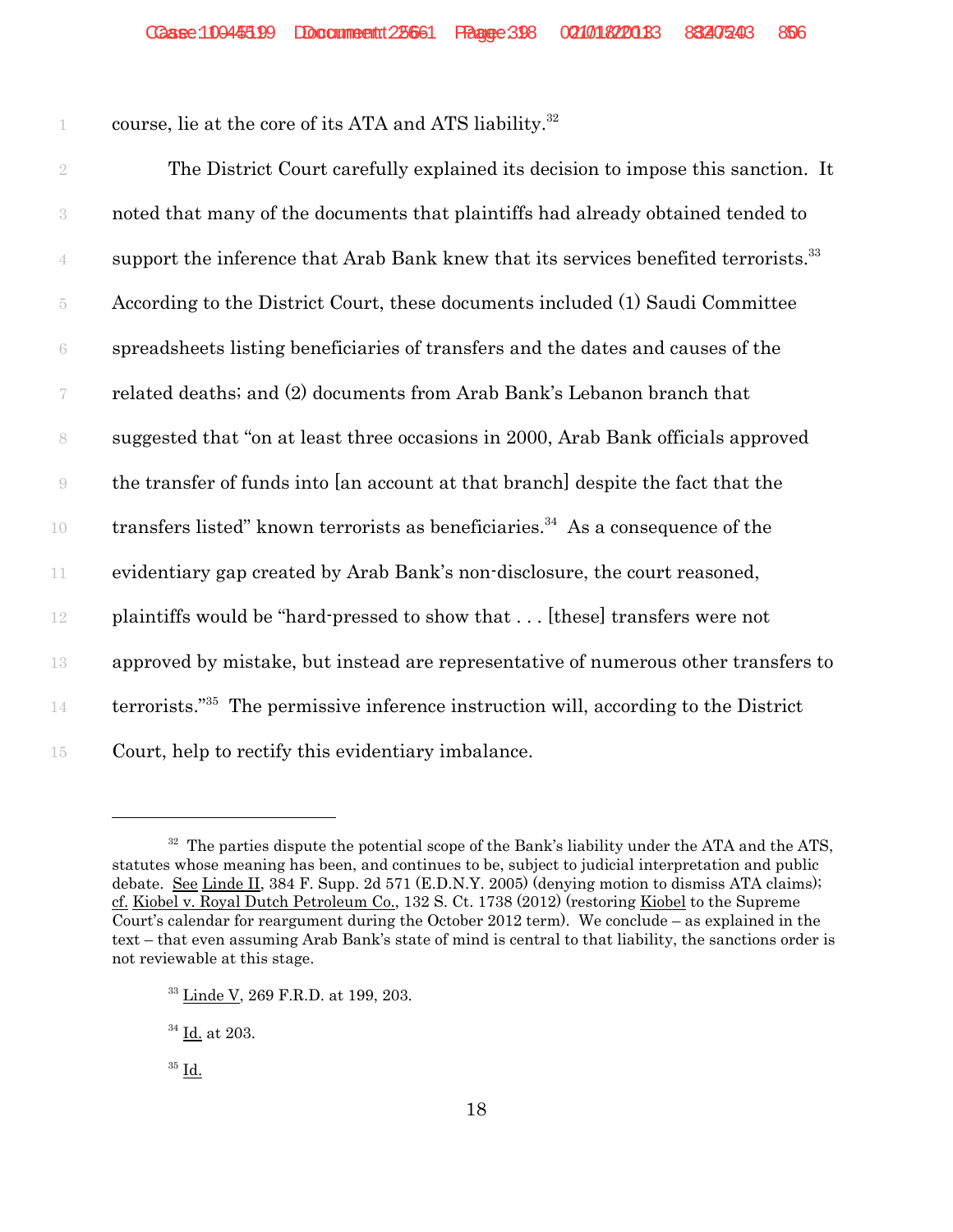1 course, lie at the core of its ATA and ATS liability.<sup>32</sup>

 The District Court carefully explained its decision to impose this sanction. It noted that many of the documents that plaintiffs had already obtained tended to support the inference that Arab Bank knew that its services benefited terrorists.<sup>33</sup> According to the District Court, these documents included (1) Saudi Committee spreadsheets listing beneficiaries of transfers and the dates and causes of the related deaths; and (2) documents from Arab Bank's Lebanon branch that suggested that "on at least three occasions in 2000, Arab Bank officials approved the transfer of funds into [an account at that branch] despite the fact that the transfers listed" known terrorists as beneficiaries.<sup>34</sup> As a consequence of the evidentiary gap created by Arab Bank's non-disclosure, the court reasoned, plaintiffs would be "hard-pressed to show that . . . [these] transfers were not approved by mistake, but instead are representative of numerous other transfers to terrorists."35 14 The permissive inference instruction will, according to the District Court, help to rectify this evidentiary imbalance.

 $32$  The parties dispute the potential scope of the Bank's liability under the ATA and the ATS, statutes whose meaning has been, and continues to be, subject to judicial interpretation and public debate. See Linde II, 384 F. Supp. 2d 571 (E.D.N.Y. 2005) (denying motion to dismiss ATA claims); cf. Kiobel v. Royal Dutch Petroleum Co., 132 S. Ct. 1738 (2012) (restoring Kiobel to the Supreme Court's calendar for reargument during the October 2012 term). We conclude – as explained in the text – that even assuming Arab Bank's state of mind is central to that liability, the sanctions order is not reviewable at this stage.

<sup>33</sup> Linde V, 269 F.R.D. at 199, 203.

<sup>34</sup> Id. at 203.

 $35$  Id.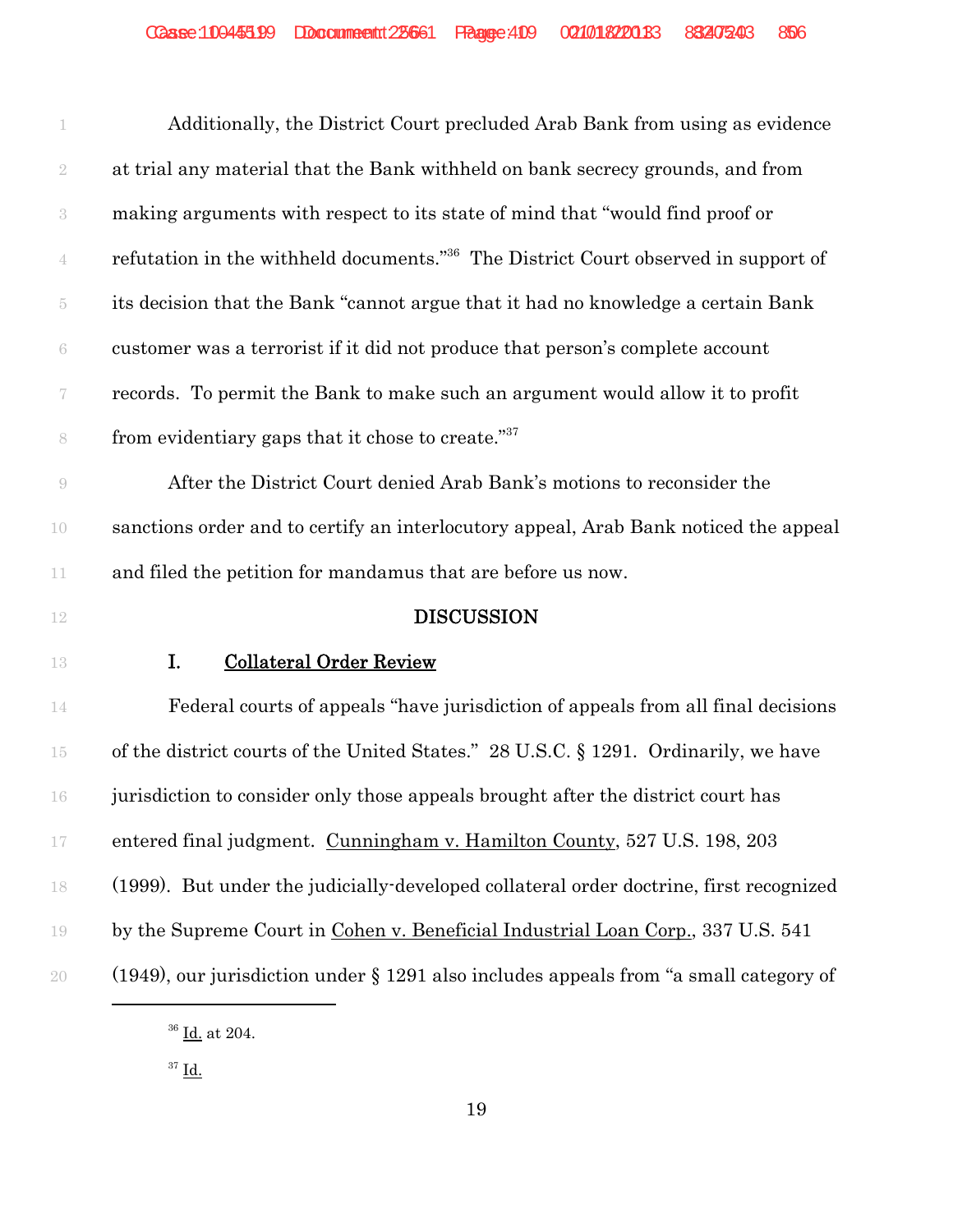| Additionally, the District Court precluded Arab Bank from using as evidence                    |
|------------------------------------------------------------------------------------------------|
| at trial any material that the Bank withheld on bank secrecy grounds, and from                 |
| making arguments with respect to its state of mind that "would find proof or                   |
| refutation in the withheld documents." <sup>36</sup> The District Court observed in support of |
| its decision that the Bank "cannot argue that it had no knowledge a certain Bank               |
| customer was a terrorist if it did not produce that person's complete account                  |
| records. To permit the Bank to make such an argument would allow it to profit                  |
| from evidentiary gaps that it chose to create." <sup>37</sup>                                  |
| After the District Court denied Arab Bank's motions to reconsider the                          |
| sanctions order and to certify an interlocutory appeal, Arab Bank noticed the appeal           |
| and filed the petition for mandamus that are before us now.                                    |
| <b>DISCUSSION</b>                                                                              |
| <b>Collateral Order Review</b>                                                                 |
| Federal courts of appeals "have jurisdiction of appeals from all final decisions"              |
| of the district courts of the United States." 28 U.S.C. § 1291. Ordinarily, we have            |
| jurisdiction to consider only those appeals brought after the district court has               |
| entered final judgment. Cunningham v. Hamilton County, 527 U.S. 198, 203                       |
|                                                                                                |
| (1999). But under the judicially-developed collateral order doctrine, first recognized         |
| by the Supreme Court in Cohen v. Beneficial Industrial Loan Corp., 337 U.S. 541                |
|                                                                                                |

 $^{36}$  <u>Id.</u> at 204.

 $37 \underline{\text{Id.}}$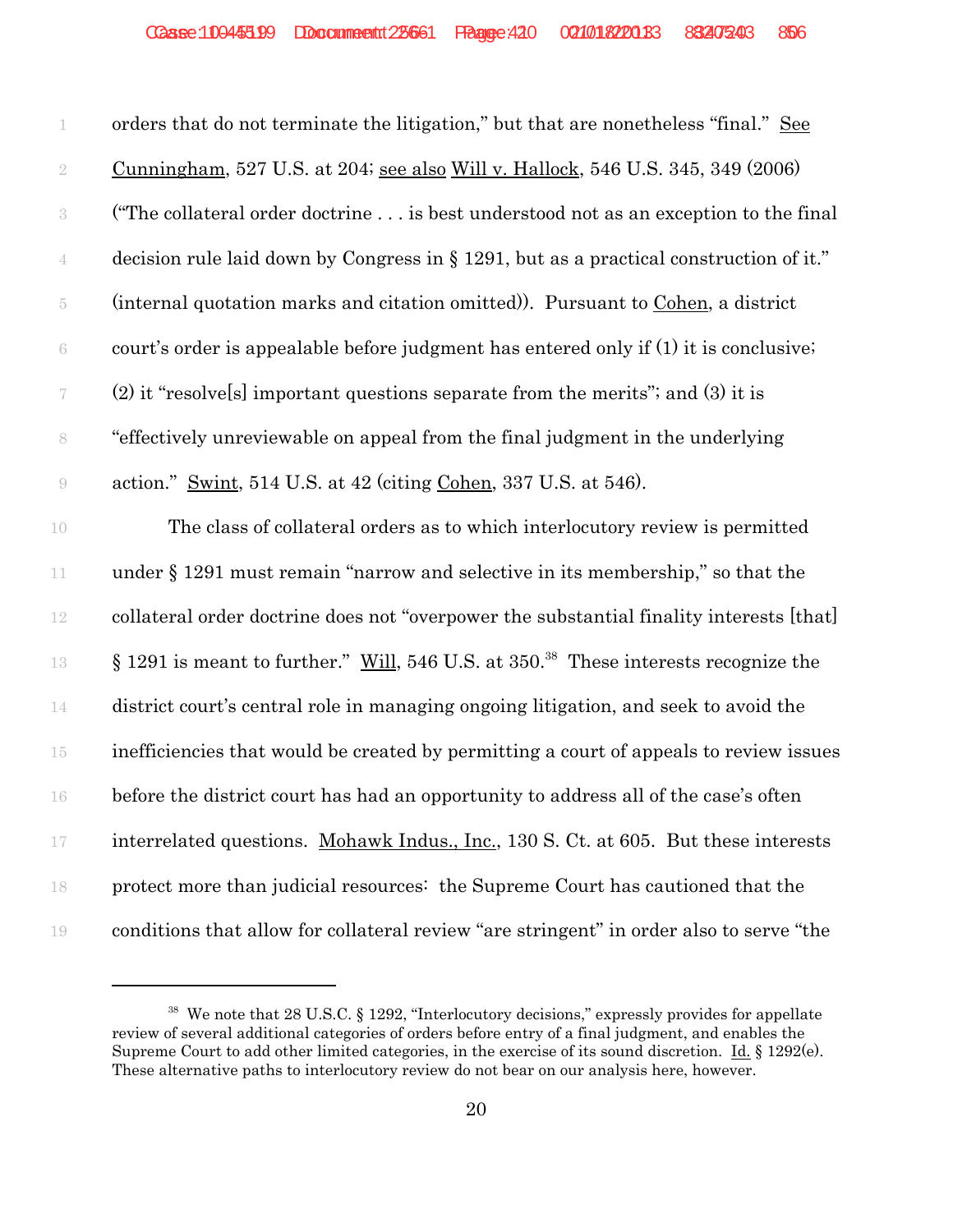| 1              | orders that do not terminate the litigation," but that are nonetheless "final." See             |
|----------------|-------------------------------------------------------------------------------------------------|
| $\sqrt{2}$     | Cunningham, 527 U.S. at 204; see also Will v. Hallock, 546 U.S. 345, 349 (2006)                 |
| $\sqrt{3}$     | ("The collateral order doctrine is best understood not as an exception to the final             |
|                | decision rule laid down by Congress in § 1291, but as a practical construction of it."          |
| $\overline{5}$ | (internal quotation marks and citation omitted)). Pursuant to Cohen, a district                 |
| $\,6\,$        | court's order is appealable before judgment has entered only if (1) it is conclusive;           |
|                | $(2)$ it "resolvels] important questions separate from the merits"; and $(3)$ it is             |
| $8\,$          | "effectively unreviewable on appeal from the final judgment in the underlying                   |
| $\Theta$       | action." Swint, 514 U.S. at 42 (citing Cohen, 337 U.S. at 546).                                 |
| 10             | The class of collateral orders as to which interlocutory review is permitted                    |
| 11             | under $\S 1291$ must remain "narrow and selective in its membership," so that the               |
| 12             | collateral order doctrine does not "overpower the substantial finality interests [that]         |
| 13             | § 1291 is meant to further." Will, 546 U.S. at 350. <sup>38</sup> These interests recognize the |
| 14             | district court's central role in managing ongoing litigation, and seek to avoid the             |
| $15\,$         | inefficiencies that would be created by permitting a court of appeals to review issues          |
| 16             | before the district court has had an opportunity to address all of the case's often             |
| $17\,$         | interrelated questions. Mohawk Indus., Inc., 130 S. Ct. at 605. But these interests             |
| 18             | protect more than judicial resources: the Supreme Court has cautioned that the                  |
| 19             | conditions that allow for collateral review "are stringent" in order also to serve "the         |

<sup>&</sup>lt;sup>38</sup> We note that 28 U.S.C. § 1292, "Interlocutory decisions," expressly provides for appellate review of several additional categories of orders before entry of a final judgment, and enables the Supreme Court to add other limited categories, in the exercise of its sound discretion. Id. § 1292(e). These alternative paths to interlocutory review do not bear on our analysis here, however.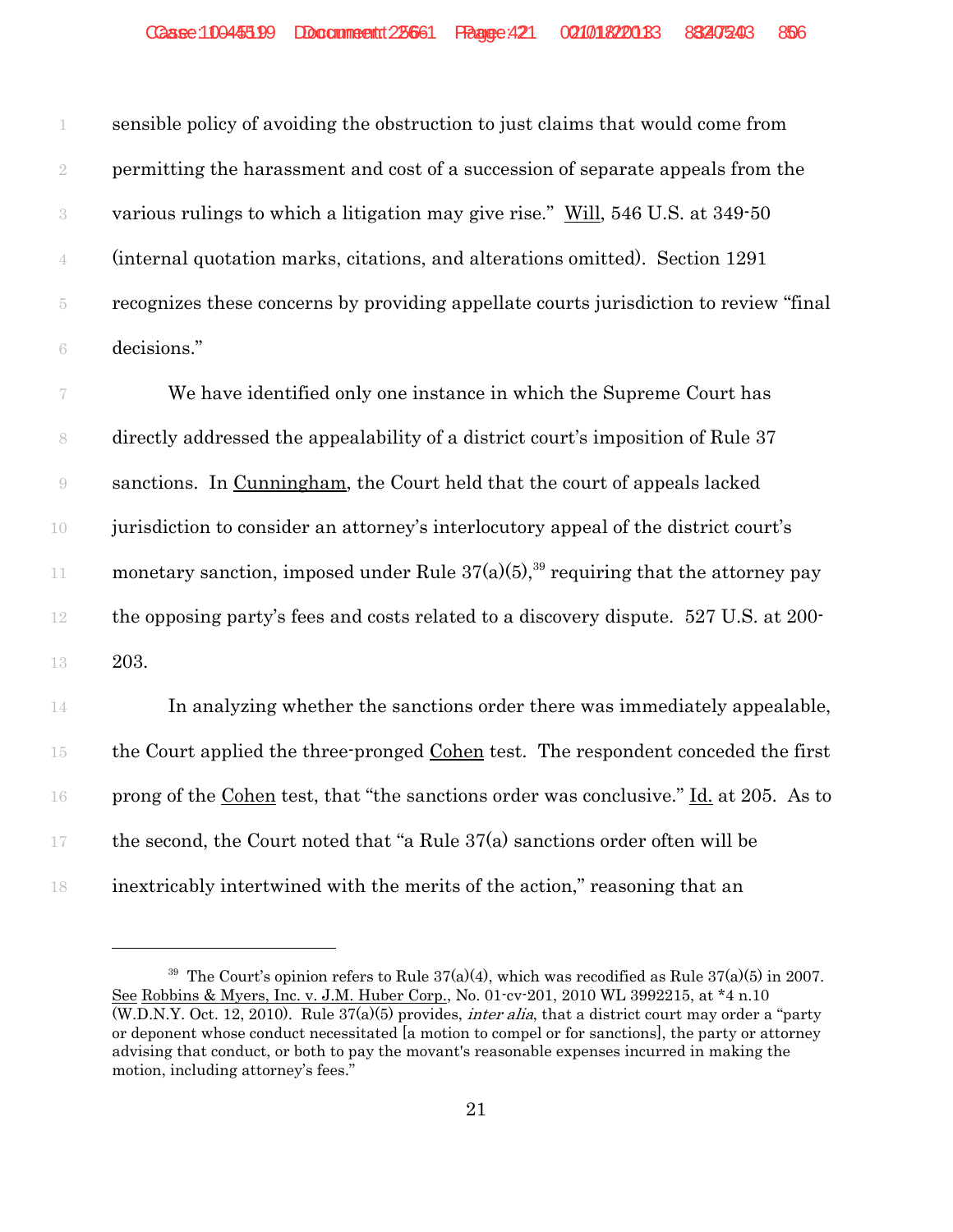sensible policy of avoiding the obstruction to just claims that would come from permitting the harassment and cost of a succession of separate appeals from the various rulings to which a litigation may give rise." Will, 546 U.S. at 349-50 (internal quotation marks, citations, and alterations omitted). Section 1291 recognizes these concerns by providing appellate courts jurisdiction to review "final decisions."

 We have identified only one instance in which the Supreme Court has directly addressed the appealability of a district court's imposition of Rule 37 sanctions. In Cunningham, the Court held that the court of appeals lacked jurisdiction to consider an attorney's interlocutory appeal of the district court's 11 monetary sanction, imposed under Rule  $37(a)(5)$ ,<sup>39</sup> requiring that the attorney pay the opposing party's fees and costs related to a discovery dispute. 527 U.S. at 200- 203.

 In analyzing whether the sanctions order there was immediately appealable, the Court applied the three-pronged Cohen test. The respondent conceded the first prong of the Cohen test, that "the sanctions order was conclusive." Id. at 205. As to 17 the second, the Court noted that "a Rule  $37(a)$  sanctions order often will be inextricably intertwined with the merits of the action," reasoning that an

<sup>&</sup>lt;sup>39</sup> The Court's opinion refers to Rule  $37(a)(4)$ , which was recodified as Rule  $37(a)(5)$  in 2007. See Robbins & Myers, Inc. v. J.M. Huber Corp., No. 01-cv-201, 2010 WL 3992215, at \*4 n.10  $(W.D.N.Y. Oct. 12, 2010)$ . Rule  $37(a)(5)$  provides, *inter alia*, that a district court may order a "party" or deponent whose conduct necessitated [a motion to compel or for sanctions], the party or attorney advising that conduct, or both to pay the movant's reasonable expenses incurred in making the motion, including attorney's fees."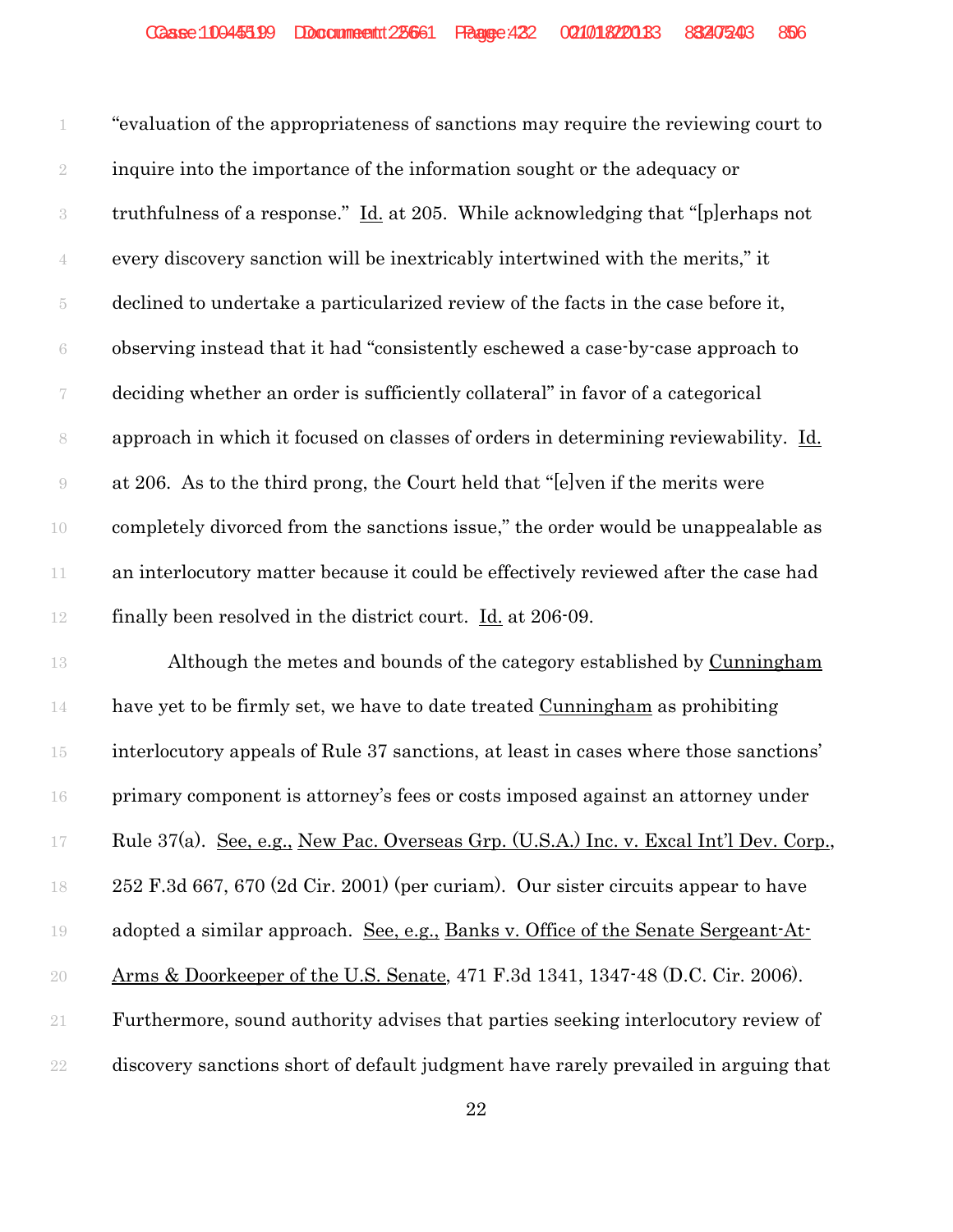"evaluation of the appropriateness of sanctions may require the reviewing court to 2 inquire into the importance of the information sought or the adequacy or truthfulness of a response." Id. at 205. While acknowledging that "[p]erhaps not every discovery sanction will be inextricably intertwined with the merits," it declined to undertake a particularized review of the facts in the case before it, observing instead that it had "consistently eschewed a case-by-case approach to deciding whether an order is sufficiently collateral" in favor of a categorical approach in which it focused on classes of orders in determining reviewability. Id. at 206. As to the third prong, the Court held that "[e]ven if the merits were completely divorced from the sanctions issue," the order would be unappealable as 11 an interlocutory matter because it could be effectively reviewed after the case had finally been resolved in the district court. Id. at 206-09.

 Although the metes and bounds of the category established by Cunningham 14 have yet to be firmly set, we have to date treated Cunningham as prohibiting interlocutory appeals of Rule 37 sanctions, at least in cases where those sanctions' primary component is attorney's fees or costs imposed against an attorney under Rule 37(a). See, e.g., New Pac. Overseas Grp. (U.S.A.) Inc. v. Excal Int'l Dev. Corp., 252 F.3d 667, 670 (2d Cir. 2001) (per curiam). Our sister circuits appear to have 19 adopted a similar approach. See, e.g., Banks v. Office of the Senate Sergeant-At- Arms & Doorkeeper of the U.S. Senate, 471 F.3d 1341, 1347-48 (D.C. Cir. 2006). Furthermore, sound authority advises that parties seeking interlocutory review of discovery sanctions short of default judgment have rarely prevailed in arguing that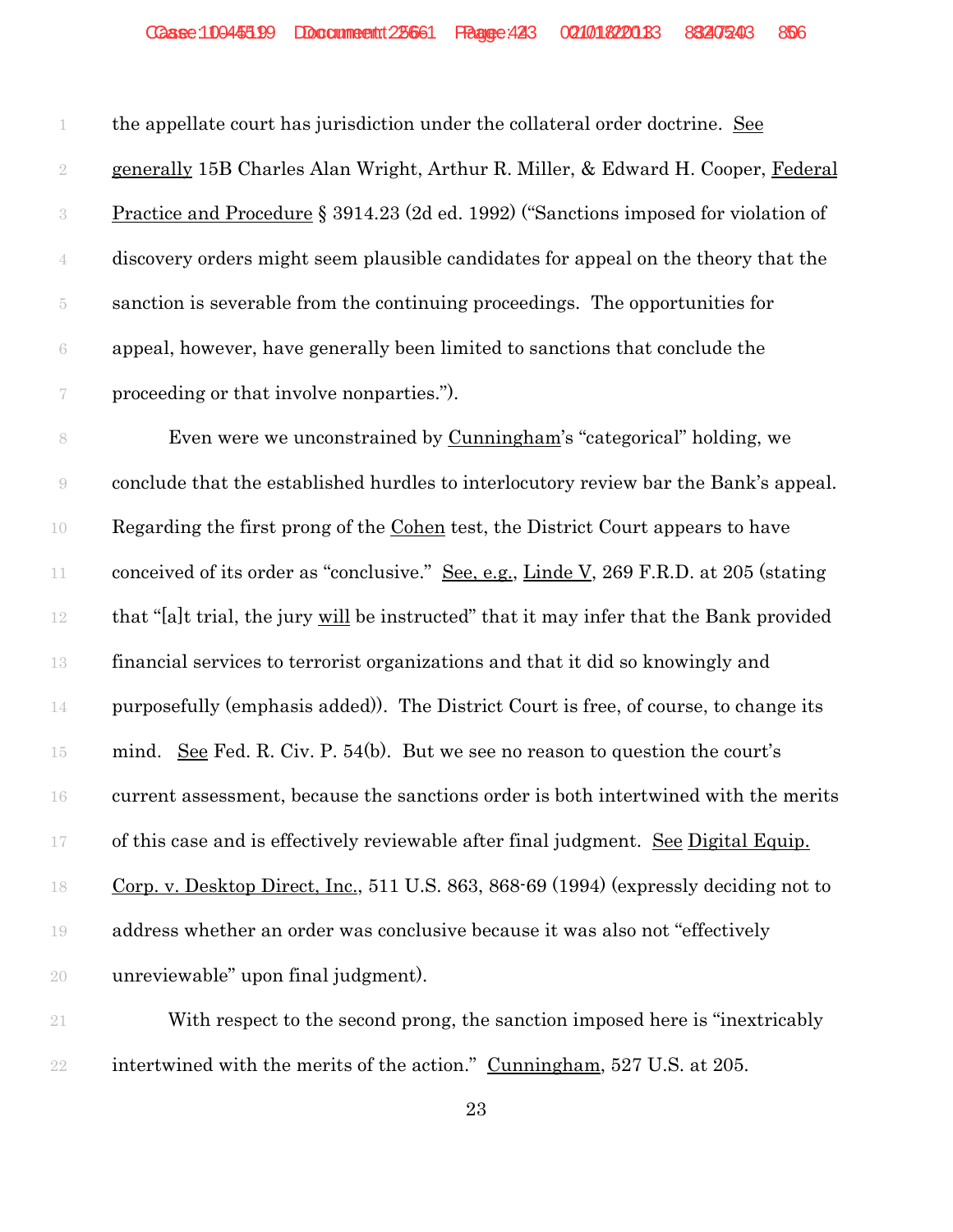the appellate court has jurisdiction under the collateral order doctrine. See 2 generally 15B Charles Alan Wright, Arthur R. Miller, & Edward H. Cooper, Federal Practice and Procedure § 3914.23 (2d ed. 1992) ("Sanctions imposed for violation of discovery orders might seem plausible candidates for appeal on the theory that the sanction is severable from the continuing proceedings. The opportunities for appeal, however, have generally been limited to sanctions that conclude the proceeding or that involve nonparties.").

 Even were we unconstrained by Cunningham's "categorical" holding, we conclude that the established hurdles to interlocutory review bar the Bank's appeal. Regarding the first prong of the Cohen test, the District Court appears to have 11 conceived of its order as "conclusive." See, e.g., Linde V, 269 F.R.D. at 205 (stating that "[a]t trial, the jury will be instructed" that it may infer that the Bank provided financial services to terrorist organizations and that it did so knowingly and purposefully (emphasis added)). The District Court is free, of course, to change its mind. See Fed. R. Civ. P. 54(b). But we see no reason to question the court's current assessment, because the sanctions order is both intertwined with the merits of this case and is effectively reviewable after final judgment. See Digital Equip. Corp. v. Desktop Direct, Inc., 511 U.S. 863, 868-69 (1994) (expressly deciding not to address whether an order was conclusive because it was also not "effectively unreviewable" upon final judgment).

 With respect to the second prong, the sanction imposed here is "inextricably 22 intertwined with the merits of the action." Cunningham, 527 U.S. at 205.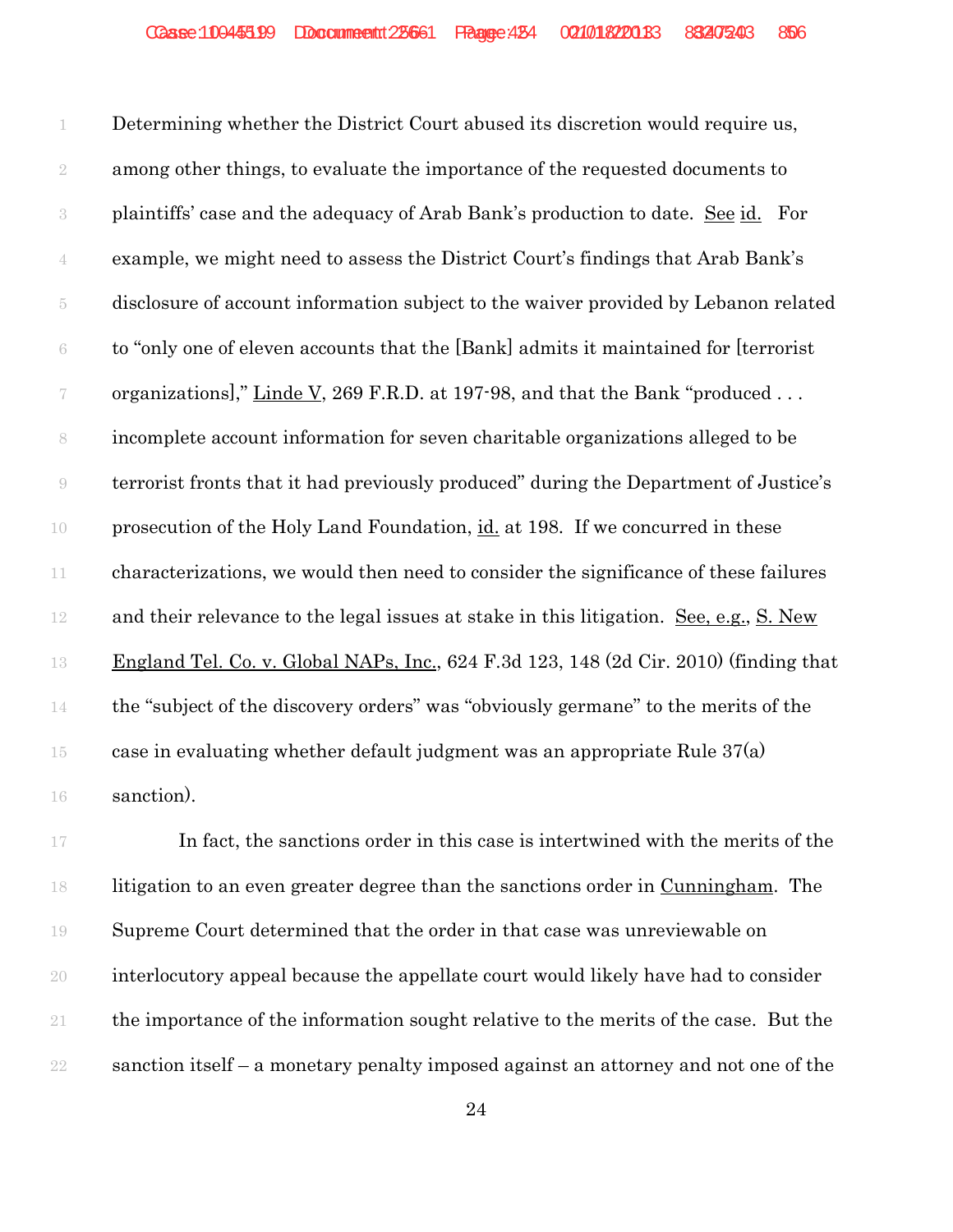Determining whether the District Court abused its discretion would require us, among other things, to evaluate the importance of the requested documents to plaintiffs' case and the adequacy of Arab Bank's production to date. See id. For example, we might need to assess the District Court's findings that Arab Bank's disclosure of account information subject to the waiver provided by Lebanon related to "only one of eleven accounts that the [Bank] admits it maintained for [terrorist 7 organizations]," Linde V, 269 F.R.D. at 197-98, and that the Bank "produced ... incomplete account information for seven charitable organizations alleged to be terrorist fronts that it had previously produced" during the Department of Justice's prosecution of the Holy Land Foundation, id. at 198. If we concurred in these characterizations, we would then need to consider the significance of these failures and their relevance to the legal issues at stake in this litigation. See, e.g., S. New England Tel. Co. v. Global NAPs, Inc., 624 F.3d 123, 148 (2d Cir. 2010) (finding that the "subject of the discovery orders" was "obviously germane" to the merits of the 15 case in evaluating whether default judgment was an appropriate Rule  $37(a)$ sanction).

17 In fact, the sanctions order in this case is intertwined with the merits of the litigation to an even greater degree than the sanctions order in Cunningham. The Supreme Court determined that the order in that case was unreviewable on interlocutory appeal because the appellate court would likely have had to consider the importance of the information sought relative to the merits of the case. But the sanction itself – a monetary penalty imposed against an attorney and not one of the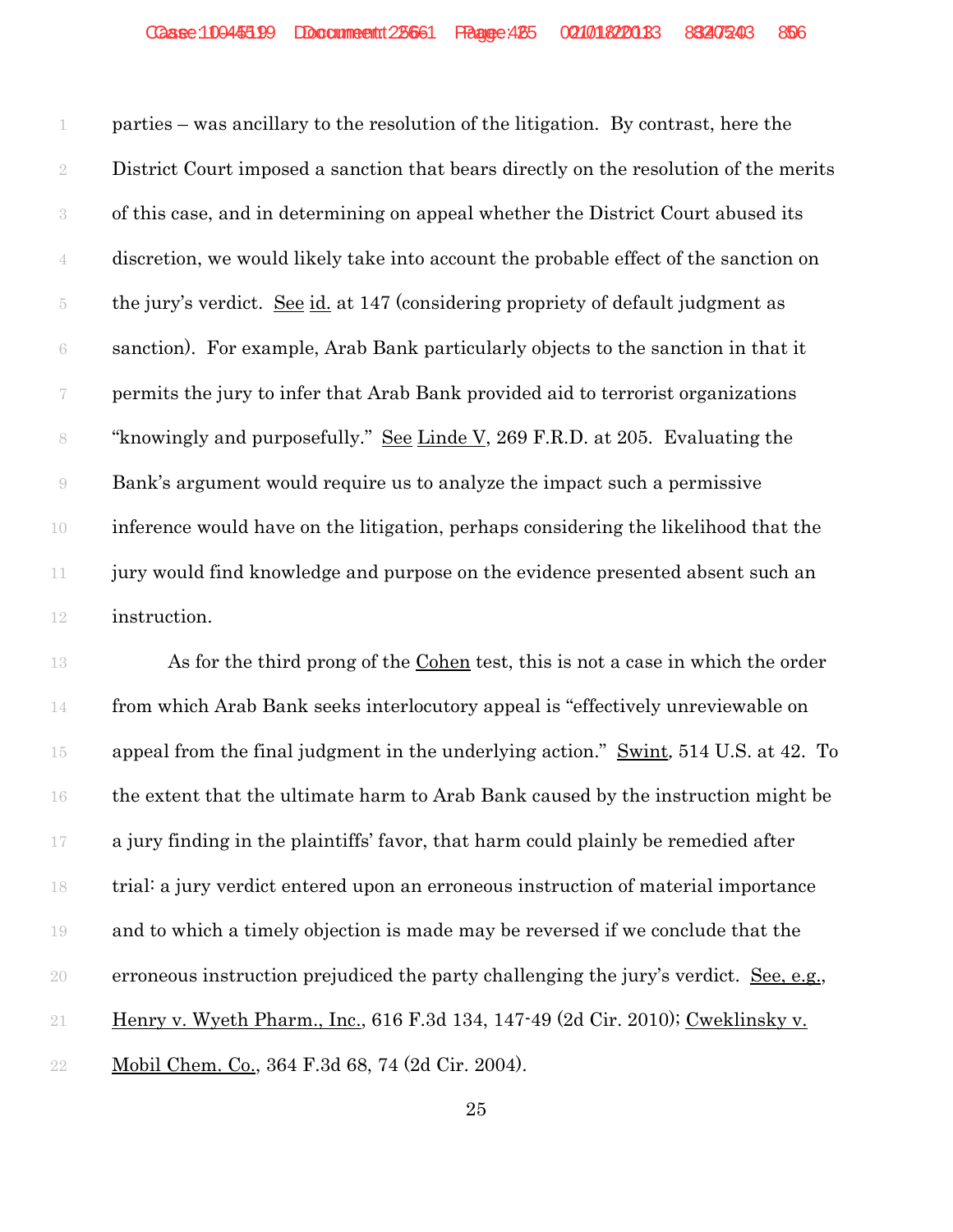parties – was ancillary to the resolution of the litigation. By contrast, here the District Court imposed a sanction that bears directly on the resolution of the merits of this case, and in determining on appeal whether the District Court abused its discretion, we would likely take into account the probable effect of the sanction on the jury's verdict. See id. at 147 (considering propriety of default judgment as sanction). For example, Arab Bank particularly objects to the sanction in that it permits the jury to infer that Arab Bank provided aid to terrorist organizations "knowingly and purposefully." See Linde V, 269 F.R.D. at 205. Evaluating the Bank's argument would require us to analyze the impact such a permissive inference would have on the litigation, perhaps considering the likelihood that the jury would find knowledge and purpose on the evidence presented absent such an instruction.

 As for the third prong of the Cohen test, this is not a case in which the order from which Arab Bank seeks interlocutory appeal is "effectively unreviewable on 15 appeal from the final judgment in the underlying action." Swint, 514 U.S. at 42. To the extent that the ultimate harm to Arab Bank caused by the instruction might be a jury finding in the plaintiffs' favor, that harm could plainly be remedied after trial: a jury verdict entered upon an erroneous instruction of material importance and to which a timely objection is made may be reversed if we conclude that the erroneous instruction prejudiced the party challenging the jury's verdict. See, e.g., Henry v. Wyeth Pharm., Inc., 616 F.3d 134, 147-49 (2d Cir. 2010); Cweklinsky v. Mobil Chem. Co., 364 F.3d 68, 74 (2d Cir. 2004).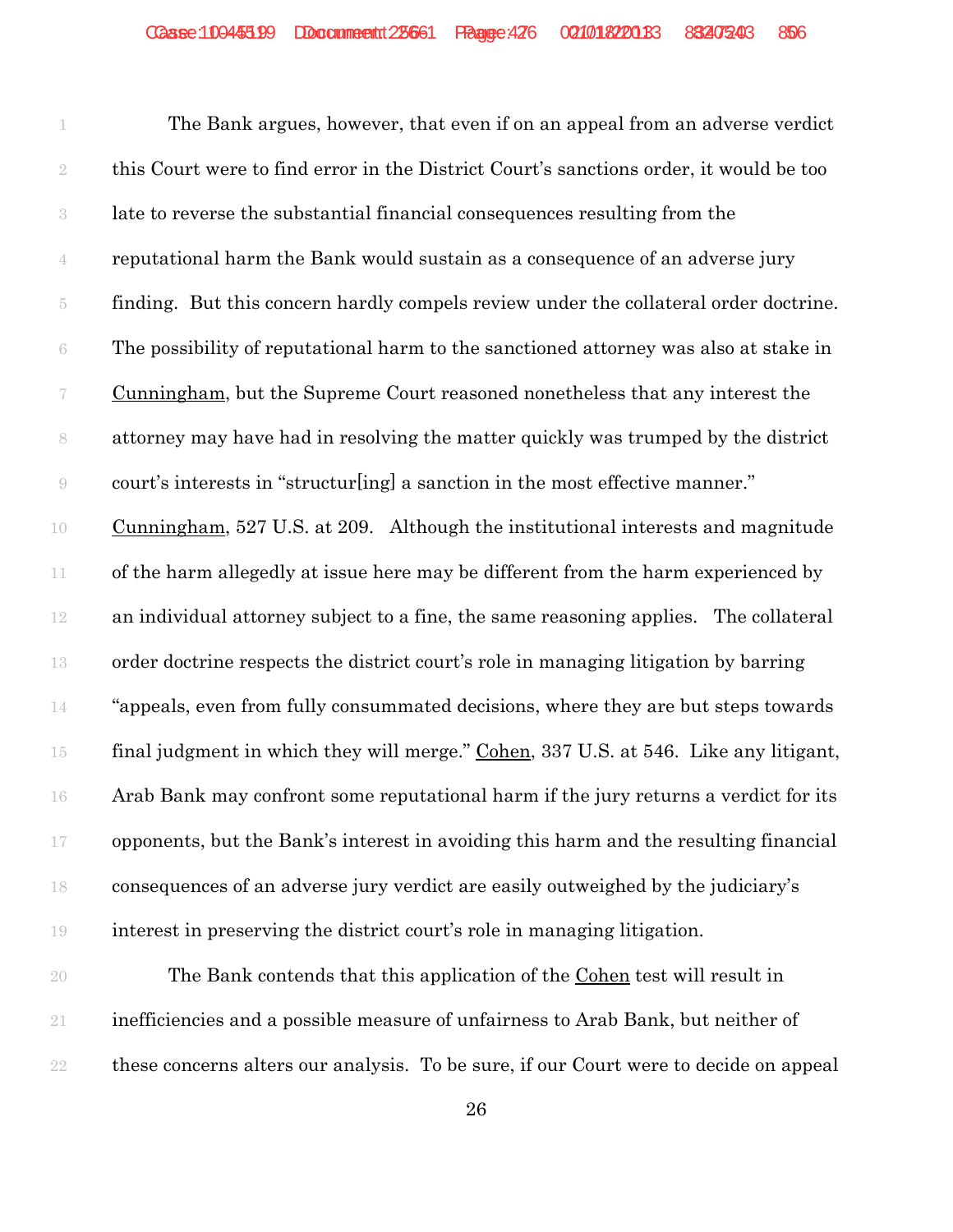The Bank argues, however, that even if on an appeal from an adverse verdict this Court were to find error in the District Court's sanctions order, it would be too late to reverse the substantial financial consequences resulting from the reputational harm the Bank would sustain as a consequence of an adverse jury finding. But this concern hardly compels review under the collateral order doctrine. The possibility of reputational harm to the sanctioned attorney was also at stake in Cunningham, but the Supreme Court reasoned nonetheless that any interest the attorney may have had in resolving the matter quickly was trumped by the district court's interests in "structur[ing] a sanction in the most effective manner." Cunningham, 527 U.S. at 209. Although the institutional interests and magnitude of the harm allegedly at issue here may be different from the harm experienced by an individual attorney subject to a fine, the same reasoning applies. The collateral order doctrine respects the district court's role in managing litigation by barring "appeals, even from fully consummated decisions, where they are but steps towards 15 final judgment in which they will merge." Cohen, 337 U.S. at 546. Like any litigant, Arab Bank may confront some reputational harm if the jury returns a verdict for its opponents, but the Bank's interest in avoiding this harm and the resulting financial consequences of an adverse jury verdict are easily outweighed by the judiciary's interest in preserving the district court's role in managing litigation.

 The Bank contends that this application of the Cohen test will result in inefficiencies and a possible measure of unfairness to Arab Bank, but neither of these concerns alters our analysis. To be sure, if our Court were to decide on appeal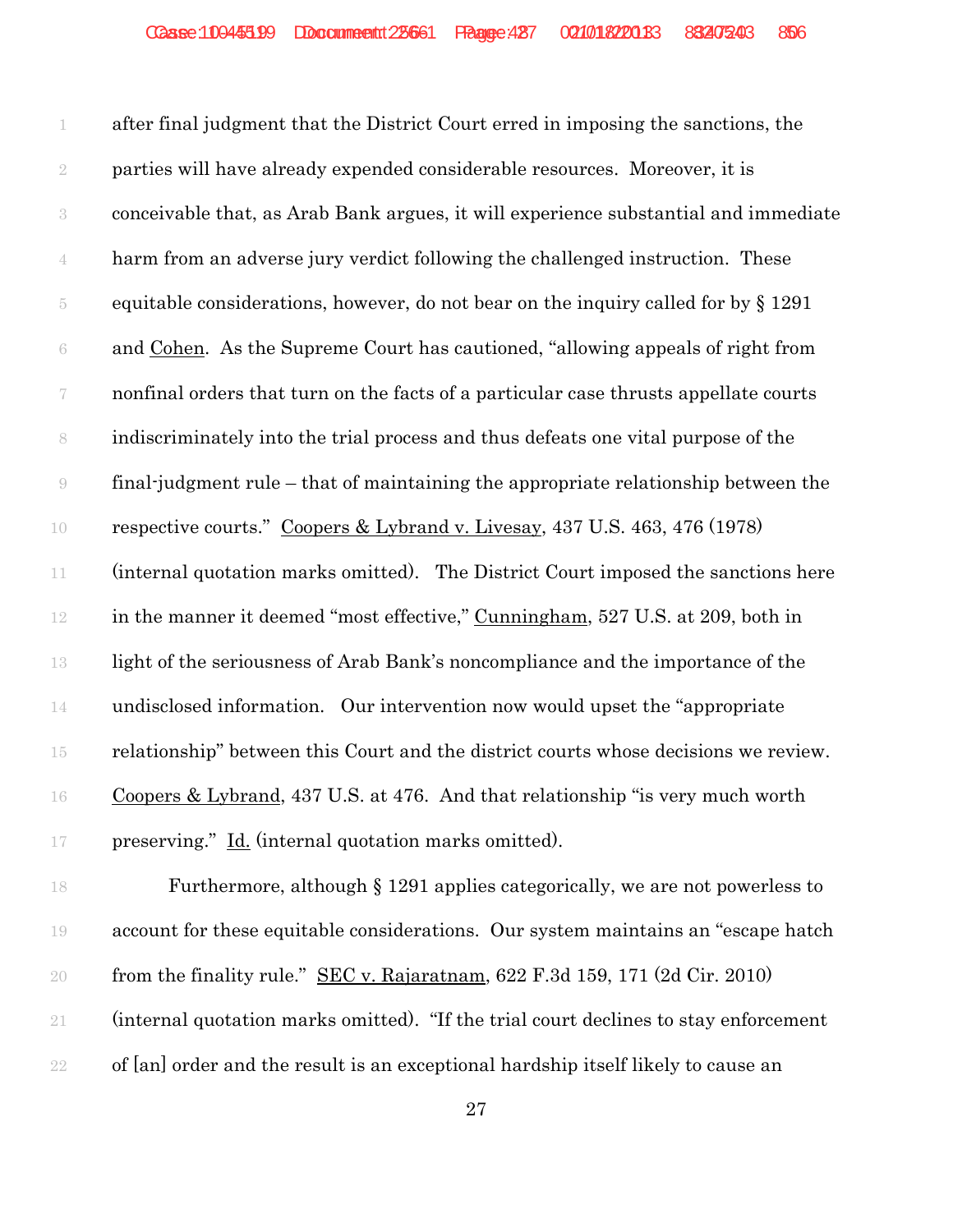after final judgment that the District Court erred in imposing the sanctions, the parties will have already expended considerable resources. Moreover, it is conceivable that, as Arab Bank argues, it will experience substantial and immediate harm from an adverse jury verdict following the challenged instruction. These equitable considerations, however, do not bear on the inquiry called for by § 1291 and Cohen. As the Supreme Court has cautioned, "allowing appeals of right from nonfinal orders that turn on the facts of a particular case thrusts appellate courts indiscriminately into the trial process and thus defeats one vital purpose of the final-judgment rule – that of maintaining the appropriate relationship between the respective courts." Coopers & Lybrand v. Livesay, 437 U.S. 463, 476 (1978) (internal quotation marks omitted). The District Court imposed the sanctions here 12 in the manner it deemed "most effective," Cunningham, 527 U.S. at 209, both in light of the seriousness of Arab Bank's noncompliance and the importance of the undisclosed information. Our intervention now would upset the "appropriate relationship" between this Court and the district courts whose decisions we review. Coopers & Lybrand, 437 U.S. at 476. And that relationship "is very much worth preserving." Id. (internal quotation marks omitted).

 Furthermore, although § 1291 applies categorically, we are not powerless to account for these equitable considerations. Our system maintains an "escape hatch from the finality rule." SEC v. Rajaratnam, 622 F.3d 159, 171 (2d Cir. 2010) (internal quotation marks omitted). "If the trial court declines to stay enforcement of [an] order and the result is an exceptional hardship itself likely to cause an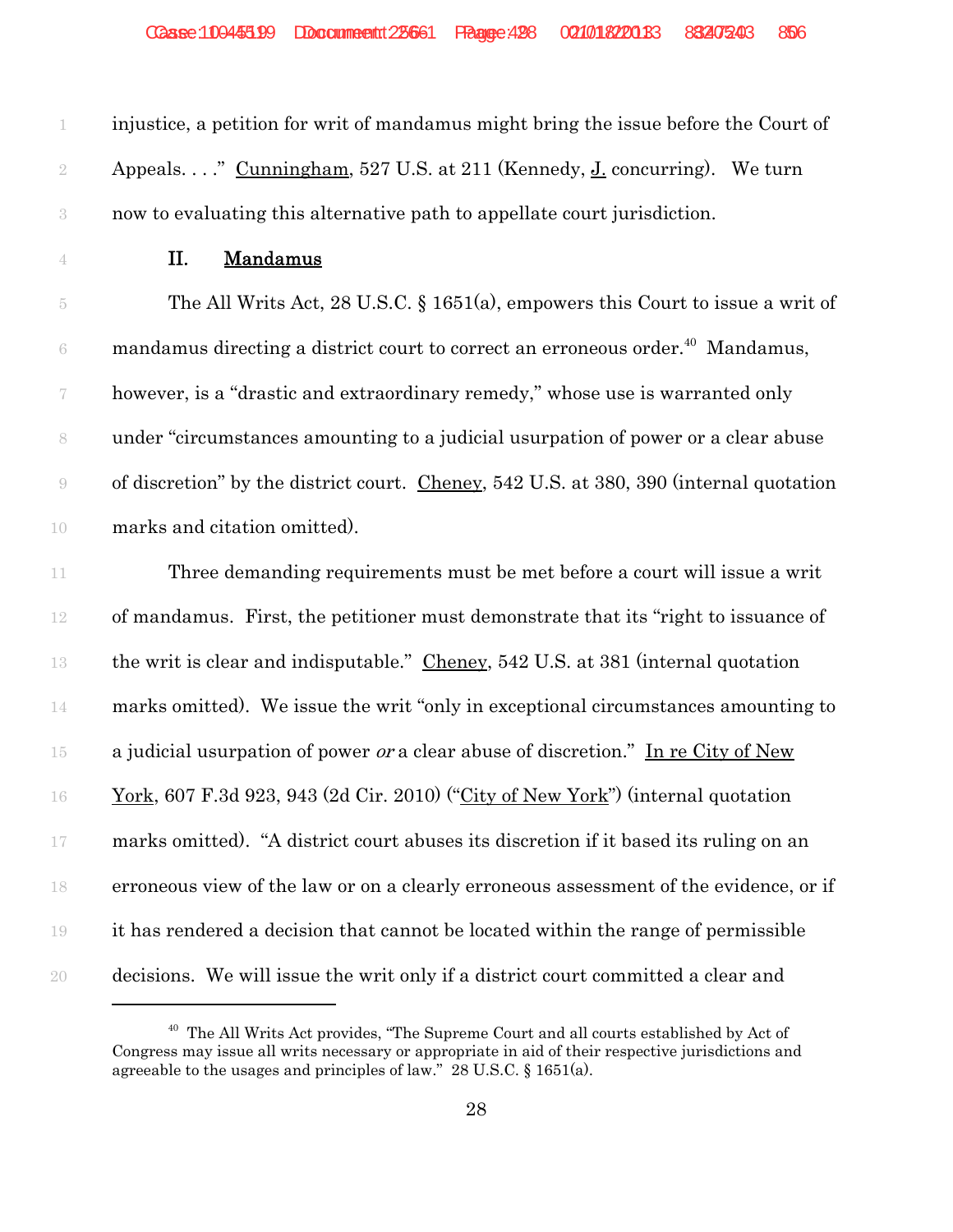$\frac{J}{d}$ .co. injustice, a petition for writ of mandamus might bring the issue before the Court of 2 Appeals. . . . " Cunningham, 527 U.S. at 211 (Kennedy, J. concurring). We turn now to evaluating this alternative path to appellate court jurisdiction.

## II. Mandamus

 The All Writs Act, 28 U.S.C. § 1651(a), empowers this Court to issue a writ of  $\epsilon$  mandamus directing a district court to correct an erroneous order.<sup>40</sup> Mandamus, however, is a "drastic and extraordinary remedy," whose use is warranted only under "circumstances amounting to a judicial usurpation of power or a clear abuse of discretion" by the district court. Cheney, 542 U.S. at 380, 390 (internal quotation marks and citation omitted).

 Three demanding requirements must be met before a court will issue a writ of mandamus. First, the petitioner must demonstrate that its "right to issuance of the writ is clear and indisputable." Cheney, 542 U.S. at 381 (internal quotation marks omitted). We issue the writ "only in exceptional circumstances amounting to 15 a judicial usurpation of power *or* a clear abuse of discretion." In re City of New York, 607 F.3d 923, 943 (2d Cir. 2010) ("City of New York") (internal quotation marks omitted). "A district court abuses its discretion if it based its ruling on an erroneous view of the law or on a clearly erroneous assessment of the evidence, or if it has rendered a decision that cannot be located within the range of permissible decisions. We will issue the writ only if a district court committed a clear and

<sup>&</sup>lt;sup>40</sup> The All Writs Act provides, "The Supreme Court and all courts established by Act of Congress may issue all writs necessary or appropriate in aid of their respective jurisdictions and agreeable to the usages and principles of law." 28 U.S.C. § 1651(a).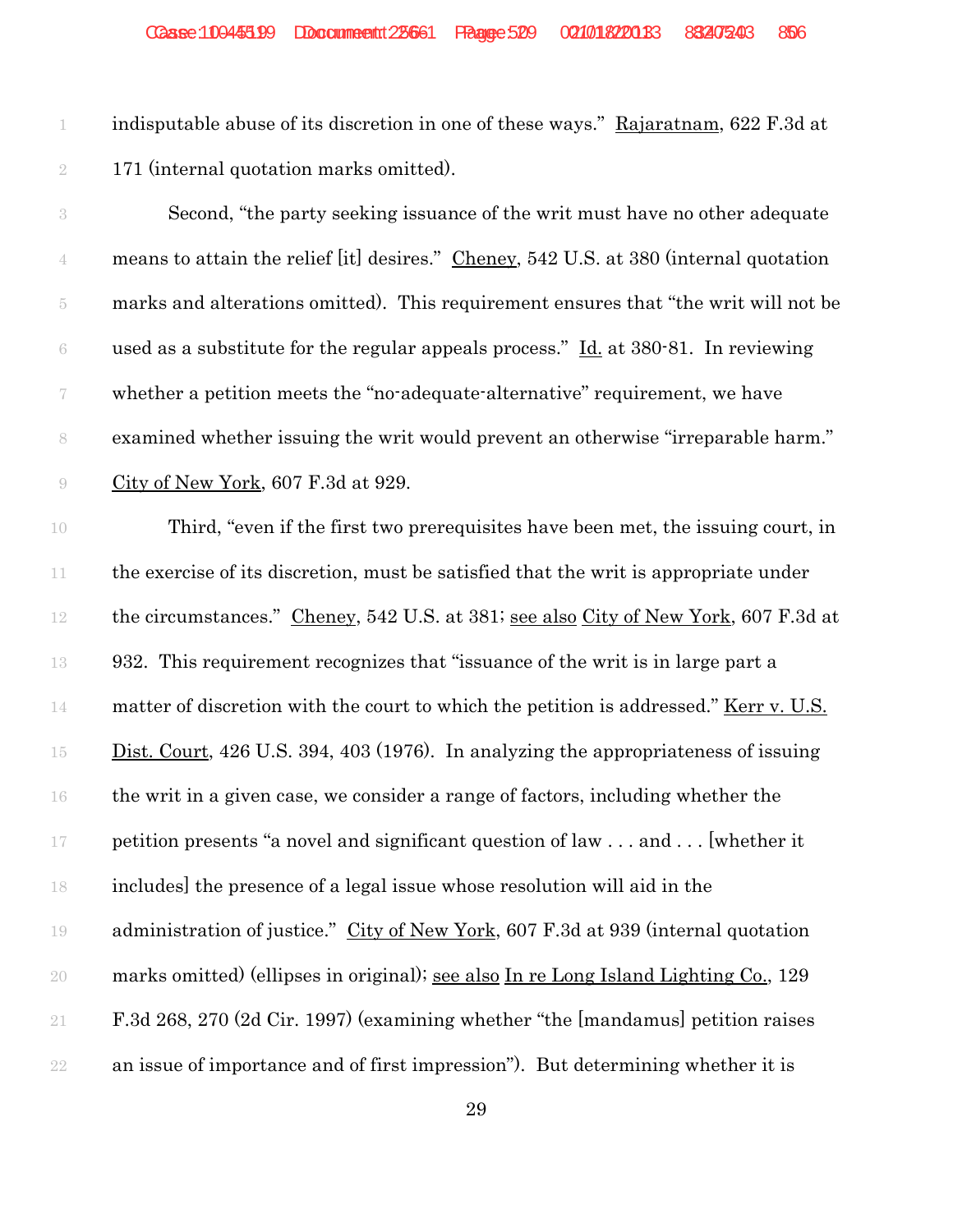indisputable abuse of its discretion in one of these ways." Rajaratnam, 622 F.3d at 171 (internal quotation marks omitted).

 Second, "the party seeking issuance of the writ must have no other adequate 4 means to attain the relief [it] desires." Cheney, 542 U.S. at 380 (internal quotation marks and alterations omitted). This requirement ensures that "the writ will not be 6 used as a substitute for the regular appeals process."  $\underline{Id}$  at 380-81. In reviewing whether a petition meets the "no-adequate-alternative" requirement, we have examined whether issuing the writ would prevent an otherwise "irreparable harm." City of New York, 607 F.3d at 929.

 Third, "even if the first two prerequisites have been met, the issuing court, in the exercise of its discretion, must be satisfied that the writ is appropriate under 12 the circumstances." Cheney, 542 U.S. at 381; see also City of New York, 607 F.3d at 932. This requirement recognizes that "issuance of the writ is in large part a 14 matter of discretion with the court to which the petition is addressed." <u>Kerr v. U.S.</u> 15 Dist. Court, 426 U.S. 394, 403 (1976). In analyzing the appropriateness of issuing the writ in a given case, we consider a range of factors, including whether the petition presents "a novel and significant question of law . . . and . . . [whether it includes] the presence of a legal issue whose resolution will aid in the 19 administration of justice." City of New York, 607 F.3d at 939 (internal quotation marks omitted) (ellipses in original); see also In re Long Island Lighting Co., 129 F.3d 268, 270 (2d Cir. 1997) (examining whether "the [mandamus] petition raises an issue of importance and of first impression"). But determining whether it is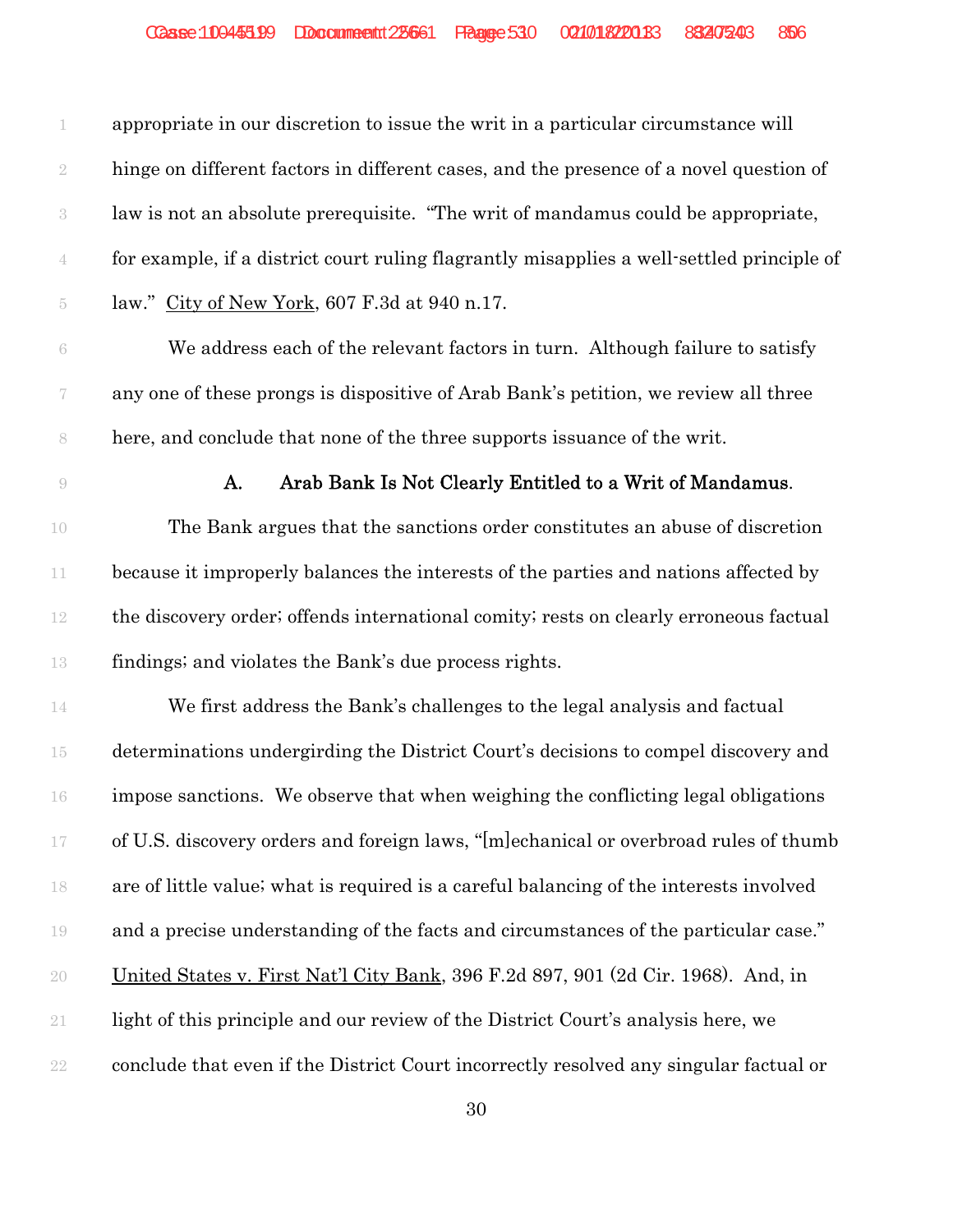appropriate in our discretion to issue the writ in a particular circumstance will hinge on different factors in different cases, and the presence of a novel question of law is not an absolute prerequisite. "The writ of mandamus could be appropriate, for example, if a district court ruling flagrantly misapplies a well-settled principle of law." City of New York, 607 F.3d at 940 n.17. We address each of the relevant factors in turn. Although failure to satisfy

 any one of these prongs is dispositive of Arab Bank's petition, we review all three here, and conclude that none of the three supports issuance of the writ.

#### **A.** Arab Bank Is Not Clearly Entitled to a Writ of Mandamus.

 The Bank argues that the sanctions order constitutes an abuse of discretion because it improperly balances the interests of the parties and nations affected by the discovery order; offends international comity; rests on clearly erroneous factual findings; and violates the Bank's due process rights.

 We first address the Bank's challenges to the legal analysis and factual determinations undergirding the District Court's decisions to compel discovery and impose sanctions. We observe that when weighing the conflicting legal obligations of U.S. discovery orders and foreign laws, "[m]echanical or overbroad rules of thumb are of little value; what is required is a careful balancing of the interests involved and a precise understanding of the facts and circumstances of the particular case." United States v. First Nat'l City Bank, 396 F.2d 897, 901 (2d Cir. 1968). And, in light of this principle and our review of the District Court's analysis here, we conclude that even if the District Court incorrectly resolved any singular factual or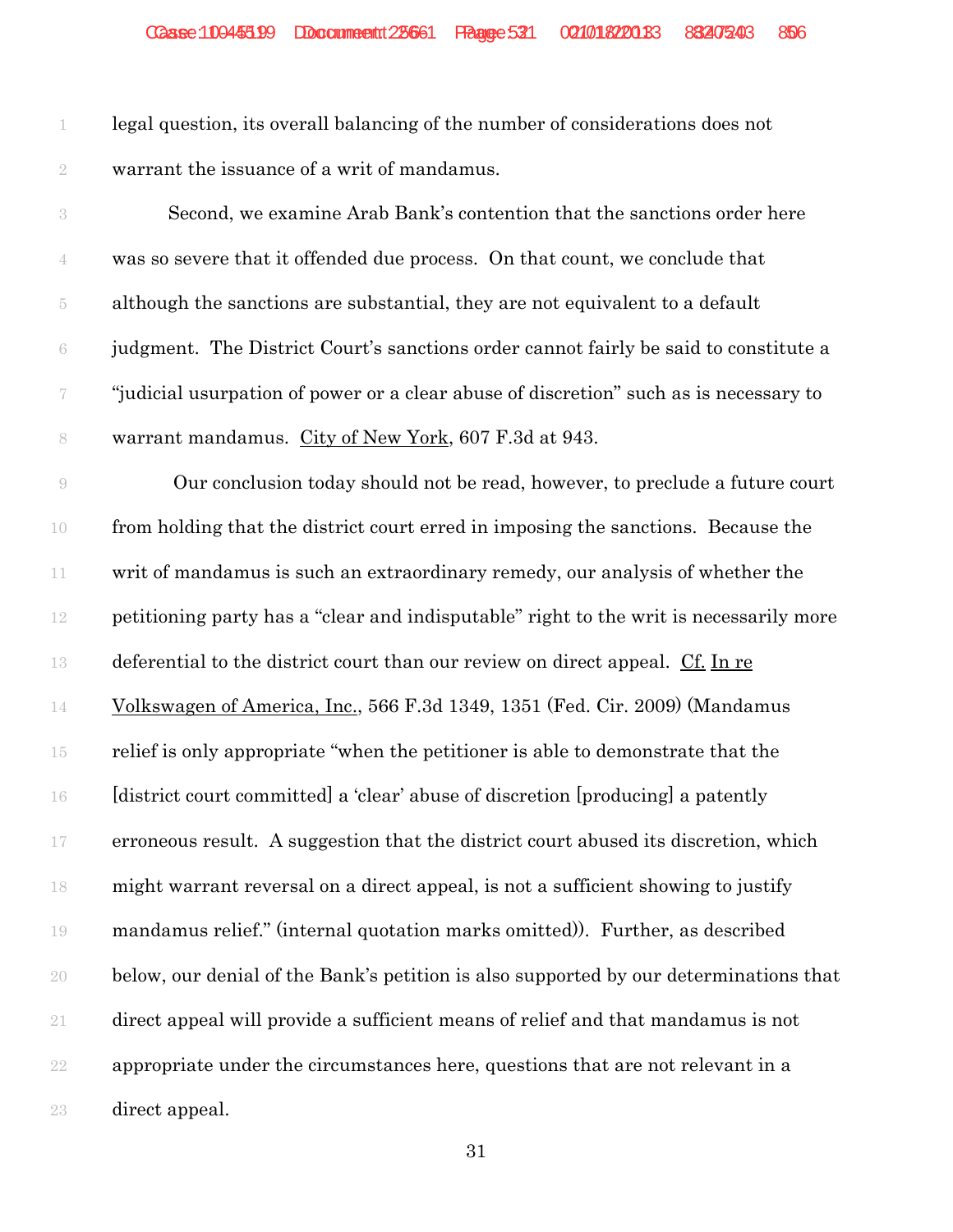legal question, its overall balancing of the number of considerations does not warrant the issuance of a writ of mandamus.

 Second, we examine Arab Bank's contention that the sanctions order here was so severe that it offended due process. On that count, we conclude that although the sanctions are substantial, they are not equivalent to a default judgment. The District Court's sanctions order cannot fairly be said to constitute a "judicial usurpation of power or a clear abuse of discretion" such as is necessary to warrant mandamus. City of New York, 607 F.3d at 943.

9 Our conclusion today should not be read, however, to preclude a future court from holding that the district court erred in imposing the sanctions. Because the writ of mandamus is such an extraordinary remedy, our analysis of whether the petitioning party has a "clear and indisputable" right to the writ is necessarily more deferential to the district court than our review on direct appeal. Cf. In re Volkswagen of America, Inc., 566 F.3d 1349, 1351 (Fed. Cir. 2009) (Mandamus relief is only appropriate "when the petitioner is able to demonstrate that the [district court committed] a 'clear' abuse of discretion [producing] a patently erroneous result. A suggestion that the district court abused its discretion, which might warrant reversal on a direct appeal, is not a sufficient showing to justify mandamus relief." (internal quotation marks omitted)). Further, as described below, our denial of the Bank's petition is also supported by our determinations that direct appeal will provide a sufficient means of relief and that mandamus is not appropriate under the circumstances here, questions that are not relevant in a direct appeal.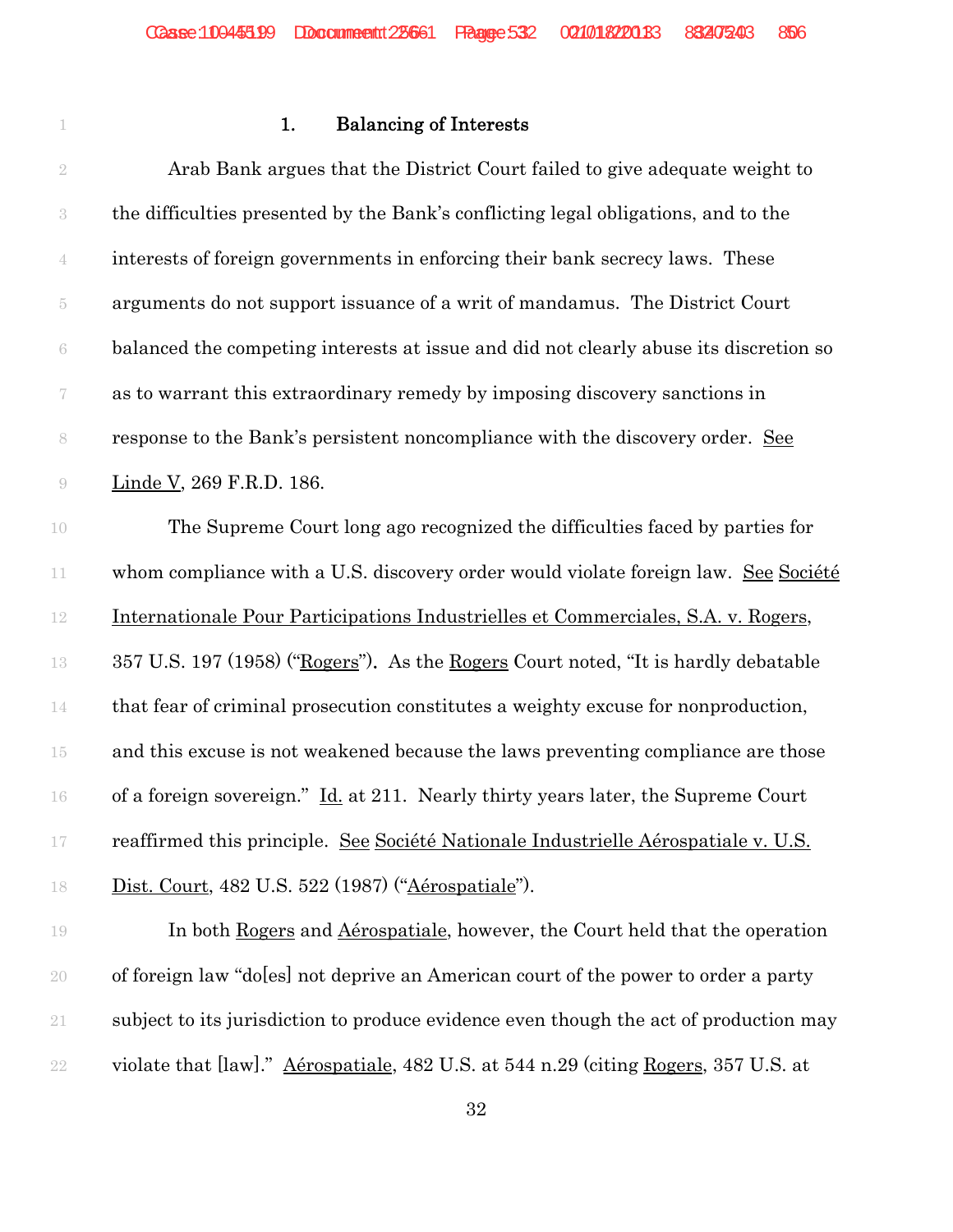# **1.** Balancing of Interests

| $\sqrt{2}$               | Arab Bank argues that the District Court failed to give adequate weight to            |
|--------------------------|---------------------------------------------------------------------------------------|
| $\sqrt{3}$               | the difficulties presented by the Bank's conflicting legal obligations, and to the    |
| $\mathbf 4$              | interests of foreign governments in enforcing their bank secrecy laws. These          |
| $\tilde{\text{5}}$       | arguments do not support issuance of a writ of mandamus. The District Court           |
| $\rm 6$                  | balanced the competing interests at issue and did not clearly abuse its discretion so |
| $\overline{\mathcal{U}}$ | as to warrant this extraordinary remedy by imposing discovery sanctions in            |
| $\,$ $\,$                | response to the Bank's persistent noncompliance with the discovery order. See         |
| $\Theta$                 | Linde V, 269 F.R.D. 186.                                                              |
| 10                       | The Supreme Court long ago recognized the difficulties faced by parties for           |
| $11\,$                   | whom compliance with a U.S. discovery order would violate foreign law. See Société    |
| $12\,$                   | Internationale Pour Participations Industrielles et Commerciales, S.A. v. Rogers,     |
| 13                       | 357 U.S. 197 (1958) ("Rogers"). As the Rogers Court noted, "It is hardly debatable    |
| $14\,$                   | that fear of criminal prosecution constitutes a weighty excuse for nonproduction,     |
| 15                       | and this excuse is not weakened because the laws preventing compliance are those      |
| 16                       | of a foreign sovereign." Id. at 211. Nearly thirty years later, the Supreme Court     |
| 17                       | reaffirmed this principle. See Société Nationale Industrielle Aérospatiale v. U.S.    |
| 18                       | Dist. Court, 482 U.S. 522 (1987) ("Aérospatiale").                                    |
| 19                       | In both Rogers and Aérospatiale, however, the Court held that the operation           |
| $20\,$                   | of foreign law "do[es] not deprive an American court of the power to order a party    |
| $21\,$                   | subject to its jurisdiction to produce evidence even though the act of production may |

violate that [law]." Aérospatiale, 482 U.S. at 544 n.29 (citing Rogers, 357 U.S. at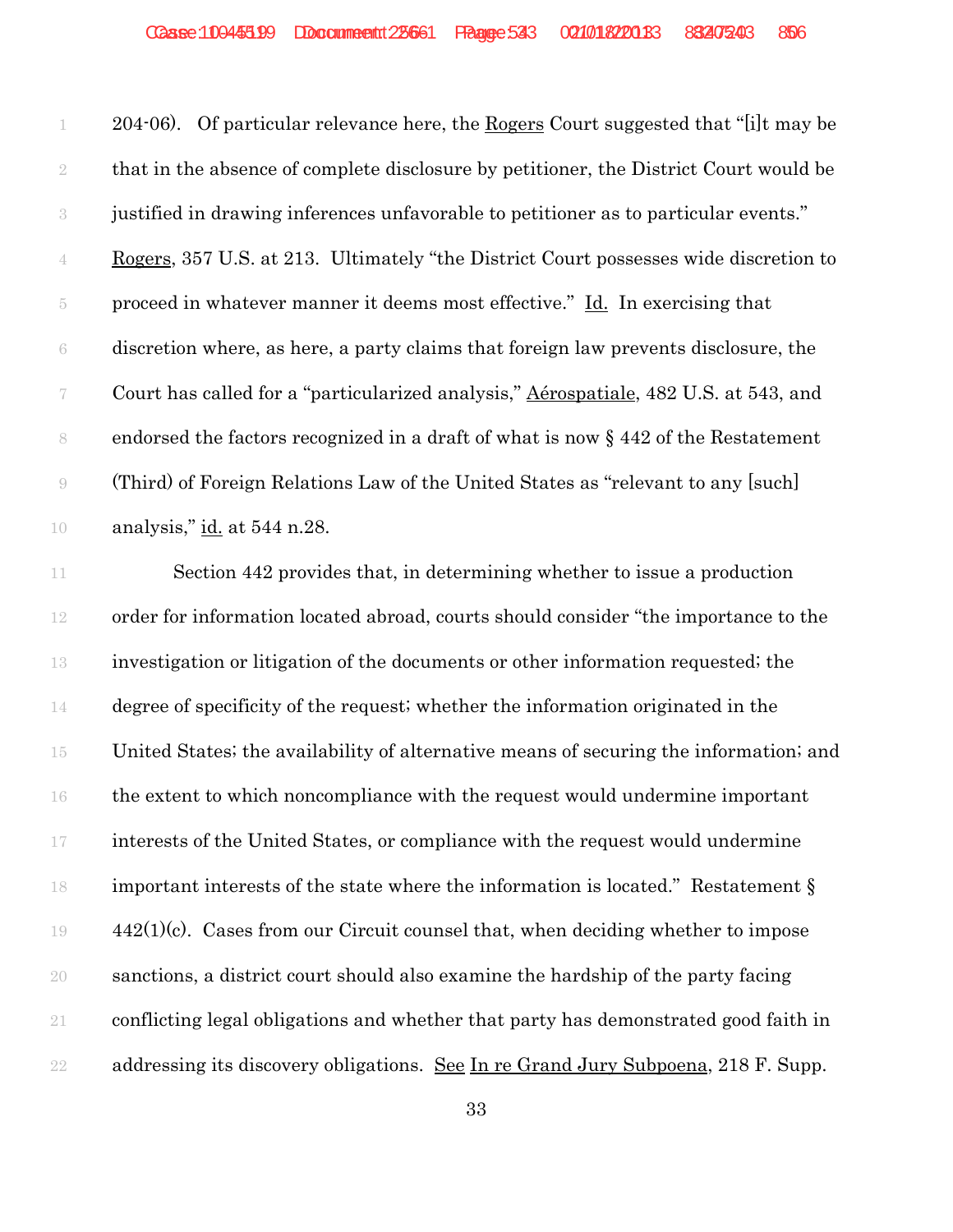204-06). Of particular relevance here, the Rogers Court suggested that "[i]t may be that in the absence of complete disclosure by petitioner, the District Court would be justified in drawing inferences unfavorable to petitioner as to particular events." Rogers, 357 U.S. at 213. Ultimately "the District Court possesses wide discretion to proceed in whatever manner it deems most effective." Id. In exercising that discretion where, as here, a party claims that foreign law prevents disclosure, the Court has called for a "particularized analysis," Aérospatiale, 482 U.S. at 543, and endorsed the factors recognized in a draft of what is now § 442 of the Restatement (Third) of Foreign Relations Law of the United States as "relevant to any [such] analysis," id. at 544 n.28.

11 Section 442 provides that, in determining whether to issue a production order for information located abroad, courts should consider "the importance to the investigation or litigation of the documents or other information requested; the degree of specificity of the request; whether the information originated in the United States; the availability of alternative means of securing the information; and the extent to which noncompliance with the request would undermine important interests of the United States, or compliance with the request would undermine important interests of the state where the information is located." Restatement § 442(1)(c). Cases from our Circuit counsel that, when deciding whether to impose sanctions, a district court should also examine the hardship of the party facing conflicting legal obligations and whether that party has demonstrated good faith in 22 addressing its discovery obligations. See In re Grand Jury Subpoena, 218 F. Supp.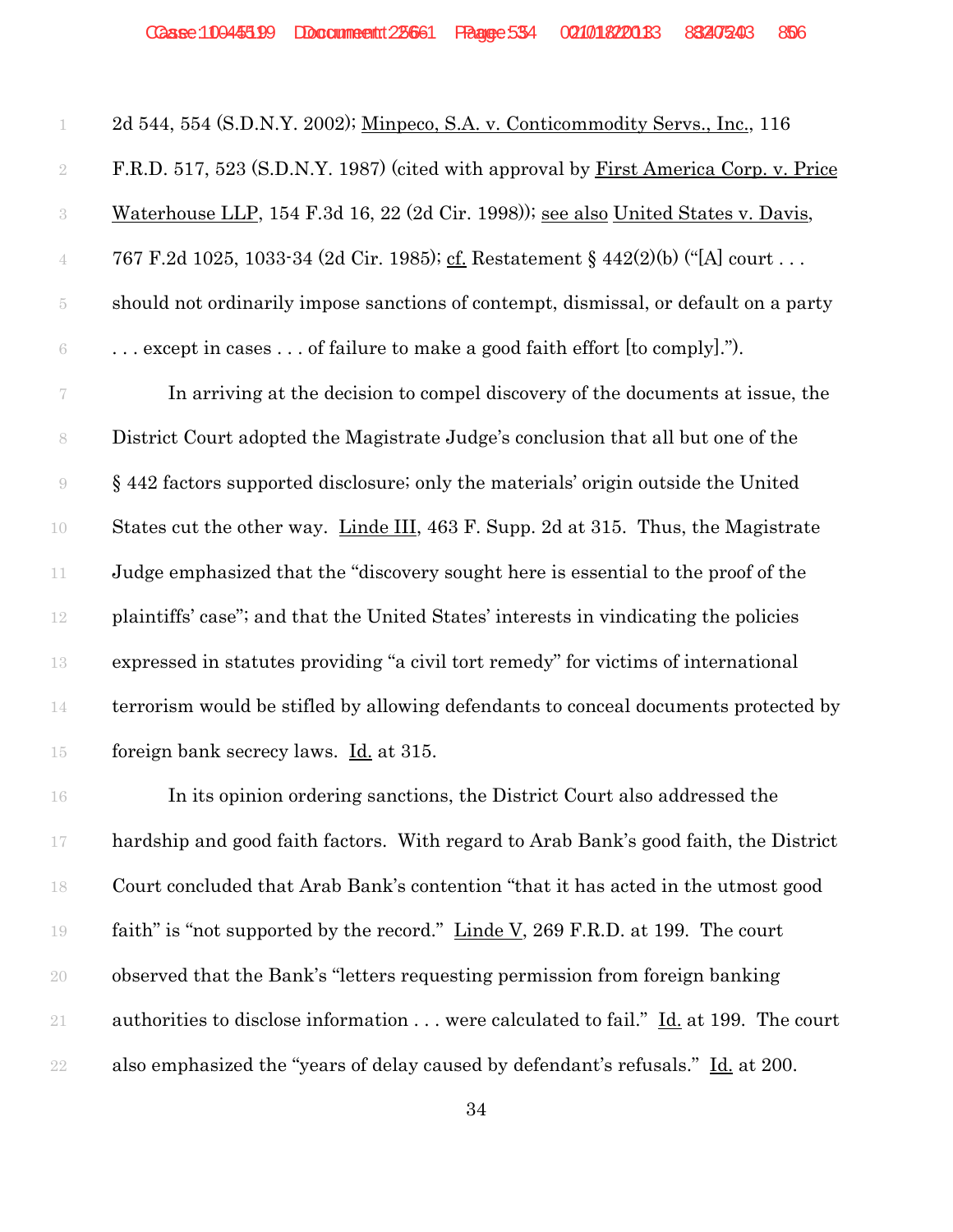| $\perp$                  | 2d 544, 554 (S.D.N.Y. 2002); Minpeco, S.A. v. Conticommodity Servs., Inc., 116           |
|--------------------------|------------------------------------------------------------------------------------------|
| $\sqrt{2}$               | F.R.D. 517, 523 (S.D.N.Y. 1987) (cited with approval by First America Corp. v. Price     |
| $\sqrt{3}$               | Waterhouse LLP, 154 F.3d 16, 22 (2d Cir. 1998)); see also United States v. Davis,        |
| $\overline{4}$           | 767 F.2d 1025, 1033-34 (2d Cir. 1985); cf. Restatement § 442(2)(b) ("[A] court           |
| $\tilde{\text{5}}$       | should not ordinarily impose sanctions of contempt, dismissal, or default on a party     |
| $\,6\,$                  | $\ldots$ except in cases $\ldots$ of failure to make a good faith effort [to comply]."). |
| $\overline{\mathcal{C}}$ | In arriving at the decision to compel discovery of the documents at issue, the           |
| 8                        | District Court adopted the Magistrate Judge's conclusion that all but one of the         |
| $\Theta$                 | §442 factors supported disclosure; only the materials' origin outside the United         |
| $10\,$                   | States cut the other way. Linde III, 463 F. Supp. 2d at 315. Thus, the Magistrate        |
| 11                       | Judge emphasized that the "discovery sought here is essential to the proof of the        |
| $12\,$                   | plaintiffs' case"; and that the United States' interests in vindicating the policies     |
| 13                       | expressed in statutes providing "a civil tort remedy" for victims of international       |
| $14\,$                   | terrorism would be stifled by allowing defendants to conceal documents protected by      |
| $15\,$                   | foreign bank secrecy laws. Id. at 315.                                                   |
| $16\,$                   | In its opinion ordering sanctions, the District Court also addressed the                 |
| $17\,$                   | hardship and good faith factors. With regard to Arab Bank's good faith, the District     |
| 18                       | Court concluded that Arab Bank's contention "that it has acted in the utmost good        |
| 19                       | faith" is "not supported by the record." Linde V, 269 F.R.D. at 199. The court           |
| 20                       | observed that the Bank's "letters requesting permission from foreign banking"            |
| 21                       | authorities to disclose information were calculated to fail." Id. at 199. The court      |
| 22                       | also emphasized the "years of delay caused by defendant's refusals." Id. at 200.         |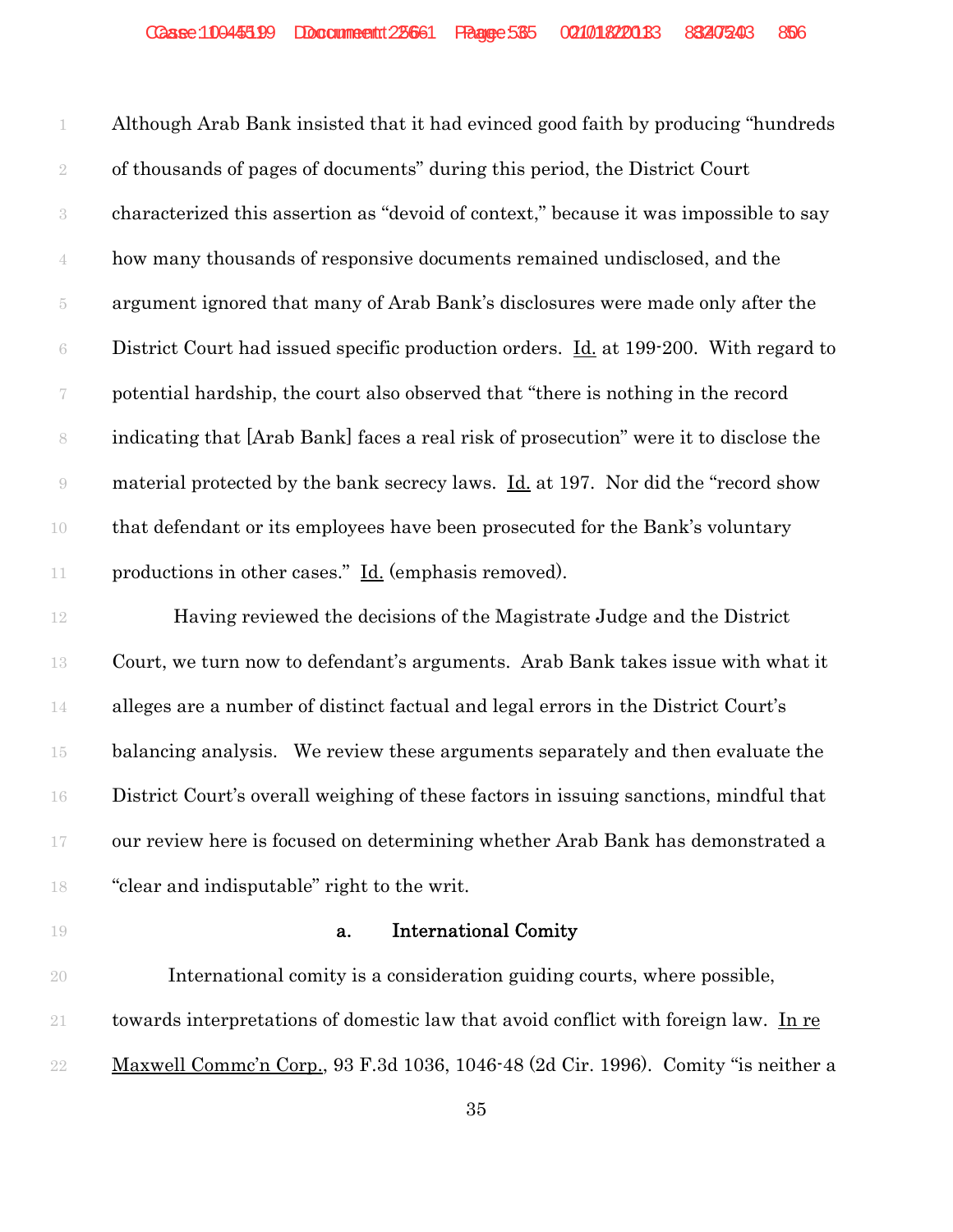Although Arab Bank insisted that it had evinced good faith by producing "hundreds of thousands of pages of documents" during this period, the District Court characterized this assertion as "devoid of context," because it was impossible to say how many thousands of responsive documents remained undisclosed, and the argument ignored that many of Arab Bank's disclosures were made only after the District Court had issued specific production orders. <u>Id.</u> at 199-200. With regard to potential hardship, the court also observed that "there is nothing in the record indicating that [Arab Bank] faces a real risk of prosecution" were it to disclose the material protected by the bank secrecy laws. Id. at 197. Nor did the "record show that defendant or its employees have been prosecuted for the Bank's voluntary 11 productions in other cases." <u>Id.</u> (emphasis removed).

12 Having reviewed the decisions of the Magistrate Judge and the District Court, we turn now to defendant's arguments. Arab Bank takes issue with what it alleges are a number of distinct factual and legal errors in the District Court's balancing analysis. We review these arguments separately and then evaluate the District Court's overall weighing of these factors in issuing sanctions, mindful that our review here is focused on determining whether Arab Bank has demonstrated a "clear and indisputable" right to the writ.

#### **a.** International Comity

 International comity is a consideration guiding courts, where possible, towards interpretations of domestic law that avoid conflict with foreign law. In re Maxwell Commc'n Corp., 93 F.3d 1036, 1046-48 (2d Cir. 1996). Comity "is neither a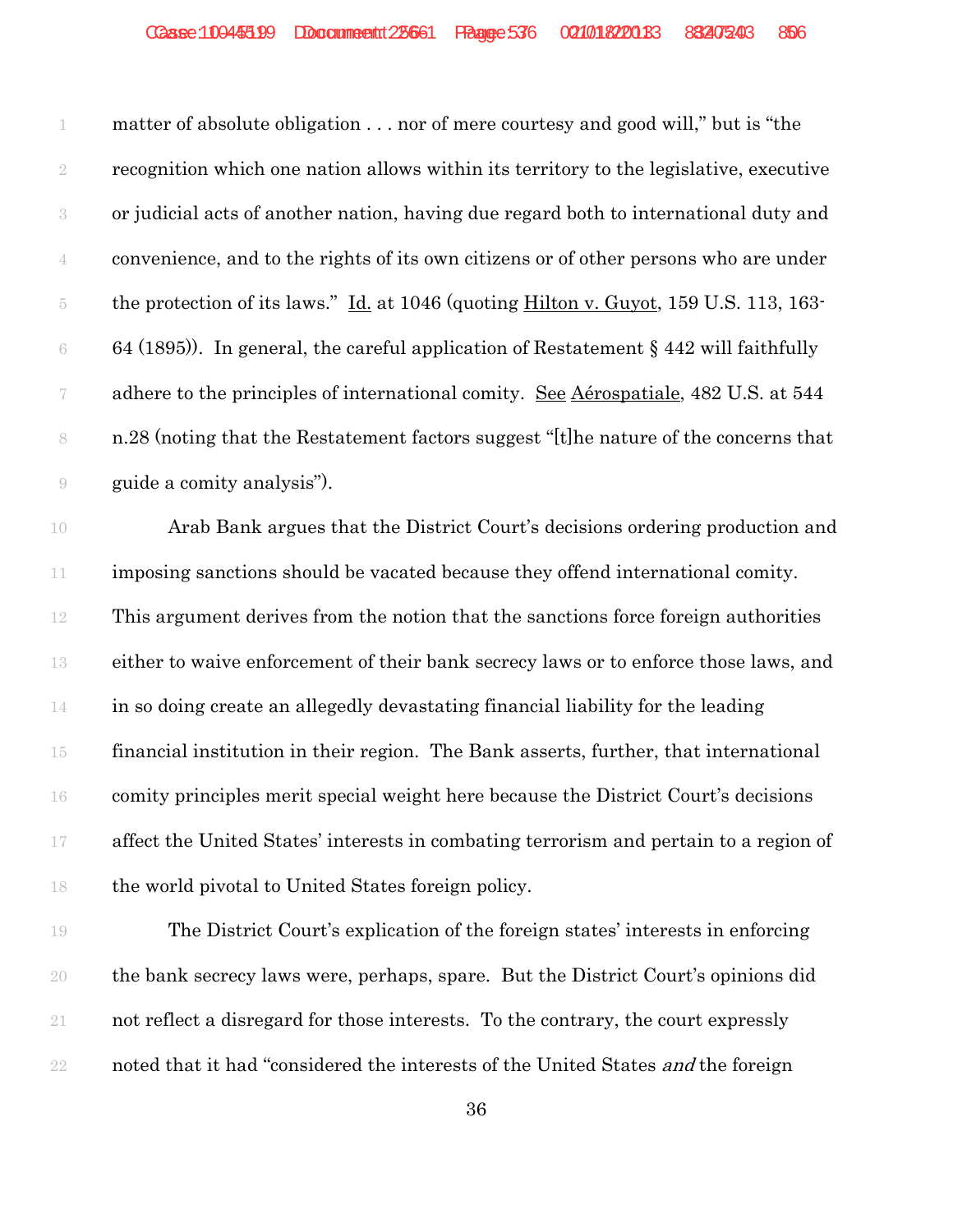matter of absolute obligation . . . nor of mere courtesy and good will," but is "the recognition which one nation allows within its territory to the legislative, executive or judicial acts of another nation, having due regard both to international duty and convenience, and to the rights of its own citizens or of other persons who are under the protection of its laws." Id. at 1046 (quoting Hilton v. Guyot, 159 U.S. 113, 163- 6 64 (1895)). In general, the careful application of Restatement § 442 will faithfully 7 adhere to the principles of international comity. See Aérospatiale, 482 U.S. at 544 n.28 (noting that the Restatement factors suggest "[t]he nature of the concerns that guide a comity analysis").

 Arab Bank argues that the District Court's decisions ordering production and imposing sanctions should be vacated because they offend international comity. This argument derives from the notion that the sanctions force foreign authorities either to waive enforcement of their bank secrecy laws or to enforce those laws, and in so doing create an allegedly devastating financial liability for the leading financial institution in their region. The Bank asserts, further, that international comity principles merit special weight here because the District Court's decisions affect the United States' interests in combating terrorism and pertain to a region of the world pivotal to United States foreign policy.

 The District Court's explication of the foreign states' interests in enforcing the bank secrecy laws were, perhaps, spare. But the District Court's opinions did not reflect a disregard for those interests. To the contrary, the court expressly 22 noted that it had "considered the interests of the United States *and* the foreign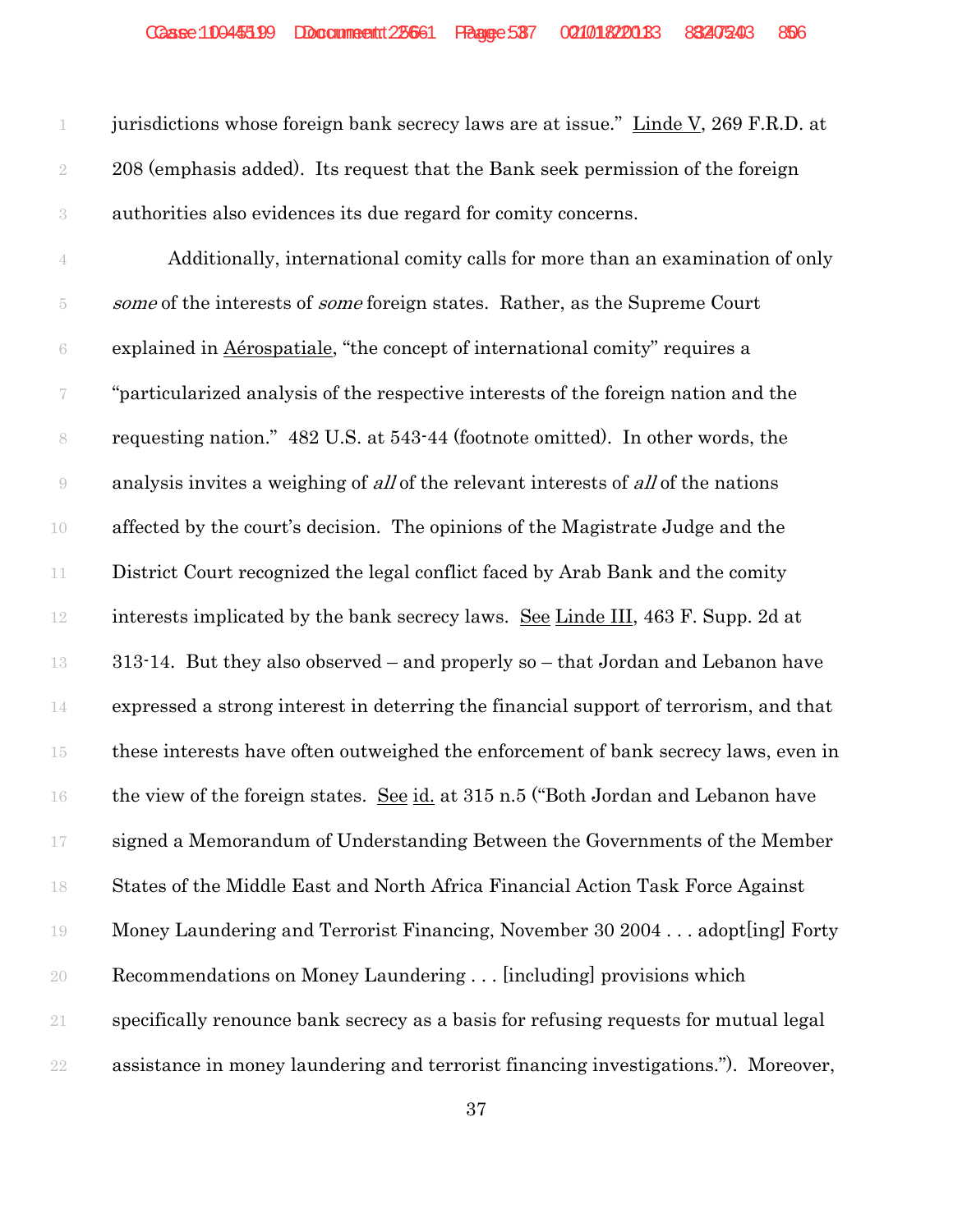jurisdictions whose foreign bank secrecy laws are at issue." Linde V, 269 F.R.D. at 208 (emphasis added). Its request that the Bank seek permission of the foreign authorities also evidences its due regard for comity concerns.

 Additionally, international comity calls for more than an examination of only 5 some of the interests of *some* foreign states. Rather, as the Supreme Court explained in Aérospatiale, "the concept of international comity" requires a "particularized analysis of the respective interests of the foreign nation and the requesting nation." 482 U.S. at 543-44 (footnote omitted). In other words, the analysis invites a weighing of all of the relevant interests of all of the nations affected by the court's decision. The opinions of the Magistrate Judge and the District Court recognized the legal conflict faced by Arab Bank and the comity interests implicated by the bank secrecy laws. See Linde III, 463 F. Supp. 2d at 313-14. But they also observed – and properly so – that Jordan and Lebanon have expressed a strong interest in deterring the financial support of terrorism, and that these interests have often outweighed the enforcement of bank secrecy laws, even in the view of the foreign states. See id. at 315 n.5 ("Both Jordan and Lebanon have signed a Memorandum of Understanding Between the Governments of the Member States of the Middle East and North Africa Financial Action Task Force Against Money Laundering and Terrorist Financing, November 30 2004 . . . adopt[ing] Forty Recommendations on Money Laundering . . . [including] provisions which specifically renounce bank secrecy as a basis for refusing requests for mutual legal assistance in money laundering and terrorist financing investigations."). Moreover,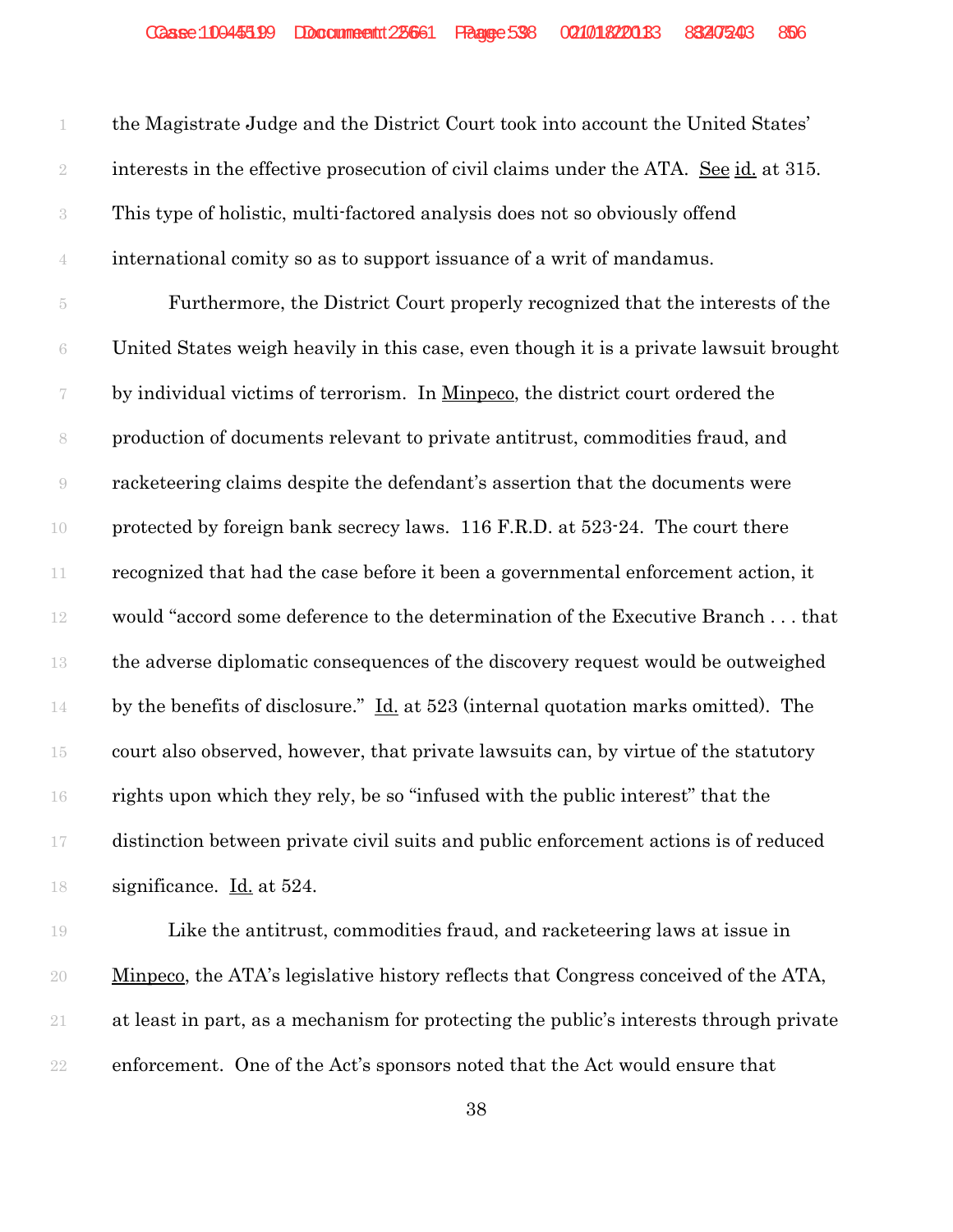| 1              | the Magistrate Judge and the District Court took into account the United States'       |
|----------------|----------------------------------------------------------------------------------------|
| $\sqrt{2}$     | interests in the effective prosecution of civil claims under the ATA. See id. at 315.  |
| $\sqrt{3}$     | This type of holistic, multi-factored analysis does not so obviously offend            |
| $\overline{4}$ | international comity so as to support issuance of a writ of mandamus.                  |
| $\overline{5}$ | Furthermore, the District Court properly recognized that the interests of the          |
| $\rm 6$        | United States weigh heavily in this case, even though it is a private lawsuit brought  |
|                | by individual victims of terrorism. In Minpeco, the district court ordered the         |
| $\,$ $\,$      | production of documents relevant to private antitrust, commodities fraud, and          |
| $\Theta$       | racketeering claims despite the defendant's assertion that the documents were          |
| $10\,$         | protected by foreign bank secrecy laws. 116 F.R.D. at 523-24. The court there          |
| $11\,$         | recognized that had the case before it been a governmental enforcement action, it      |
| $12\,$         | would "accord some deference to the determination of the Executive Branchthat          |
| $13\,$         | the adverse diplomatic consequences of the discovery request would be outweighed       |
| $14\,$         | by the benefits of disclosure." Id. at 523 (internal quotation marks omitted). The     |
| $15\,$         | court also observed, however, that private lawsuits can, by virtue of the statutory    |
| 16             | rights upon which they rely, be so "infused with the public interest" that the         |
| $17\,$         | distinction between private civil suits and public enforcement actions is of reduced   |
| 18             | significance. Id. at 524.                                                              |
| 19             | Like the antitrust, commodities fraud, and racketeering laws at issue in               |
| 20             | Minpeco, the ATA's legislative history reflects that Congress conceived of the ATA,    |
| 21             | at least in part, as a mechanism for protecting the public's interests through private |

enforcement. One of the Act's sponsors noted that the Act would ensure that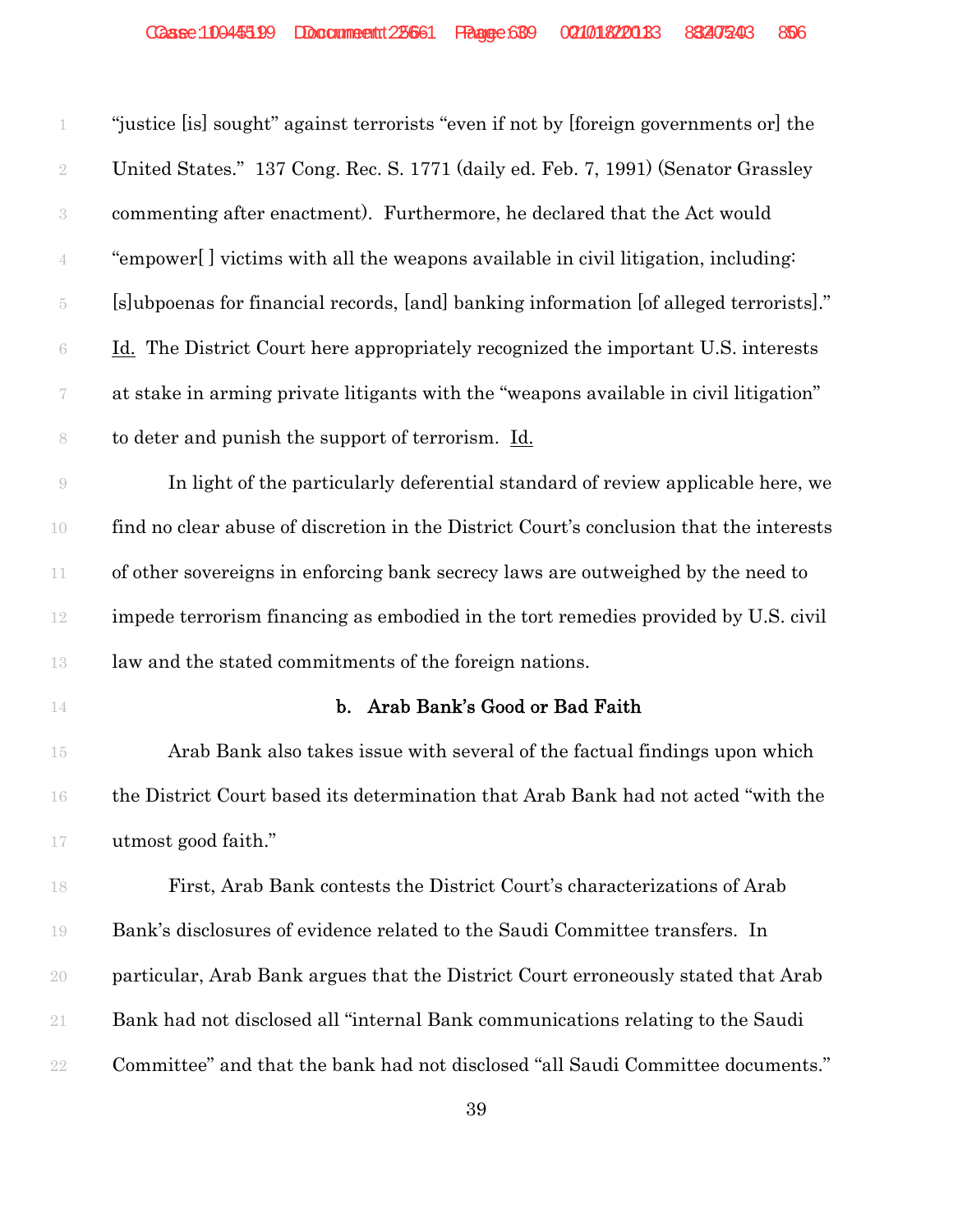| 1                  | "justice [is] sought" against terrorists "even if not by [foreign governments or] the    |
|--------------------|------------------------------------------------------------------------------------------|
| $\sqrt{2}$         | United States." 137 Cong. Rec. S. 1771 (daily ed. Feb. 7, 1991) (Senator Grassley        |
| $\sqrt{3}$         | commenting after enactment). Furthermore, he declared that the Act would                 |
| $\overline{4}$     | "empower[] victims with all the weapons available in civil litigation, including:        |
| $\tilde{\text{5}}$ | [s]ubpoenas for financial records, [and] banking information [of alleged terrorists]."   |
| $\,6\,$            | <u>Id.</u> The District Court here appropriately recognized the important U.S. interests |
| 7                  | at stake in arming private litigants with the "weapons available in civil litigation"    |
| 8                  | to deter and punish the support of terrorism. Id.                                        |
| $\Theta$           | In light of the particularly deferential standard of review applicable here, we          |
| $10\,$             | find no clear abuse of discretion in the District Court's conclusion that the interests  |
| $11\,$             | of other sovereigns in enforcing bank secrecy laws are outweighed by the need to         |
| $12\,$             | impede terrorism financing as embodied in the tort remedies provided by U.S. civil       |
| 13                 | law and the stated commitments of the foreign nations.                                   |
| $14\,$             | b. Arab Bank's Good or Bad Faith                                                         |
| $15\,$             | Arab Bank also takes issue with several of the factual findings upon which               |
| 16                 | the District Court based its determination that Arab Bank had not acted "with the        |
| $17\,$             | utmost good faith."                                                                      |
| 18                 | First, Arab Bank contests the District Court's characterizations of Arab                 |
| 19                 | Bank's disclosures of evidence related to the Saudi Committee transfers. In              |
| $20\,$             | particular, Arab Bank argues that the District Court erroneously stated that Arab        |
| 21                 | Bank had not disclosed all "internal Bank communications relating to the Saudi           |
| $2\sqrt{2}$        | Committee" and that the bank had not disclosed "all Saudi Committee documents."          |
|                    |                                                                                          |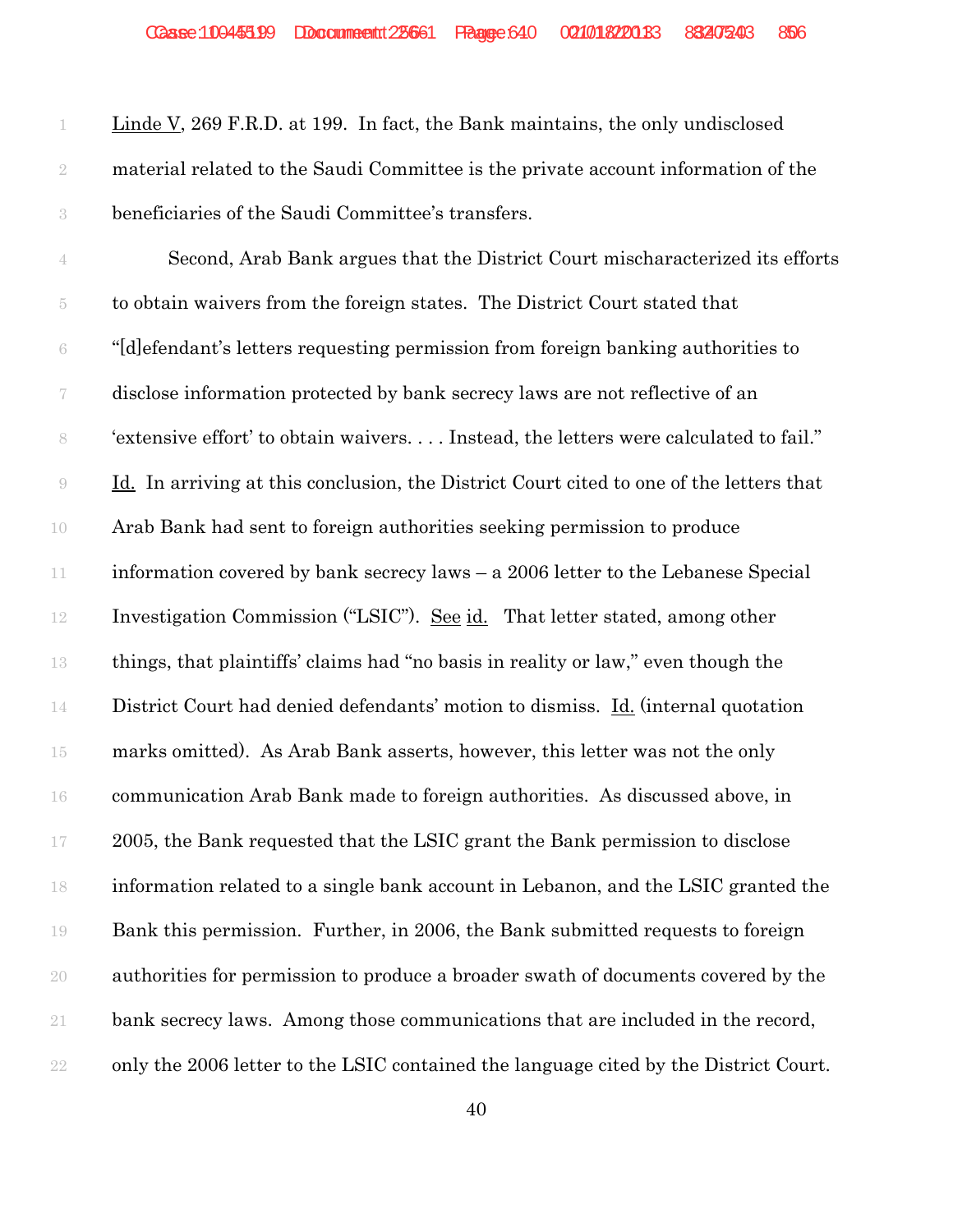Linde V, 269 F.R.D. at 199. In fact, the Bank maintains, the only undisclosed material related to the Saudi Committee is the private account information of the beneficiaries of the Saudi Committee's transfers.

 Second, Arab Bank argues that the District Court mischaracterized its efforts to obtain waivers from the foreign states. The District Court stated that "[d]efendant's letters requesting permission from foreign banking authorities to disclose information protected by bank secrecy laws are not reflective of an 'extensive effort' to obtain waivers. . . . Instead, the letters were calculated to fail." Id. In arriving at this conclusion, the District Court cited to one of the letters that Arab Bank had sent to foreign authorities seeking permission to produce information covered by bank secrecy laws – a 2006 letter to the Lebanese Special Investigation Commission ("LSIC"). See id. That letter stated, among other things, that plaintiffs' claims had "no basis in reality or law," even though the 14 District Court had denied defendants' motion to dismiss. Id. (internal quotation marks omitted). As Arab Bank asserts, however, this letter was not the only communication Arab Bank made to foreign authorities. As discussed above, in 2005, the Bank requested that the LSIC grant the Bank permission to disclose information related to a single bank account in Lebanon, and the LSIC granted the Bank this permission. Further, in 2006, the Bank submitted requests to foreign authorities for permission to produce a broader swath of documents covered by the bank secrecy laws. Among those communications that are included in the record, only the 2006 letter to the LSIC contained the language cited by the District Court.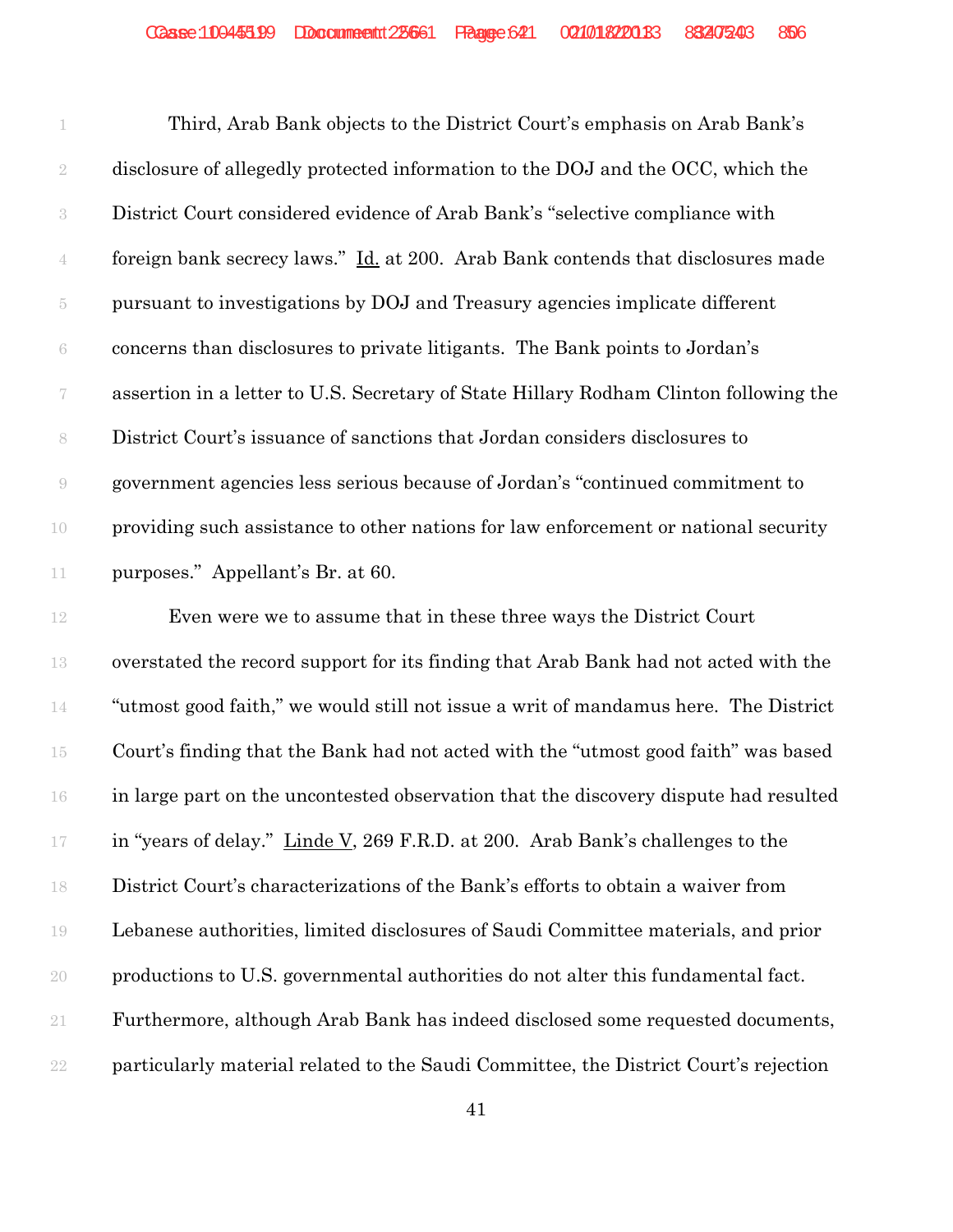|                          | Third, Arab Bank objects to the District Court's emphasis on Arab Bank's              |
|--------------------------|---------------------------------------------------------------------------------------|
| $\overline{2}$           | disclosure of allegedly protected information to the DOJ and the OCC, which the       |
| $\rm 3$                  | District Court considered evidence of Arab Bank's "selective compliance with          |
| $\overline{4}$           | foreign bank secrecy laws." Id. at 200. Arab Bank contends that disclosures made      |
| 5                        | pursuant to investigations by DOJ and Treasury agencies implicate different           |
| 6                        | concerns than disclosures to private litigants. The Bank points to Jordan's           |
| $\overline{\mathcal{U}}$ | assertion in a letter to U.S. Secretary of State Hillary Rodham Clinton following the |
| $\,$ $\,$                | District Court's issuance of sanctions that Jordan considers disclosures to           |
| $\Theta$                 | government agencies less serious because of Jordan's "continued commitment to         |
| 10                       | providing such assistance to other nations for law enforcement or national security   |
| 11                       | purposes." Appellant's Br. at 60.                                                     |

 Even were we to assume that in these three ways the District Court overstated the record support for its finding that Arab Bank had not acted with the "utmost good faith," we would still not issue a writ of mandamus here. The District Court's finding that the Bank had not acted with the "utmost good faith" was based in large part on the uncontested observation that the discovery dispute had resulted 17 in "years of delay." Linde V, 269 F.R.D. at 200. Arab Bank's challenges to the District Court's characterizations of the Bank's efforts to obtain a waiver from Lebanese authorities, limited disclosures of Saudi Committee materials, and prior productions to U.S. governmental authorities do not alter this fundamental fact. Furthermore, although Arab Bank has indeed disclosed some requested documents, particularly material related to the Saudi Committee, the District Court's rejection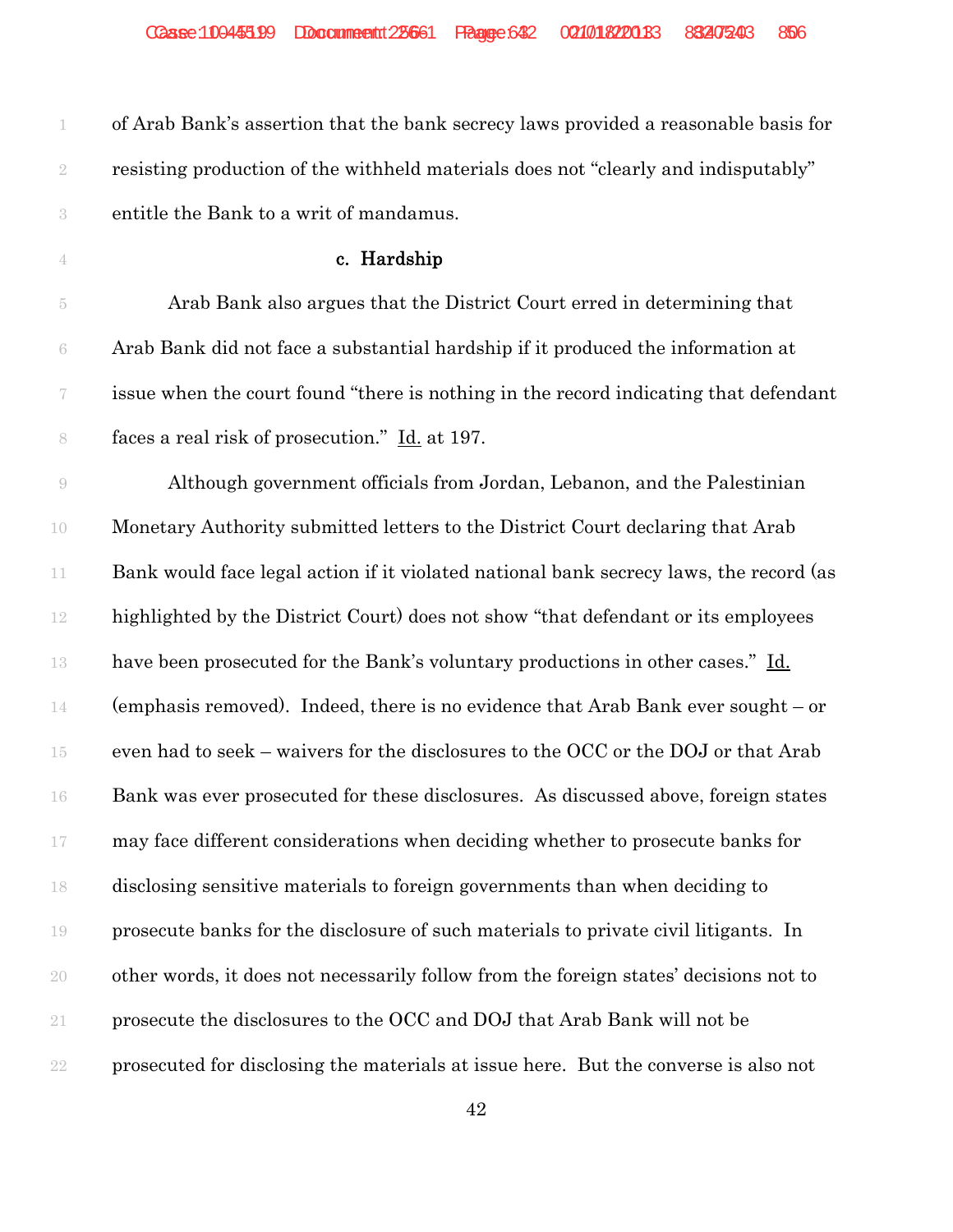| 1              | of Arab Bank's assertion that the bank secrecy laws provided a reasonable basis for    |
|----------------|----------------------------------------------------------------------------------------|
| $\sqrt{2}$     | resisting production of the withheld materials does not "clearly and indisputably"     |
| $\sqrt{3}$     | entitle the Bank to a writ of mandamus.                                                |
| 4              | c. Hardship                                                                            |
| $\overline{5}$ | Arab Bank also argues that the District Court erred in determining that                |
| $\rm 6$        | Arab Bank did not face a substantial hardship if it produced the information at        |
| 7              | issue when the court found "there is nothing in the record indicating that defendant   |
| $\,$ $\,$      | faces a real risk of prosecution." Id. at 197.                                         |
| $\Theta$       | Although government officials from Jordan, Lebanon, and the Palestinian                |
| 10             | Monetary Authority submitted letters to the District Court declaring that Arab         |
| $11\,$         | Bank would face legal action if it violated national bank secrecy laws, the record (as |
| $12\,$         | highlighted by the District Court) does not show "that defendant or its employees      |
| 13             | have been prosecuted for the Bank's voluntary productions in other cases." Id.         |
| 14             | (emphasis removed). Indeed, there is no evidence that Arab Bank ever sought $-$ or     |
| 15             | even had to seek - waivers for the disclosures to the OCC or the DOJ or that Arab      |
| 16             | Bank was ever prosecuted for these disclosures. As discussed above, foreign states     |
| 17             | may face different considerations when deciding whether to prosecute banks for         |
| 18             | disclosing sensitive materials to foreign governments than when deciding to            |
| 19             | prosecute banks for the disclosure of such materials to private civil litigants. In    |
| 20             | other words, it does not necessarily follow from the foreign states' decisions not to  |
| $21\,$         | prosecute the disclosures to the OCC and DOJ that Arab Bank will not be                |
| $22\,$         | prosecuted for disclosing the materials at issue here. But the converse is also not    |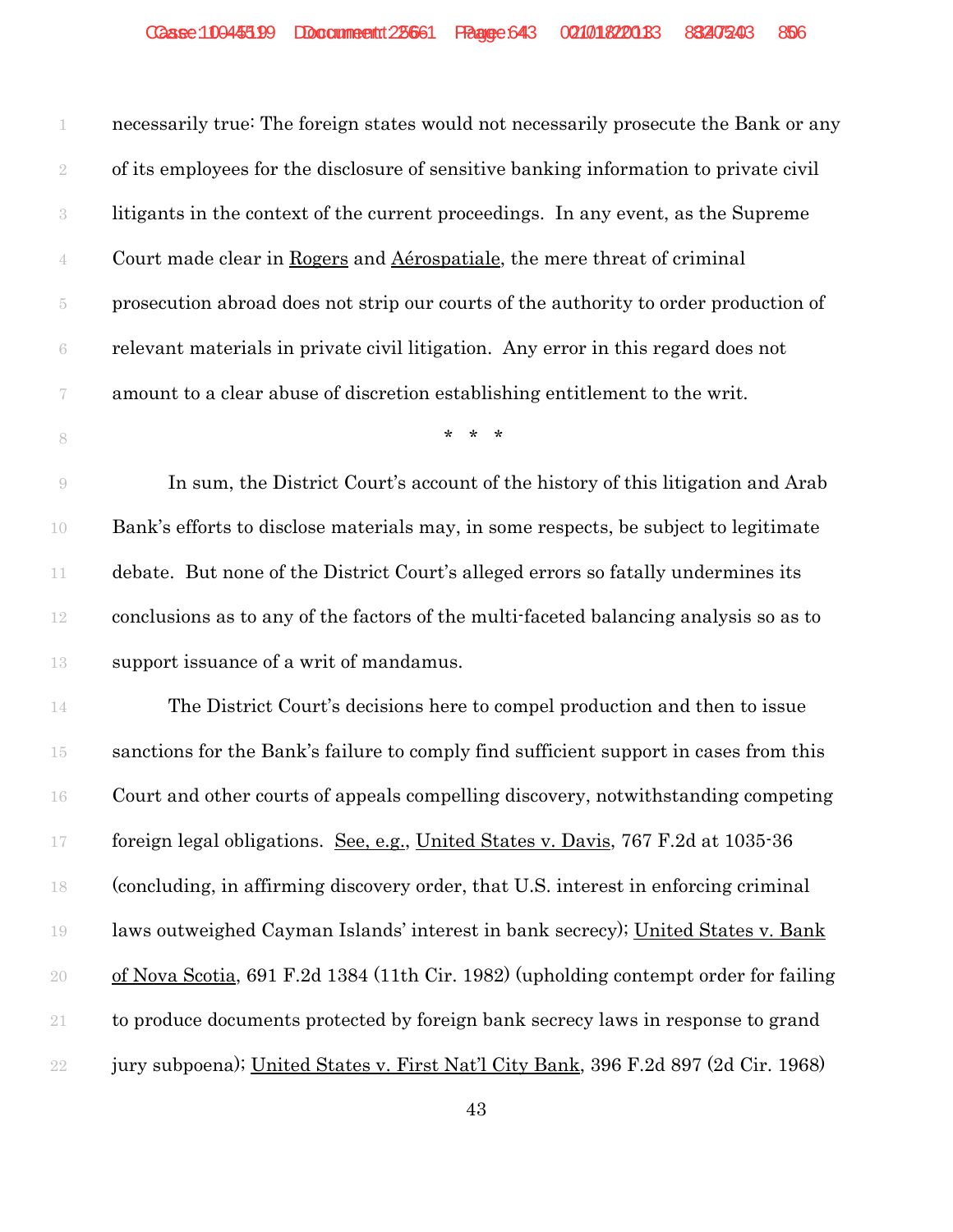| 1                        | necessarily true: The foreign states would not necessarily prosecute the Bank or any  |
|--------------------------|---------------------------------------------------------------------------------------|
| $\sqrt{2}$               | of its employees for the disclosure of sensitive banking information to private civil |
| $\sqrt{3}$               | litigants in the context of the current proceedings. In any event, as the Supreme     |
| 4                        | Court made clear in Rogers and Aérospatiale, the mere threat of criminal              |
| $\overline{5}$           | prosecution abroad does not strip our courts of the authority to order production of  |
| $\rm 6$                  | relevant materials in private civil litigation. Any error in this regard does not     |
| $\overline{\mathcal{C}}$ | amount to a clear abuse of discretion establishing entitlement to the writ.           |
| $\,$ $\,$                | $* * *$                                                                               |
| $\Theta$                 | In sum, the District Court's account of the history of this litigation and Arab       |
| 10                       | Bank's efforts to disclose materials may, in some respects, be subject to legitimate  |
| 11                       | debate. But none of the District Court's alleged errors so fatally undermines its     |
| $12\,$                   | conclusions as to any of the factors of the multi-faceted balancing analysis so as to |
| 13                       | support issuance of a writ of mandamus.                                               |
| 14                       | The District Court's decisions here to compel production and then to issue            |
| 15                       | sanctions for the Bank's failure to comply find sufficient support in cases from this |
| 16                       | Court and other courts of appeals compelling discovery, notwithstanding competing     |
| 17                       | foreign legal obligations. See, e.g., United States v. Davis, 767 F.2d at 1035-36     |
| 18                       | (concluding, in affirming discovery order, that U.S. interest in enforcing criminal   |
| 19                       | laws outweighed Cayman Islands' interest in bank secrecy); United States v. Bank      |
| $20\,$                   | of Nova Scotia, 691 F.2d 1384 (11th Cir. 1982) (upholding contempt order for failing  |
| $21\,$                   | to produce documents protected by foreign bank secrecy laws in response to grand      |
| $22\,$                   | jury subpoena); United States v. First Nat'l City Bank, 396 F.2d 897 (2d Cir. 1968)   |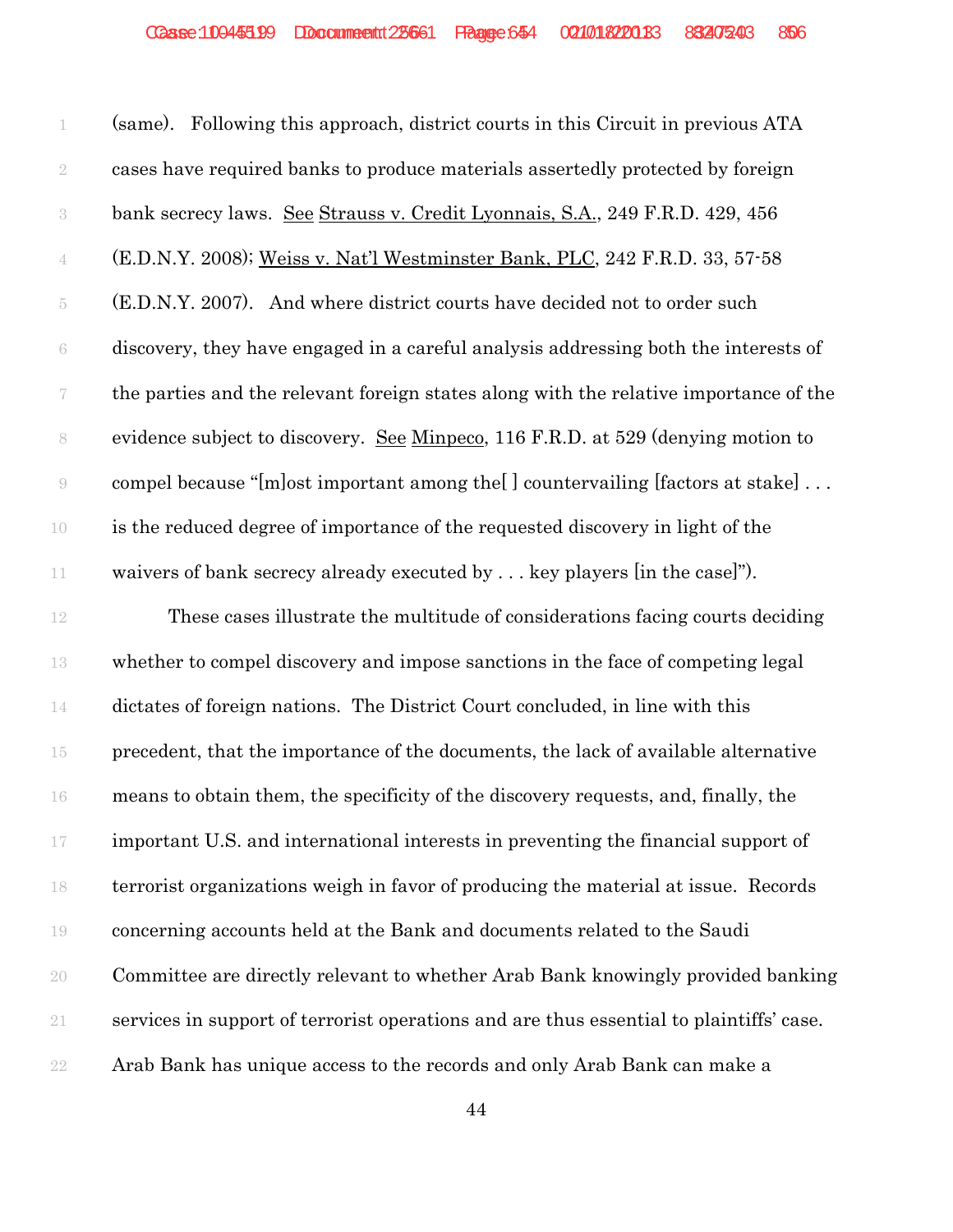(same). Following this approach, district courts in this Circuit in previous ATA cases have required banks to produce materials assertedly protected by foreign bank secrecy laws. See Strauss v. Credit Lyonnais, S.A., 249 F.R.D. 429, 456 (E.D.N.Y. 2008); Weiss v. Nat'l Westminster Bank, PLC, 242 F.R.D. 33, 57-58 (E.D.N.Y. 2007). And where district courts have decided not to order such discovery, they have engaged in a careful analysis addressing both the interests of the parties and the relevant foreign states along with the relative importance of the evidence subject to discovery. See Minpeco, 116 F.R.D. at 529 (denying motion to compel because "[m]ost important among the[ ] countervailing [factors at stake] . . . is the reduced degree of importance of the requested discovery in light of the waivers of bank secrecy already executed by . . . key players [in the case]").

 These cases illustrate the multitude of considerations facing courts deciding whether to compel discovery and impose sanctions in the face of competing legal dictates of foreign nations. The District Court concluded, in line with this precedent, that the importance of the documents, the lack of available alternative means to obtain them, the specificity of the discovery requests, and, finally, the important U.S. and international interests in preventing the financial support of terrorist organizations weigh in favor of producing the material at issue. Records concerning accounts held at the Bank and documents related to the Saudi Committee are directly relevant to whether Arab Bank knowingly provided banking services in support of terrorist operations and are thus essential to plaintiffs' case. Arab Bank has unique access to the records and only Arab Bank can make a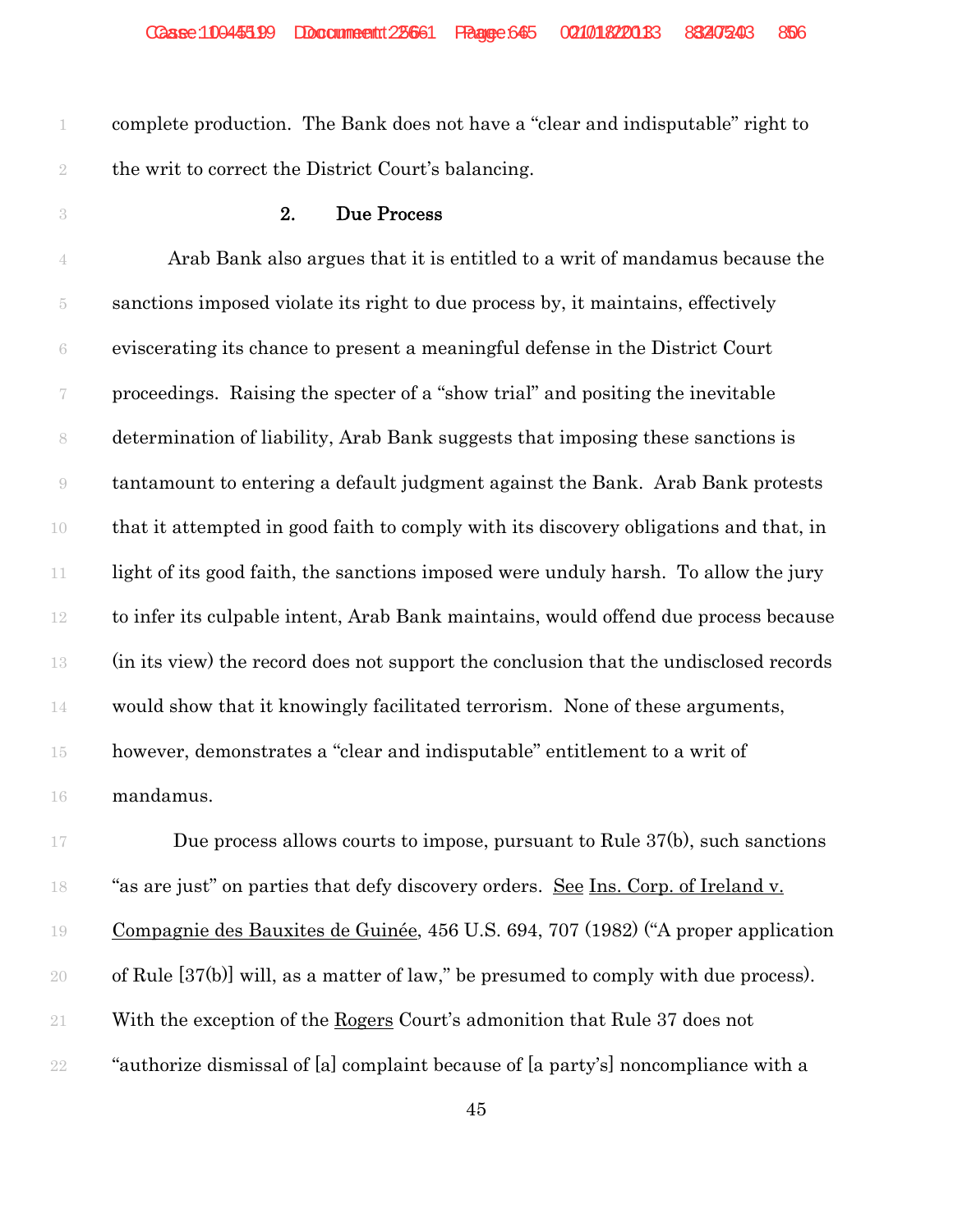complete production. The Bank does not have a "clear and indisputable" right to the writ to correct the District Court's balancing.

### 2. Due Process

 Arab Bank also argues that it is entitled to a writ of mandamus because the sanctions imposed violate its right to due process by, it maintains, effectively eviscerating its chance to present a meaningful defense in the District Court proceedings. Raising the specter of a "show trial" and positing the inevitable determination of liability, Arab Bank suggests that imposing these sanctions is tantamount to entering a default judgment against the Bank. Arab Bank protests that it attempted in good faith to comply with its discovery obligations and that, in 11 light of its good faith, the sanctions imposed were unduly harsh. To allow the jury to infer its culpable intent, Arab Bank maintains, would offend due process because (in its view) the record does not support the conclusion that the undisclosed records would show that it knowingly facilitated terrorism. None of these arguments, however, demonstrates a "clear and indisputable" entitlement to a writ of mandamus.

17 Due process allows courts to impose, pursuant to Rule 37(b), such sanctions "as are just" on parties that defy discovery orders. See Ins. Corp. of Ireland v. Compagnie des Bauxites de Guinée, 456 U.S. 694, 707 (1982) ("A proper application of Rule [37(b)] will, as a matter of law," be presumed to comply with due process). With the exception of the Rogers Court's admonition that Rule 37 does not "authorize dismissal of [a] complaint because of [a party's] noncompliance with a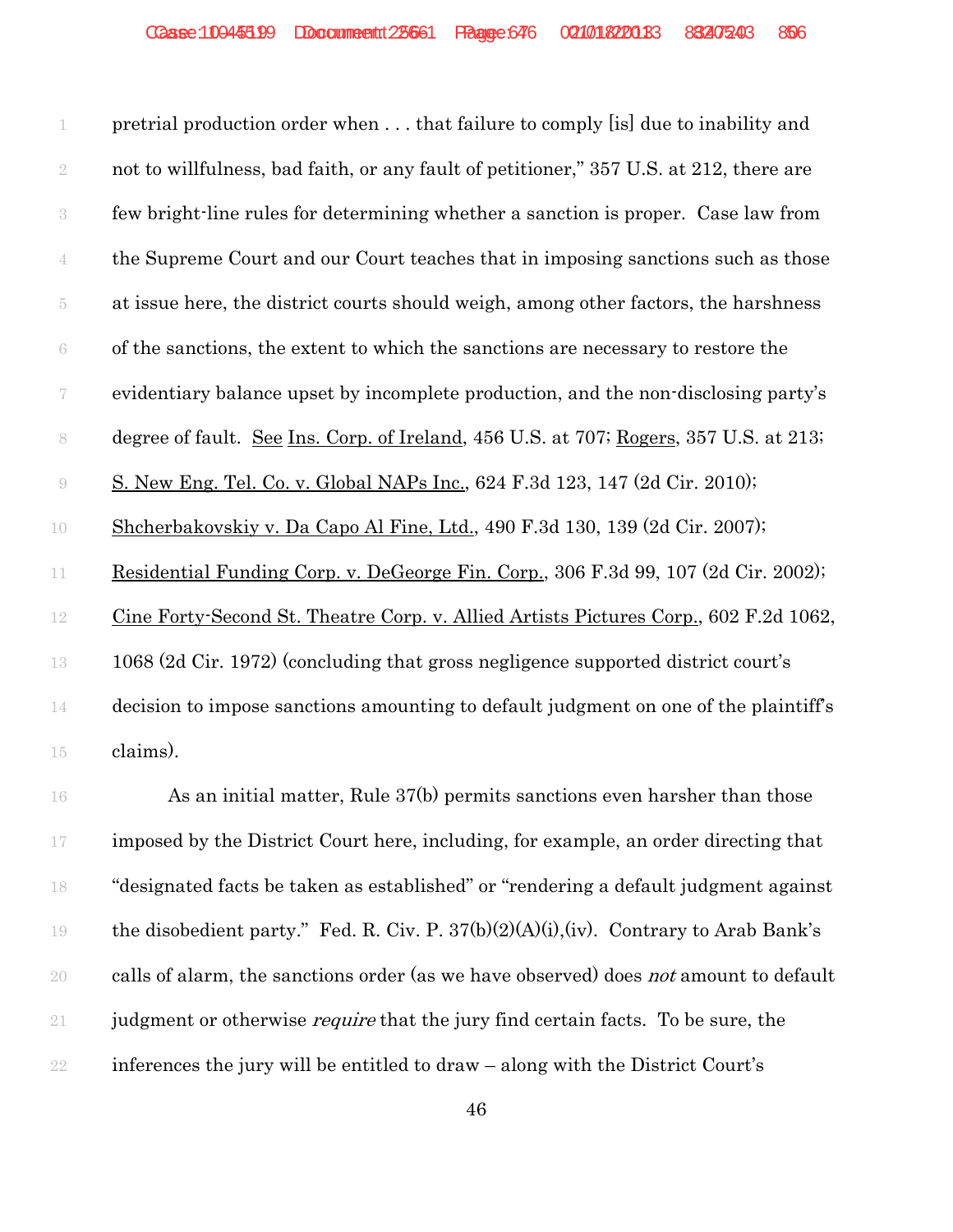|                          | pretrial production order when  that failure to comply [is] due to inability and       |
|--------------------------|----------------------------------------------------------------------------------------|
| $\sqrt{2}$               | not to willfulness, bad faith, or any fault of petitioner," 357 U.S. at 212, there are |
| $\sqrt{3}$               | few bright-line rules for determining whether a sanction is proper. Case law from      |
| $\overline{4}$           | the Supreme Court and our Court teaches that in imposing sanctions such as those       |
| 5                        | at issue here, the district courts should weigh, among other factors, the harshness    |
| 6                        | of the sanctions, the extent to which the sanctions are necessary to restore the       |
| $\overline{\mathcal{U}}$ | evidentiary balance upset by incomplete production, and the non-disclosing party's     |
| $\,$ $\,$                | degree of fault. See Ins. Corp. of Ireland, 456 U.S. at 707; Rogers, 357 U.S. at 213;  |
| 9                        | S. New Eng. Tel. Co. v. Global NAPs Inc., 624 F.3d 123, 147 (2d Cir. 2010);            |
| 10                       | Shcherbakovskiy v. Da Capo Al Fine, Ltd., 490 F.3d 130, 139 (2d Cir. 2007);            |
| 11                       | Residential Funding Corp. v. DeGeorge Fin. Corp., 306 F.3d 99, 107 (2d Cir. 2002);     |
| 12                       | Cine Forty-Second St. Theatre Corp. v. Allied Artists Pictures Corp., 602 F.2d 1062,   |
| 13                       | 1068 (2d Cir. 1972) (concluding that gross negligence supported district court's       |
| 14                       | decision to impose sanctions amounting to default judgment on one of the plaintiff's   |
| 15                       | claims).                                                                               |
|                          |                                                                                        |

 As an initial matter, Rule 37(b) permits sanctions even harsher than those 17 imposed by the District Court here, including, for example, an order directing that "designated facts be taken as established" or "rendering a default judgment against the disobedient party." Fed. R. Civ. P. 37(b)(2)(A)(i),(iv). Contrary to Arab Bank's 20 calls of alarm, the sanctions order (as we have observed) does *not* amount to default 21 judgment or otherwise *require* that the jury find certain facts. To be sure, the inferences the jury will be entitled to draw – along with the District Court's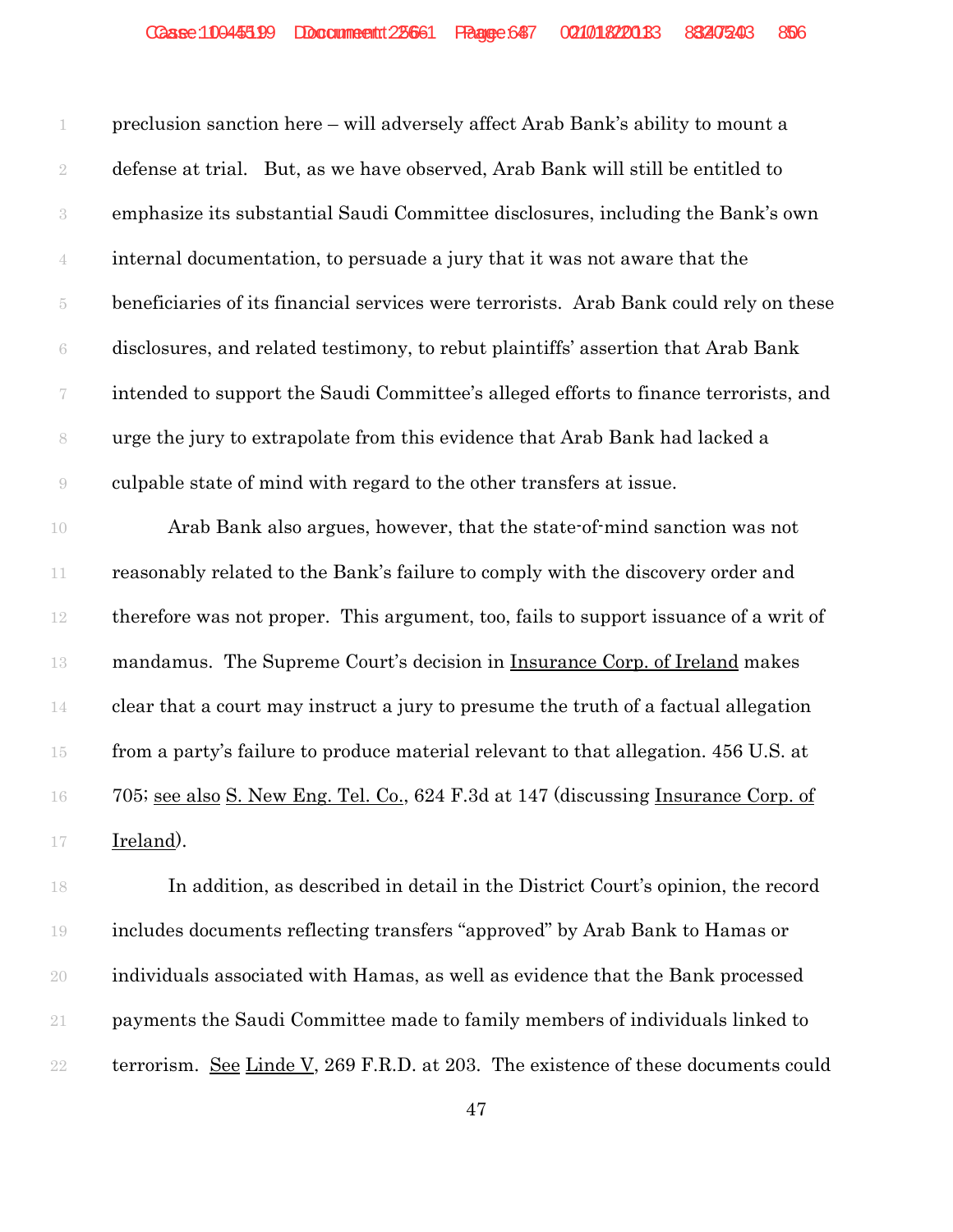preclusion sanction here – will adversely affect Arab Bank's ability to mount a defense at trial. But, as we have observed, Arab Bank will still be entitled to emphasize its substantial Saudi Committee disclosures, including the Bank's own internal documentation, to persuade a jury that it was not aware that the beneficiaries of its financial services were terrorists. Arab Bank could rely on these disclosures, and related testimony, to rebut plaintiffs' assertion that Arab Bank intended to support the Saudi Committee's alleged efforts to finance terrorists, and urge the jury to extrapolate from this evidence that Arab Bank had lacked a culpable state of mind with regard to the other transfers at issue.

 Arab Bank also argues, however, that the state-of-mind sanction was not reasonably related to the Bank's failure to comply with the discovery order and therefore was not proper. This argument, too, fails to support issuance of a writ of mandamus. The Supreme Court's decision in Insurance Corp. of Ireland makes clear that a court may instruct a jury to presume the truth of a factual allegation from a party's failure to produce material relevant to that allegation. 456 U.S. at 705; see also S. New Eng. Tel. Co., 624 F.3d at 147 (discussing Insurance Corp. of Ireland).

 In addition, as described in detail in the District Court's opinion, the record includes documents reflecting transfers "approved" by Arab Bank to Hamas or individuals associated with Hamas, as well as evidence that the Bank processed payments the Saudi Committee made to family members of individuals linked to 22 terrorism. See Linde V, 269 F.R.D. at 203. The existence of these documents could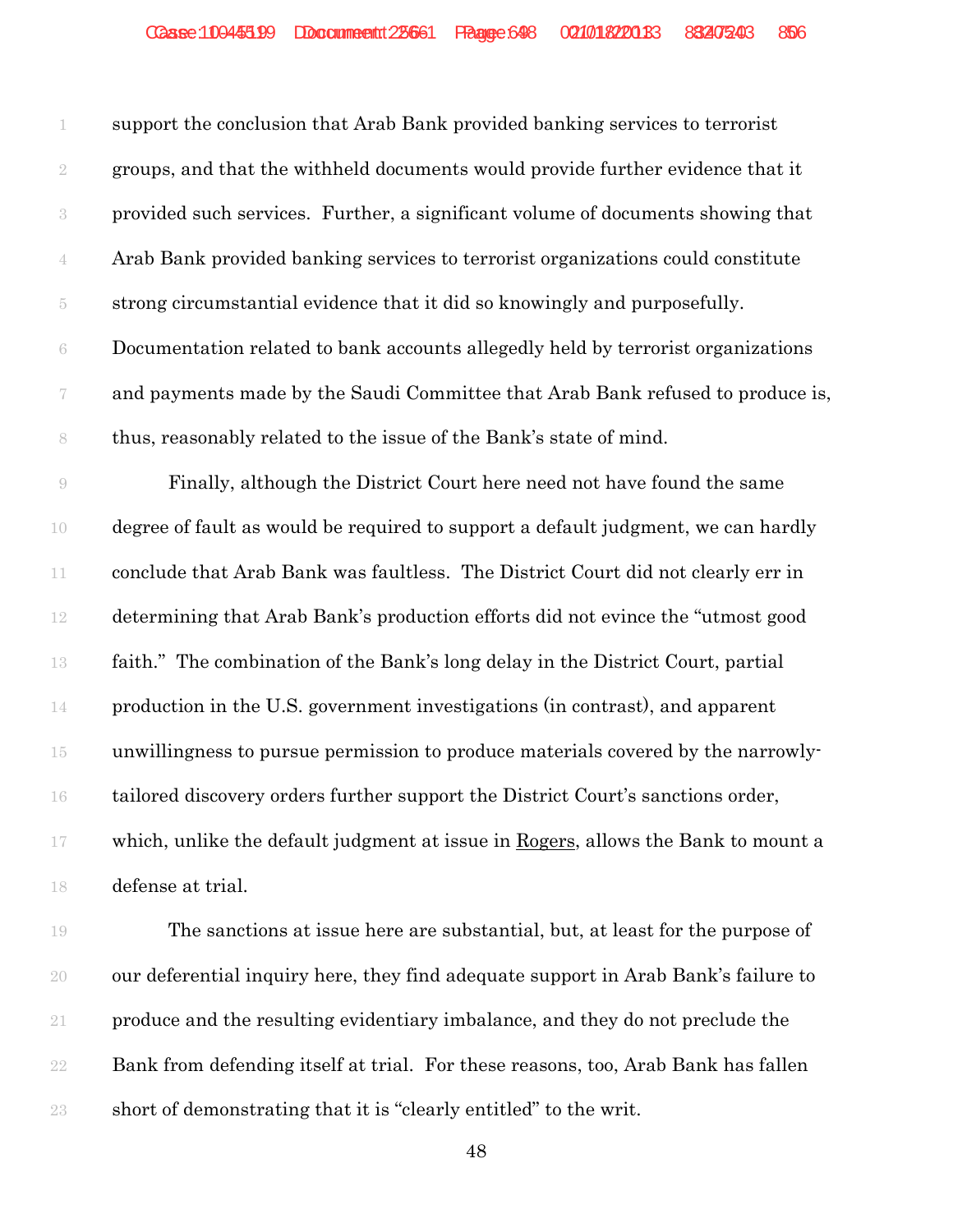| 1                        | support the conclusion that Arab Bank provided banking services to terrorist      |
|--------------------------|-----------------------------------------------------------------------------------|
| $\overline{2}$           | groups, and that the withheld documents would provide further evidence that it    |
| 3                        | provided such services. Further, a significant volume of documents showing that   |
| $\overline{4}$           | Arab Bank provided banking services to terrorist organizations could constitute   |
| 5                        | strong circumstantial evidence that it did so knowingly and purposefully.         |
| 6                        | Documentation related to bank accounts allegedly held by terrorist organizations  |
| $\overline{\mathcal{C}}$ | and payments made by the Saudi Committee that Arab Bank refused to produce is,    |
| 8                        | thus, reasonably related to the issue of the Bank's state of mind.                |
| 9                        | Finally, although the District Court here need not have found the same            |
| 10                       | degree of fault as would be required to support a default judgment, we can hardly |
| 11                       | conclude that Arab Bank was faultless. The District Court did not clearly err in  |
| 12                       | determining that Arab Bank's production efforts did not evince the "utmost good   |
| 13                       | faith." The combination of the Bank's long delay in the District Court, partial   |
| 14                       | production in the U.S. government investigations (in contrast), and apparent      |
| $15\,$                   | unwillingness to pursue permission to produce materials covered by the narrowly-  |
| 16                       | tailored discovery orders further support the District Court's sanctions order,   |
| $17\,$                   | which, unlike the default judgment at issue in Rogers, allows the Bank to mount a |
| 18                       | defense at trial.                                                                 |
|                          |                                                                                   |

 The sanctions at issue here are substantial, but, at least for the purpose of our deferential inquiry here, they find adequate support in Arab Bank's failure to produce and the resulting evidentiary imbalance, and they do not preclude the Bank from defending itself at trial. For these reasons, too, Arab Bank has fallen short of demonstrating that it is "clearly entitled" to the writ.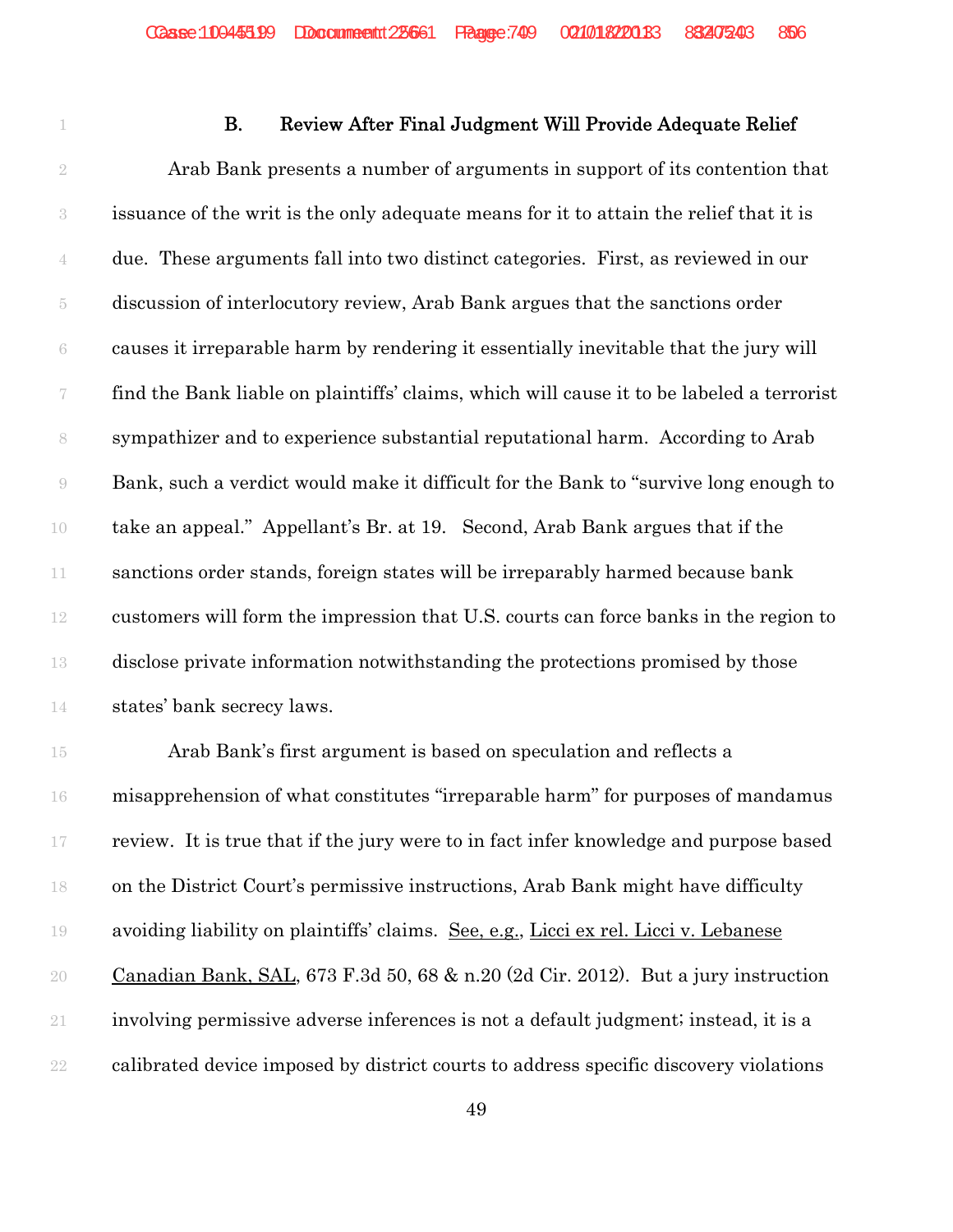## **B.** Review After Final Judgment Will Provide Adequate Relief

 Arab Bank presents a number of arguments in support of its contention that issuance of the writ is the only adequate means for it to attain the relief that it is due. These arguments fall into two distinct categories. First, as reviewed in our discussion of interlocutory review, Arab Bank argues that the sanctions order causes it irreparable harm by rendering it essentially inevitable that the jury will find the Bank liable on plaintiffs' claims, which will cause it to be labeled a terrorist sympathizer and to experience substantial reputational harm. According to Arab Bank, such a verdict would make it difficult for the Bank to "survive long enough to take an appeal." Appellant's Br. at 19. Second, Arab Bank argues that if the sanctions order stands, foreign states will be irreparably harmed because bank customers will form the impression that U.S. courts can force banks in the region to disclose private information notwithstanding the protections promised by those states' bank secrecy laws.

 Arab Bank's first argument is based on speculation and reflects a misapprehension of what constitutes "irreparable harm" for purposes of mandamus review. It is true that if the jury were to in fact infer knowledge and purpose based on the District Court's permissive instructions, Arab Bank might have difficulty avoiding liability on plaintiffs' claims. See, e.g., Licci ex rel. Licci v. Lebanese Canadian Bank, SAL, 673 F.3d 50, 68 & n.20 (2d Cir. 2012). But a jury instruction involving permissive adverse inferences is not a default judgment; instead, it is a calibrated device imposed by district courts to address specific discovery violations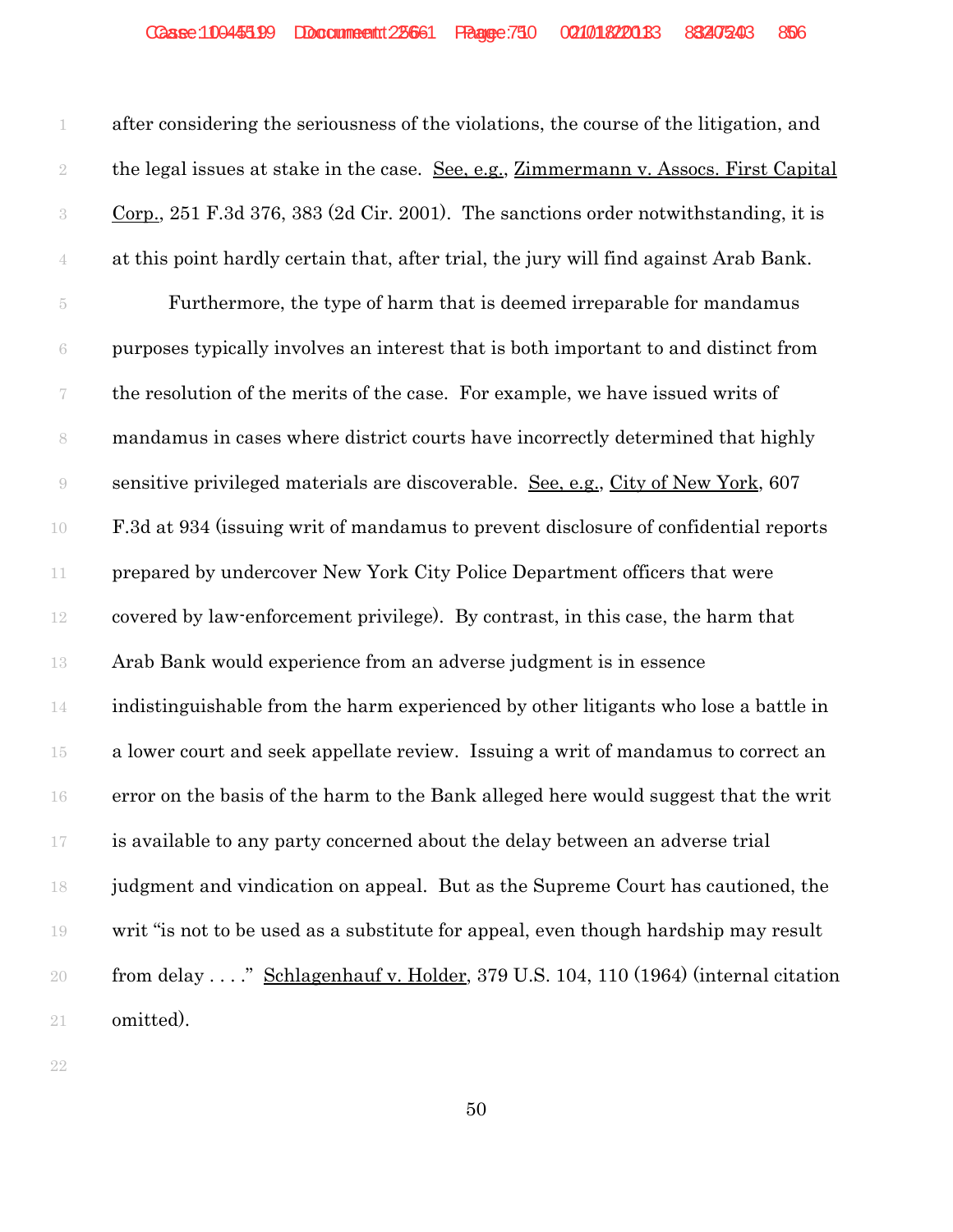after considering the seriousness of the violations, the course of the litigation, and 2 the legal issues at stake in the case. <u>See, e.g., Zimmermann v. Assocs. First Capital</u> Corp., 251 F.3d 376, 383 (2d Cir. 2001). The sanctions order notwithstanding, it is at this point hardly certain that, after trial, the jury will find against Arab Bank. Furthermore, the type of harm that is deemed irreparable for mandamus purposes typically involves an interest that is both important to and distinct from the resolution of the merits of the case. For example, we have issued writs of mandamus in cases where district courts have incorrectly determined that highly sensitive privileged materials are discoverable. See, e.g., City of New York, 607 F.3d at 934 (issuing writ of mandamus to prevent disclosure of confidential reports prepared by undercover New York City Police Department officers that were covered by law-enforcement privilege). By contrast, in this case, the harm that Arab Bank would experience from an adverse judgment is in essence indistinguishable from the harm experienced by other litigants who lose a battle in a lower court and seek appellate review. Issuing a writ of mandamus to correct an error on the basis of the harm to the Bank alleged here would suggest that the writ is available to any party concerned about the delay between an adverse trial judgment and vindication on appeal. But as the Supreme Court has cautioned, the writ "is not to be used as a substitute for appeal, even though hardship may result 20 from delay . . . . " Schlagenhauf v. Holder, 379 U.S. 104, 110 (1964) (internal citation omitted).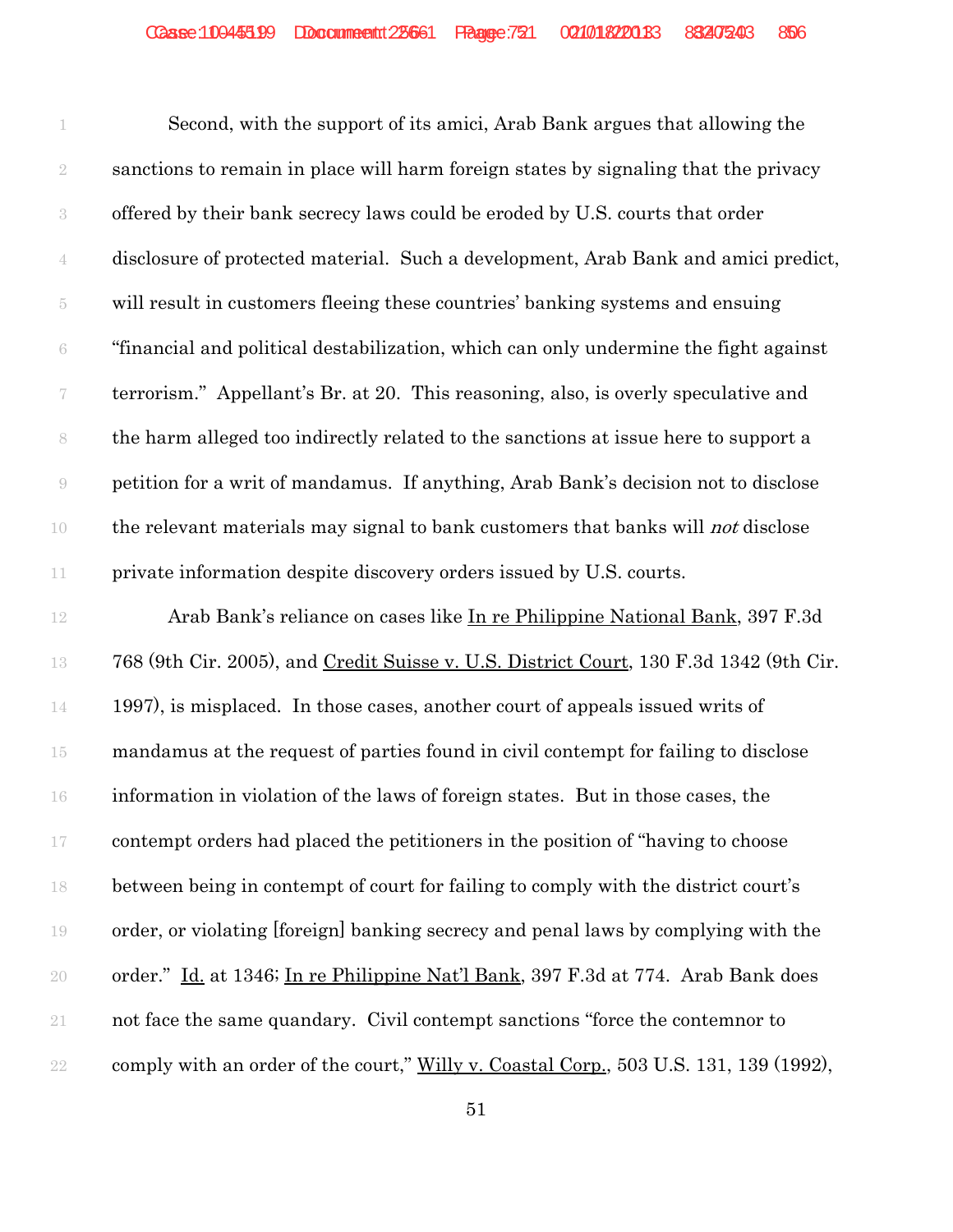Second, with the support of its amici, Arab Bank argues that allowing the sanctions to remain in place will harm foreign states by signaling that the privacy offered by their bank secrecy laws could be eroded by U.S. courts that order disclosure of protected material. Such a development, Arab Bank and amici predict, will result in customers fleeing these countries' banking systems and ensuing "financial and political destabilization, which can only undermine the fight against terrorism." Appellant's Br. at 20. This reasoning, also, is overly speculative and the harm alleged too indirectly related to the sanctions at issue here to support a petition for a writ of mandamus. If anything, Arab Bank's decision not to disclose 10 the relevant materials may signal to bank customers that banks will *not* disclose private information despite discovery orders issued by U.S. courts.

 Arab Bank's reliance on cases like In re Philippine National Bank, 397 F.3d 768 (9th Cir. 2005), and Credit Suisse v. U.S. District Court, 130 F.3d 1342 (9th Cir. 1997), is misplaced. In those cases, another court of appeals issued writs of mandamus at the request of parties found in civil contempt for failing to disclose information in violation of the laws of foreign states. But in those cases, the contempt orders had placed the petitioners in the position of "having to choose between being in contempt of court for failing to comply with the district court's order, or violating [foreign] banking secrecy and penal laws by complying with the order." Id. at 1346; In re Philippine Nat'l Bank, 397 F.3d at 774. Arab Bank does not face the same quandary. Civil contempt sanctions "force the contemnor to 22 comply with an order of the court," Willy v. Coastal Corp., 503 U.S. 131, 139 (1992),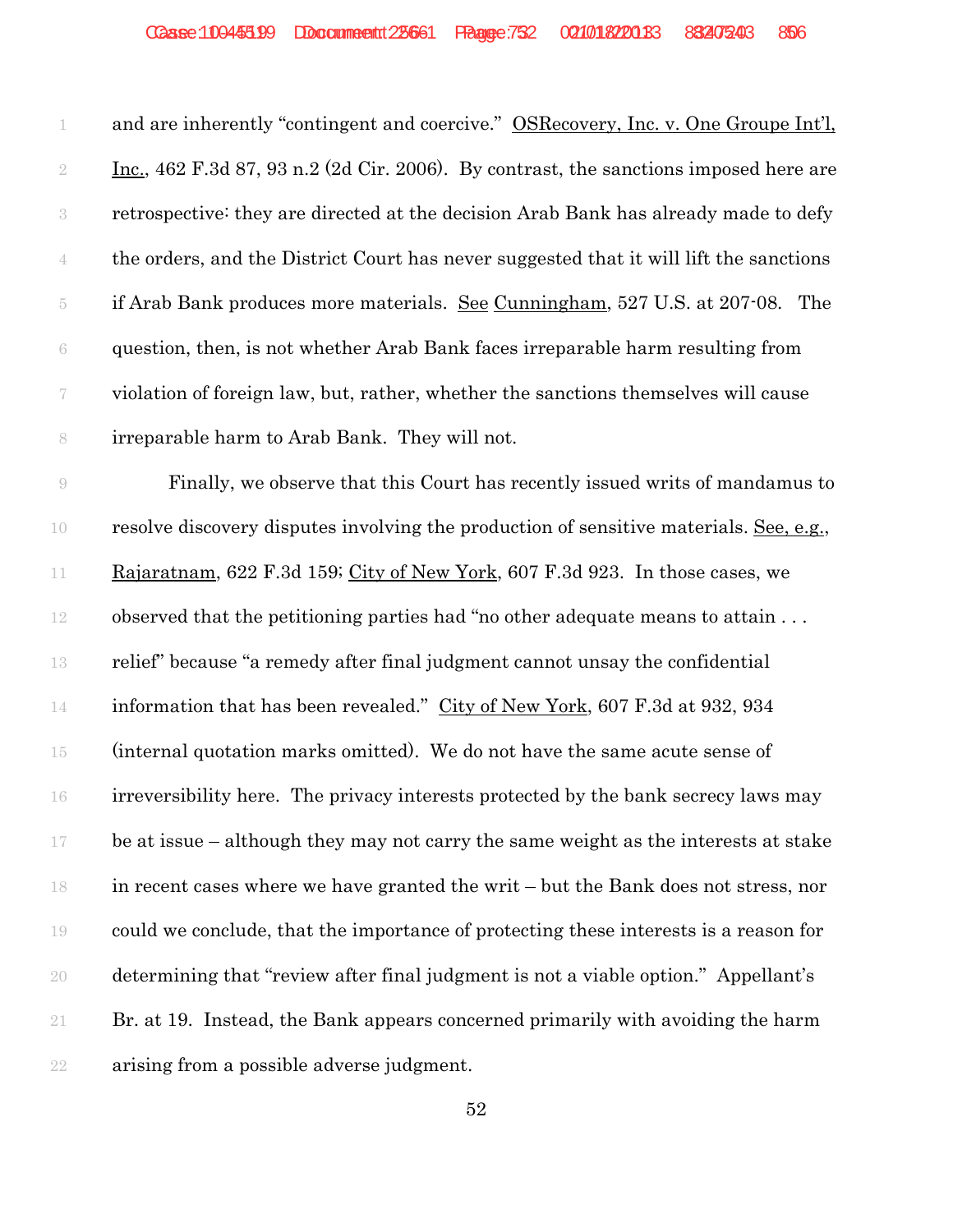| 1                | and are inherently "contingent and coercive." OSRecovery, Inc. v. One Groupe Int'l,           |
|------------------|-----------------------------------------------------------------------------------------------|
| $\sqrt{2}$       | <u>Inc.</u> , 462 F.3d 87, 93 n.2 (2d Cir. 2006). By contrast, the sanctions imposed here are |
| $\sqrt{3}$       | retrospective: they are directed at the decision Arab Bank has already made to defy           |
| $\overline{4}$   | the orders, and the District Court has never suggested that it will lift the sanctions        |
| $\overline{5}$   | if Arab Bank produces more materials. See Cunningham, 527 U.S. at 207-08. The                 |
| 6                | question, then, is not whether Arab Bank faces irreparable harm resulting from                |
| $\boldsymbol{7}$ | violation of foreign law, but, rather, whether the sanctions themselves will cause            |
| $\,$ $\,$        | irreparable harm to Arab Bank. They will not.                                                 |
| $\Theta$         | Finally, we observe that this Court has recently issued writs of mandamus to                  |
| 10               | resolve discovery disputes involving the production of sensitive materials. See, e.g.,        |
| 11               | Rajaratnam, 622 F.3d 159; City of New York, 607 F.3d 923. In those cases, we                  |
| 12               | observed that the petitioning parties had "no other adequate means to attain                  |
| 13               | relief" because "a remedy after final judgment cannot unsay the confidential                  |
| 14               | information that has been revealed." City of New York, 607 F.3d at 932, 934                   |
| $15\,$           | (internal quotation marks omitted). We do not have the same acute sense of                    |
| 16               | irreversibility here. The privacy interests protected by the bank secrecy laws may            |
| 17               | be at issue – although they may not carry the same weight as the interests at stake           |
| 18               | in recent cases where we have granted the writ – but the Bank does not stress, nor            |
| 19               | could we conclude, that the importance of protecting these interests is a reason for          |
| 20               | determining that "review after final judgment is not a viable option." Appellant's            |
| 21               | Br. at 19. Instead, the Bank appears concerned primarily with avoiding the harm               |
| 22               | arising from a possible adverse judgment.                                                     |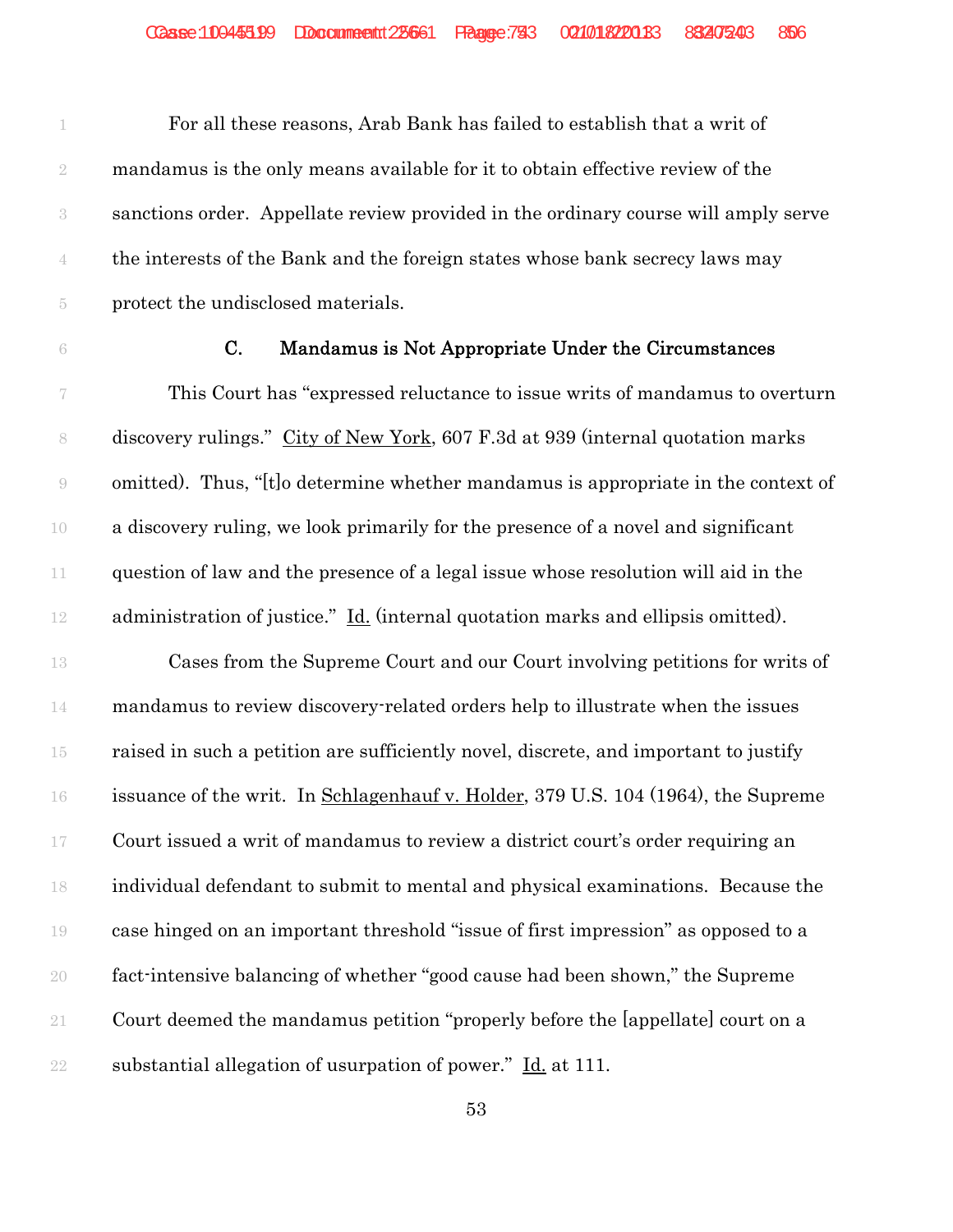For all these reasons, Arab Bank has failed to establish that a writ of mandamus is the only means available for it to obtain effective review of the sanctions order. Appellate review provided in the ordinary course will amply serve the interests of the Bank and the foreign states whose bank secrecy laws may protect the undisclosed materials.

#### C. Mandamus is Not Appropriate Under the Circumstances

 This Court has "expressed reluctance to issue writs of mandamus to overturn discovery rulings." City of New York, 607 F.3d at 939 (internal quotation marks omitted). Thus, "[t]o determine whether mandamus is appropriate in the context of a discovery ruling, we look primarily for the presence of a novel and significant question of law and the presence of a legal issue whose resolution will aid in the administration of justice." Id. (internal quotation marks and ellipsis omitted).

 Cases from the Supreme Court and our Court involving petitions for writs of mandamus to review discovery-related orders help to illustrate when the issues raised in such a petition are sufficiently novel, discrete, and important to justify issuance of the writ. In Schlagenhauf v. Holder, 379 U.S. 104 (1964), the Supreme Court issued a writ of mandamus to review a district court's order requiring an individual defendant to submit to mental and physical examinations. Because the case hinged on an important threshold "issue of first impression" as opposed to a fact-intensive balancing of whether "good cause had been shown," the Supreme Court deemed the mandamus petition "properly before the [appellate] court on a 22 substantial allegation of usurpation of power."  $\underline{Id}$  at 111.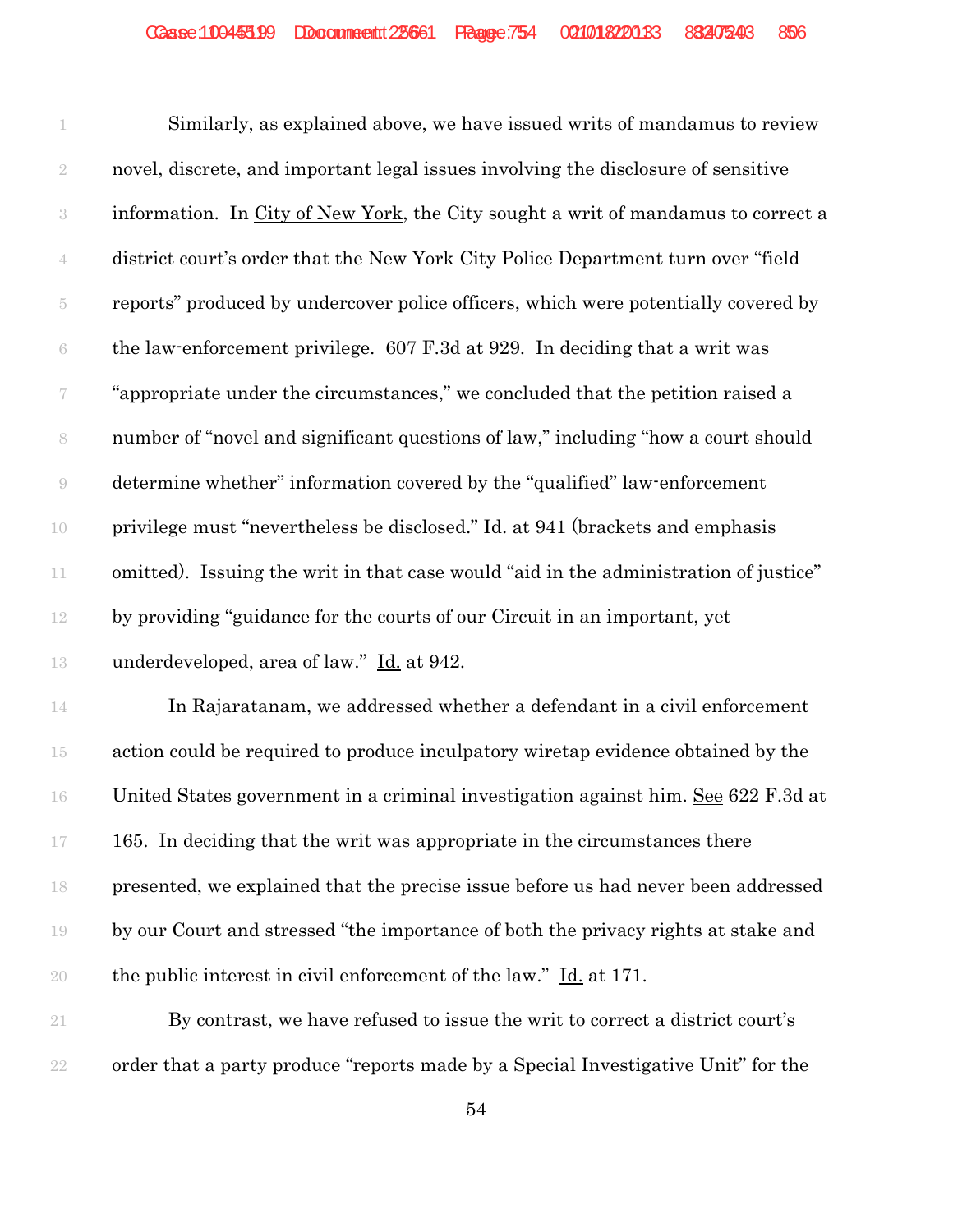Similarly, as explained above, we have issued writs of mandamus to review novel, discrete, and important legal issues involving the disclosure of sensitive information. In City of New York, the City sought a writ of mandamus to correct a district court's order that the New York City Police Department turn over "field reports" produced by undercover police officers, which were potentially covered by the law-enforcement privilege. 607 F.3d at 929. In deciding that a writ was "appropriate under the circumstances," we concluded that the petition raised a number of "novel and significant questions of law," including "how a court should determine whether" information covered by the "qualified" law-enforcement 10 privilege must "nevertheless be disclosed." <u>Id.</u> at 941 (brackets and emphasis omitted). Issuing the writ in that case would "aid in the administration of justice" by providing "guidance for the courts of our Circuit in an important, yet underdeveloped, area of law." Id. at 942. 14 In Rajaratanam, we addressed whether a defendant in a civil enforcement

 action could be required to produce inculpatory wiretap evidence obtained by the United States government in a criminal investigation against him. See 622 F.3d at 165. In deciding that the writ was appropriate in the circumstances there presented, we explained that the precise issue before us had never been addressed by our Court and stressed "the importance of both the privacy rights at stake and the public interest in civil enforcement of the law." Id. at 171.

 By contrast, we have refused to issue the writ to correct a district court's order that a party produce "reports made by a Special Investigative Unit" for the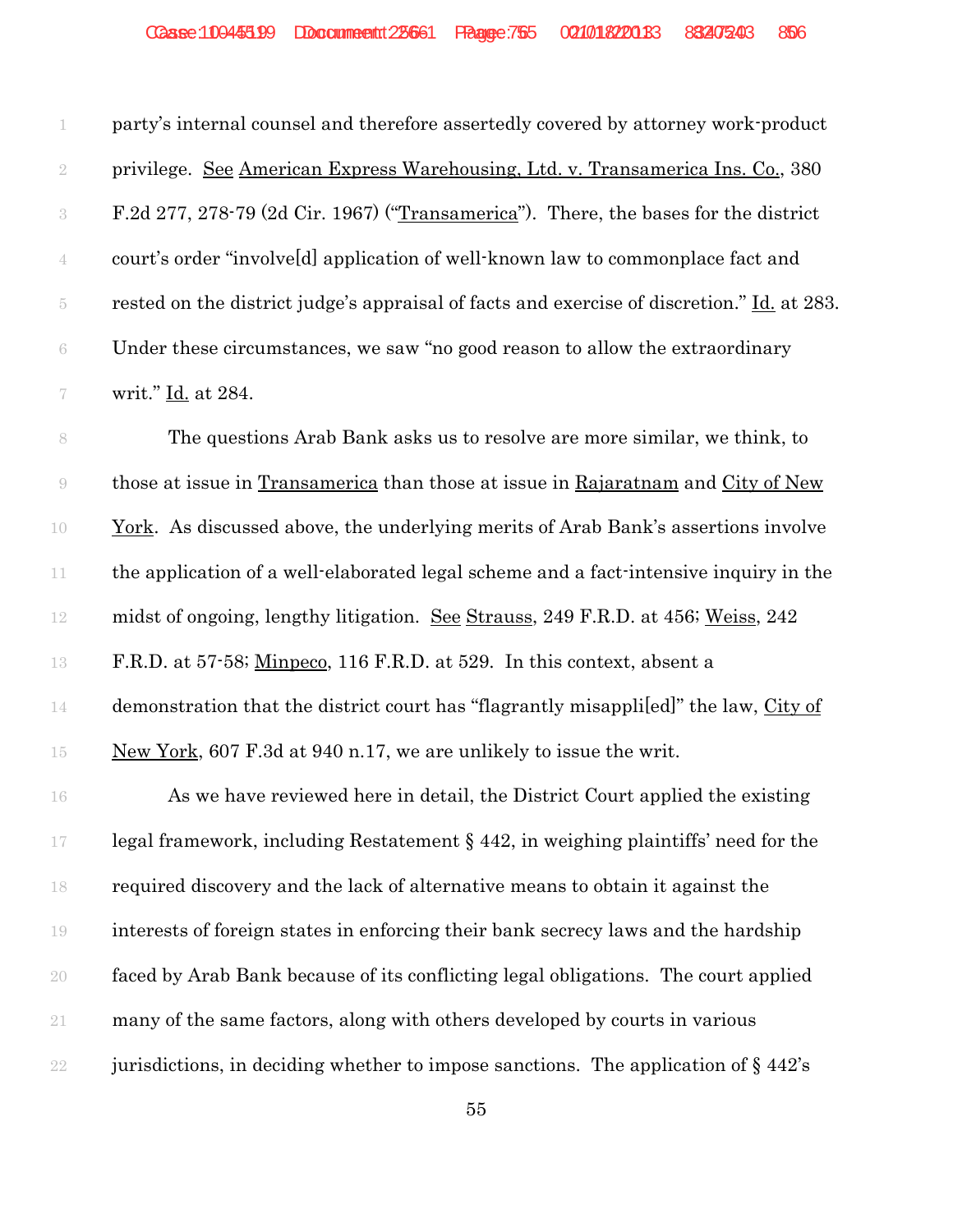| 1                | party's internal counsel and therefore assertedly covered by attorney work-product         |
|------------------|--------------------------------------------------------------------------------------------|
| $\sqrt{2}$       | privilege. See American Express Warehousing, Ltd. v. Transamerica Ins. Co., 380            |
| $\,3$            | F.2d 277, 278-79 (2d Cir. 1967) ("Transamerica"). There, the bases for the district        |
| $\overline{4}$   | court's order "involveld application of well-known law to commonplace fact and             |
| $\overline{5}$   | rested on the district judge's appraisal of facts and exercise of discretion." Id. at 283. |
| $\rm 6$          | Under these circumstances, we saw "no good reason to allow the extraordinary               |
| $\boldsymbol{7}$ | writ." Id. at 284.                                                                         |
| 8                | The questions Arab Bank asks us to resolve are more similar, we think, to                  |
| $\Theta$         | those at issue in Transamerica than those at issue in Rajaratnam and City of New           |
| 10               | <u>York</u> . As discussed above, the underlying merits of Arab Bank's assertions involve  |
| 11               | the application of a well-elaborated legal scheme and a fact-intensive inquiry in the      |
| 12               | midst of ongoing, lengthy litigation. See Strauss, 249 F.R.D. at 456; Weiss, 242           |
| 13               | F.R.D. at 57-58; Minpeco, 116 F.R.D. at 529. In this context, absent a                     |
| 14               | demonstration that the district court has "flagrantly misapplied" the law, City of         |
| $15\,$           | New York, 607 F.3d at 940 n.17, we are unlikely to issue the writ.                         |
| 16               | As we have reviewed here in detail, the District Court applied the existing                |
| $17\,$           | legal framework, including Restatement $\S$ 442, in weighing plaintiffs' need for the      |
| 18               | required discovery and the lack of alternative means to obtain it against the              |
| 19               | interests of foreign states in enforcing their bank secrecy laws and the hardship          |
| 20               | faced by Arab Bank because of its conflicting legal obligations. The court applied         |
| 21               | many of the same factors, along with others developed by courts in various                 |
| 22               | jurisdictions, in deciding whether to impose sanctions. The application of $\S 442$ 's     |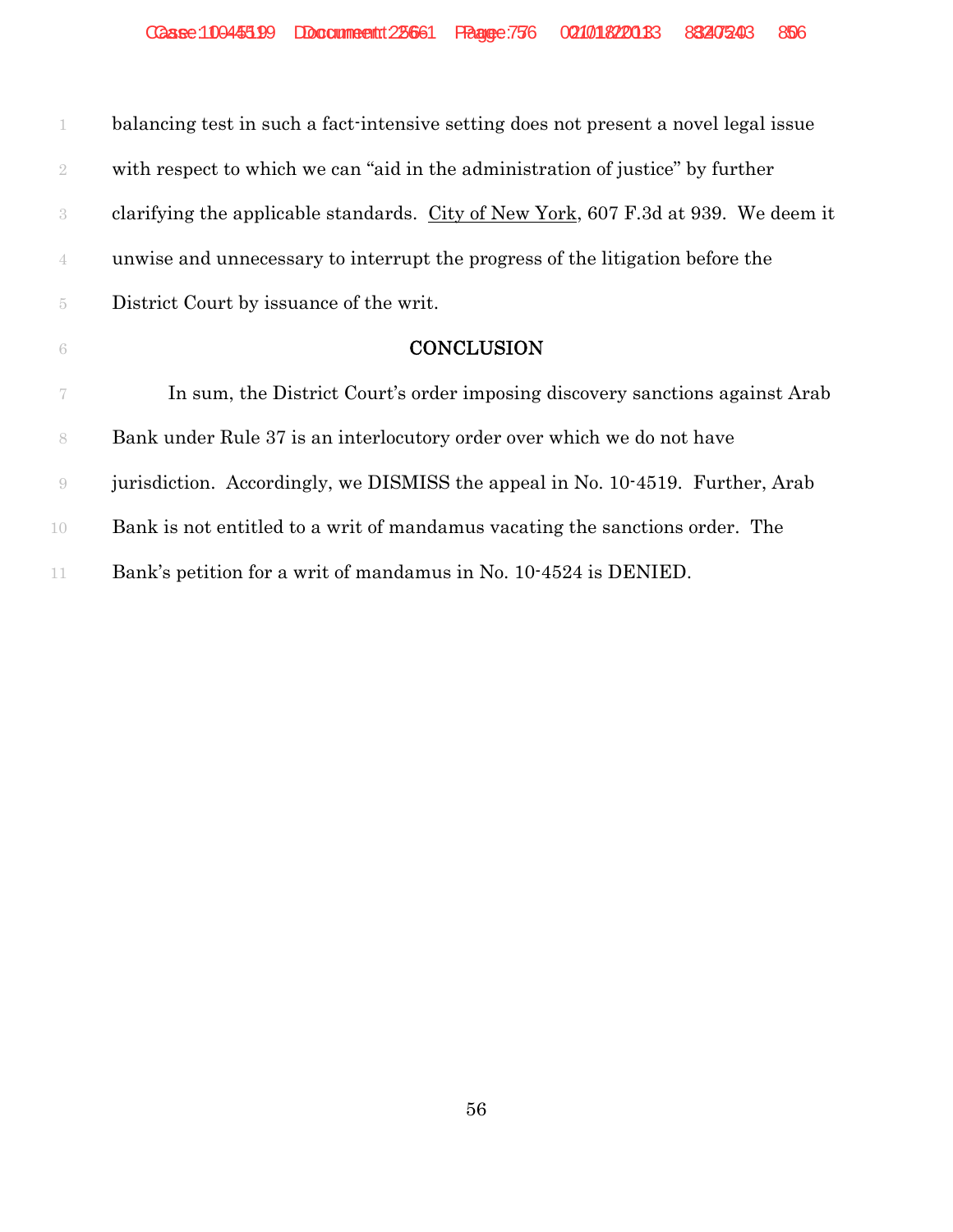| $\mathbb{1}$   | balancing test in such a fact-intensive setting does not present a novel legal issue |
|----------------|--------------------------------------------------------------------------------------|
| $\overline{2}$ | with respect to which we can "aid in the administration of justice" by further       |
| $\sqrt{3}$     | clarifying the applicable standards. City of New York, 607 F.3d at 939. We deem it   |
| $\overline{4}$ | unwise and unnecessary to interrupt the progress of the litigation before the        |
| $\tilde{5}$    | District Court by issuance of the writ.                                              |
| $\sqrt{6}$     | <b>CONCLUSION</b>                                                                    |
| 7              | In sum, the District Court's order imposing discovery sanctions against Arab         |
| $8\,$          | Bank under Rule 37 is an interlocutory order over which we do not have               |
| $\Theta$       | jurisdiction. Accordingly, we DISMISS the appeal in No. 10-4519. Further, Arab       |
| 10             | Bank is not entitled to a writ of mandamus vacating the sanctions order. The         |
| 11             | Bank's petition for a writ of mandamus in No. 10.4524 is DENIED.                     |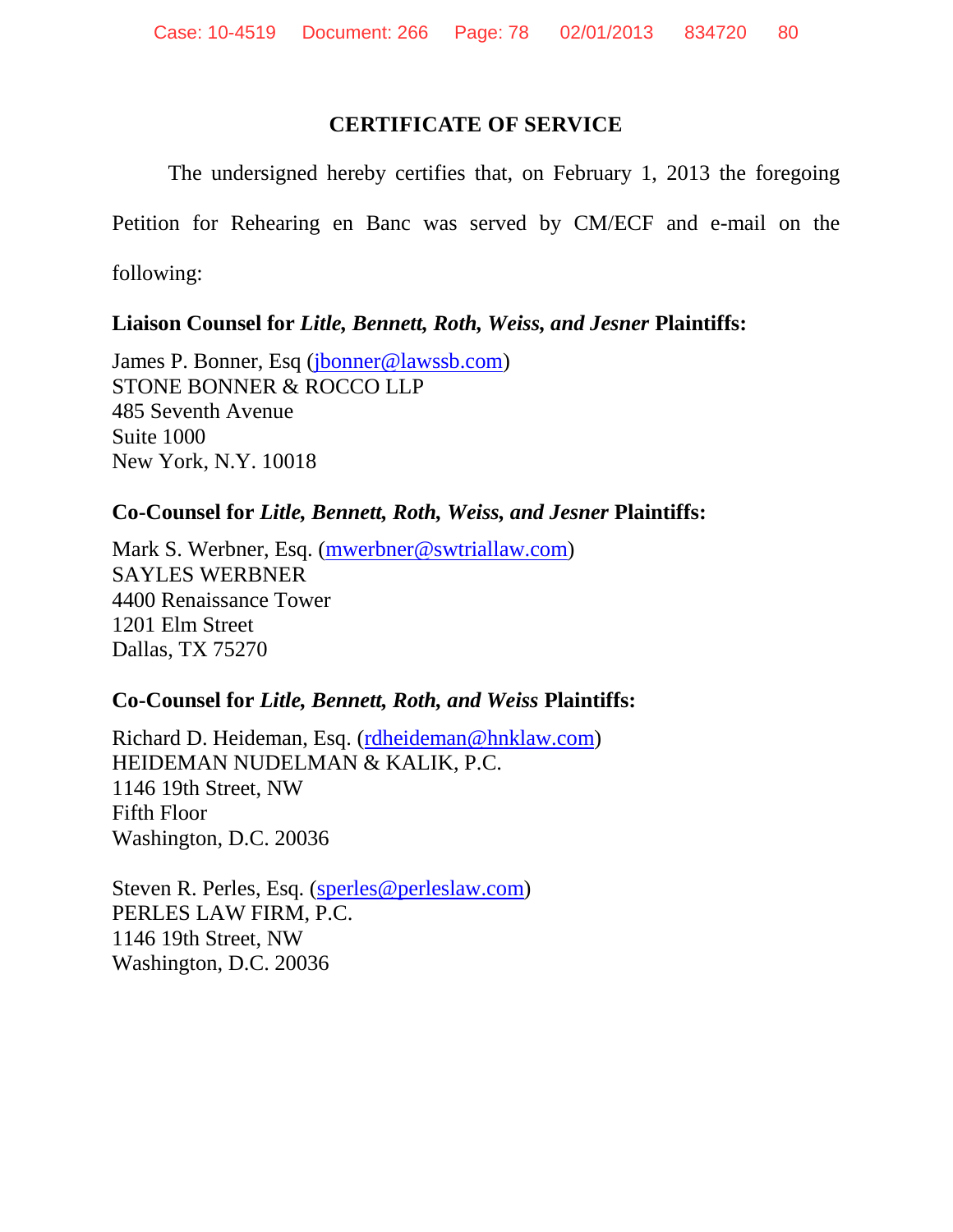## **CERTIFICATE OF SERVICE**

The undersigned hereby certifies that, on February 1, 2013 the foregoing

Petition for Rehearing en Banc was served by CM/ECF and e-mail on the

following:

## **Liaison Counsel for** *Litle, Bennett, Roth, Weiss, and Jesner* **Plaintiffs:**

James P. Bonner,Esq([jbonner@lawssb.com](mailto:jbonner@lawssb.com)) STONE BONNER & ROCCO LLP 485 Seventh Avenue Suite 1000 New York, N.Y. 10018

## **Co-Counsel for** *Litle, Bennett, Roth, Weiss, and Jesner* **Plaintiffs:**

Mark S. Werbner,Esq. [\(mwerbner@swtriallaw.com\)](mailto:mwerbner@swtriallaw.com) SAYLES WERBNER 4400 Renaissance Tower 1201 Elm Street Dallas, TX 75270

# **Co-Counsel for** *Litle, Bennett, Roth, and Weiss* **Plaintiffs:**

Richard D. Heideman,Esq. [\(rdheideman@hnklaw.com\)](mailto:rdheideman@hnklaw.com) HEIDEMAN NUDELMAN & KALIK, P.C. 1146 19th Street, NW Fifth Floor Washington, D.C. 20036

Steven R. Perles,Esq.([sperles@perleslaw.com\)](mailto:sperles@perleslaw.com) PERLES LAW FIRM, P.C. 1146 19th Street, NW Washington, D.C. 20036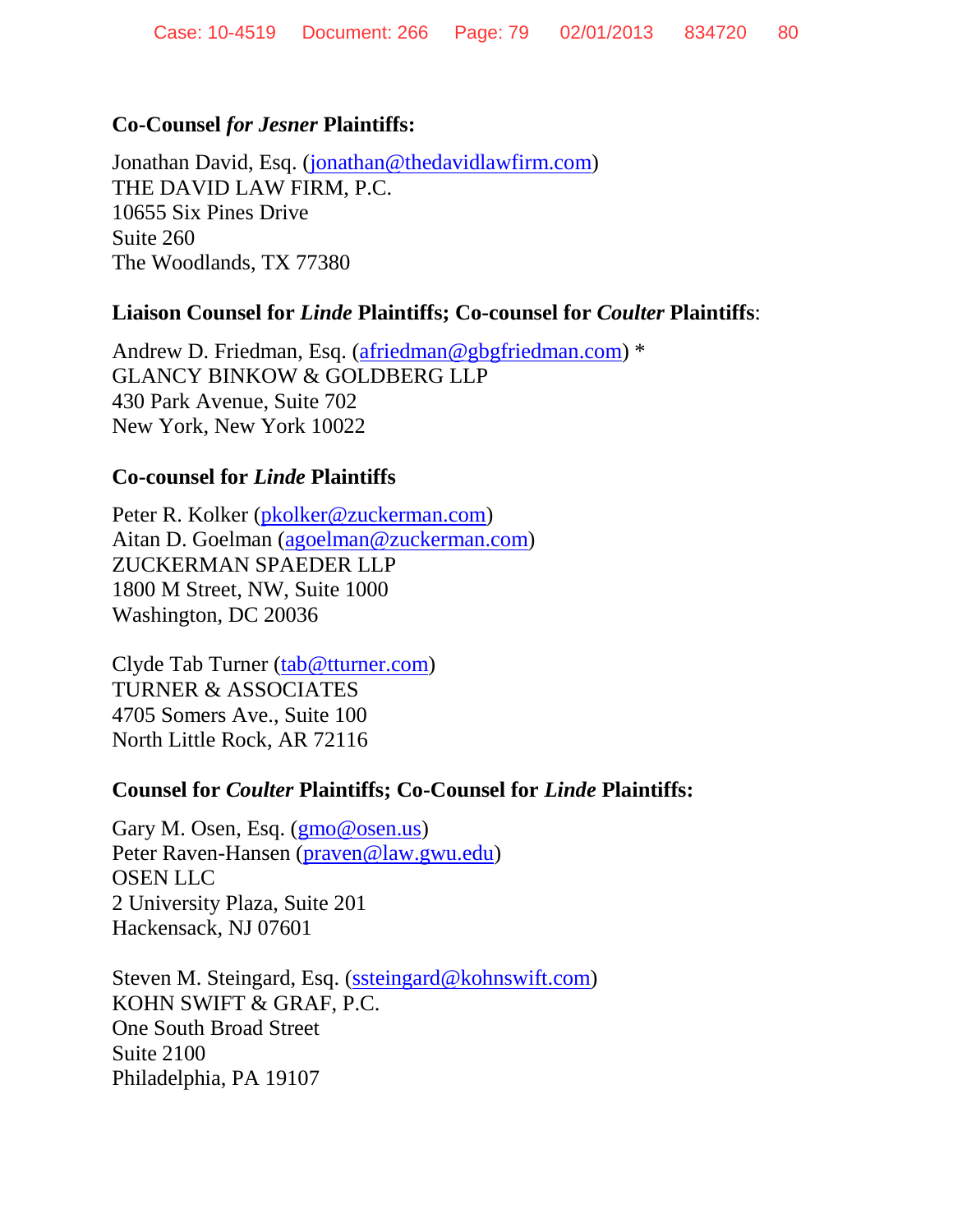## **Co-Counsel** *for Jesner* **Plaintiffs:**

Jonathan David,Esq. [\(jonathan@thedavidlawfirm.com](mailto:jonathan@thedavidlawfirm.com)) THE DAVID LAW FIRM, P.C. 10655 Six Pines Drive Suite 260 The Woodlands, TX 77380

### **Liaison Counsel for** *Linde* **Plaintiffs; Co-counsel for** *Coulter* **Plaintiffs**:

AndrewD. Friedman, Esq. [\(afriedman@gbgfriedman.com\)](mailto:afriedman@gbgfriedman.com) \* GLANCY BINKOW & GOLDBERG LLP 430 Park Avenue, Suite 702 New York, New York 10022

### **Co-counsel for** *Linde* **Plaintiffs**

Peter R. Kolker([pkolker@zuckerman.com](mailto:pkolker@zuckerman.com)) Aitan D. Goelman [\(agoelman@zuckerman.com\)](mailto:agoelman@zuckerman.com) ZUCKERMAN SPAEDER LLP 1800 M Street, NW, Suite 1000 Washington, DC 20036

Clyde Tab Turner [\(tab@tturner.com](mailto:tab@tturner.com)) TURNER & ASSOCIATES 4705 Somers Ave., Suite 100 North Little Rock, AR 72116

### **Counsel for** *Coulter* **Plaintiffs; Co-Counsel for** *Linde* **Plaintiffs:**

Gary M. Osen,Esq. [\(gmo@osen.us\)](mailto:gmo@osen.us) Peter Raven-Hansen([praven@law.gwu.edu](mailto:praven@law.gwu.edu)) OSEN LLC 2 University Plaza, Suite 201 Hackensack, NJ 07601

StevenM. Steingard, Esq. [\(ssteingard@kohnswift.com\)](mailto:ssteingard@kohnswift.com) KOHN SWIFT & GRAF, P.C. One South Broad Street Suite 2100 Philadelphia, PA 19107